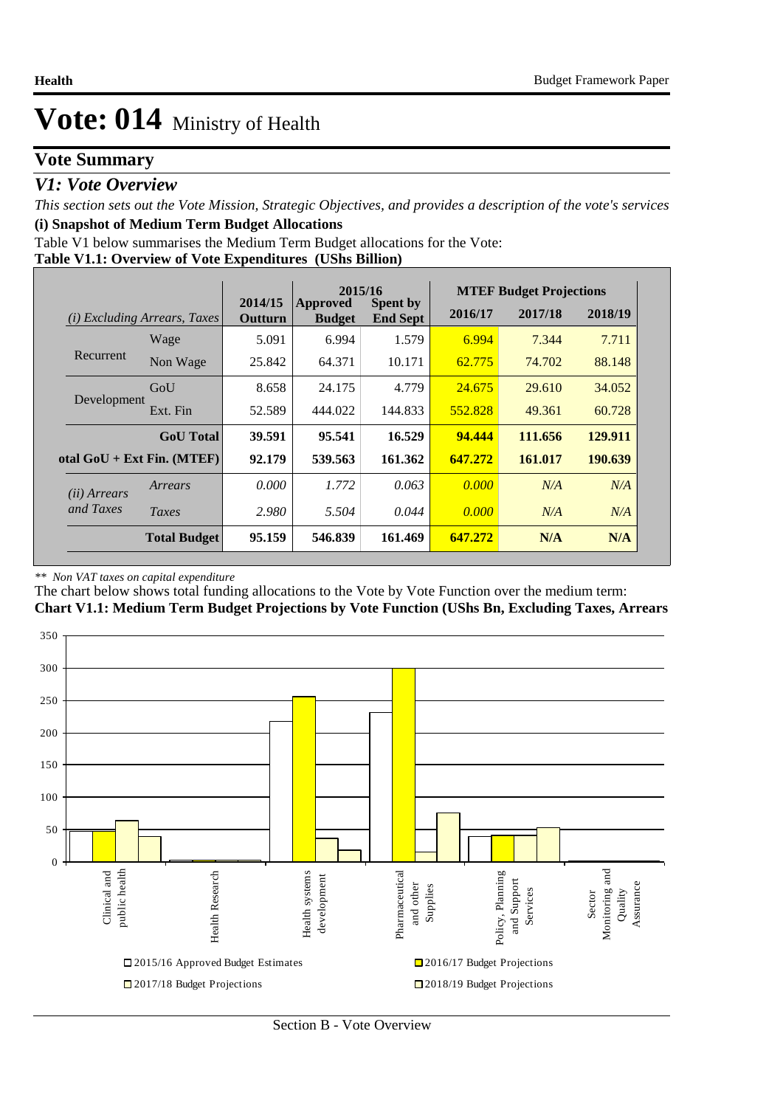### **Vote Summary**

### *V1: Vote Overview*

*This section sets out the Vote Mission, Strategic Objectives, and provides a description of the vote's services* **(i) Snapshot of Medium Term Budget Allocations** 

Table V1 below summarises the Medium Term Budget allocations for the Vote:

|--|

|                                    |                                 |                    | 2015/16                          |                                    | <b>MTEF Budget Projections</b> |         |         |
|------------------------------------|---------------------------------|--------------------|----------------------------------|------------------------------------|--------------------------------|---------|---------|
| (i)                                | <i>Excluding Arrears, Taxes</i> | 2014/15<br>Outturn | <b>Approved</b><br><b>Budget</b> | <b>Spent by</b><br><b>End Sept</b> | 2016/17                        | 2017/18 | 2018/19 |
|                                    | Wage                            | 5.091              | 6.994                            | 1.579                              | 6.994                          | 7.344   | 7.711   |
| Recurrent                          | Non Wage                        | 25.842             | 64.371                           | 10.171                             | 62.775                         | 74.702  | 88.148  |
|                                    | GoU                             | 8.658              | 24.175                           | 4.779                              | 24.675                         | 29.610  | 34.052  |
| Development                        | Ext. Fin                        | 52.589             | 444.022                          | 144.833                            | 552.828                        | 49.361  | 60.728  |
|                                    | <b>GoU</b> Total                | 39.591             | 95.541                           | 16.529                             | 94.444                         | 111.656 | 129.911 |
|                                    | otal $GoU + Ext Fin. (MTEF)$    | 92.179             | 539.563                          | 161.362                            | 647.272                        | 161.017 | 190.639 |
| ( <i>ii</i> ) Arrears<br>and Taxes | Arrears                         | 0.000              | 1.772                            | 0.063                              | 0.000                          | N/A     | N/A     |
|                                    | Taxes                           | 2.980              | 5.504                            | 0.044                              | 0.000                          | N/A     | N/A     |
|                                    | <b>Total Budget</b>             | 95.159             | 546.839                          | 161.469                            | 647.272                        | N/A     | N/A     |

#### *\*\* Non VAT taxes on capital expenditure*

The chart below shows total funding allocations to the Vote by Vote Function over the medium term: **Chart V1.1: Medium Term Budget Projections by Vote Function (UShs Bn, Excluding Taxes, Arrears**

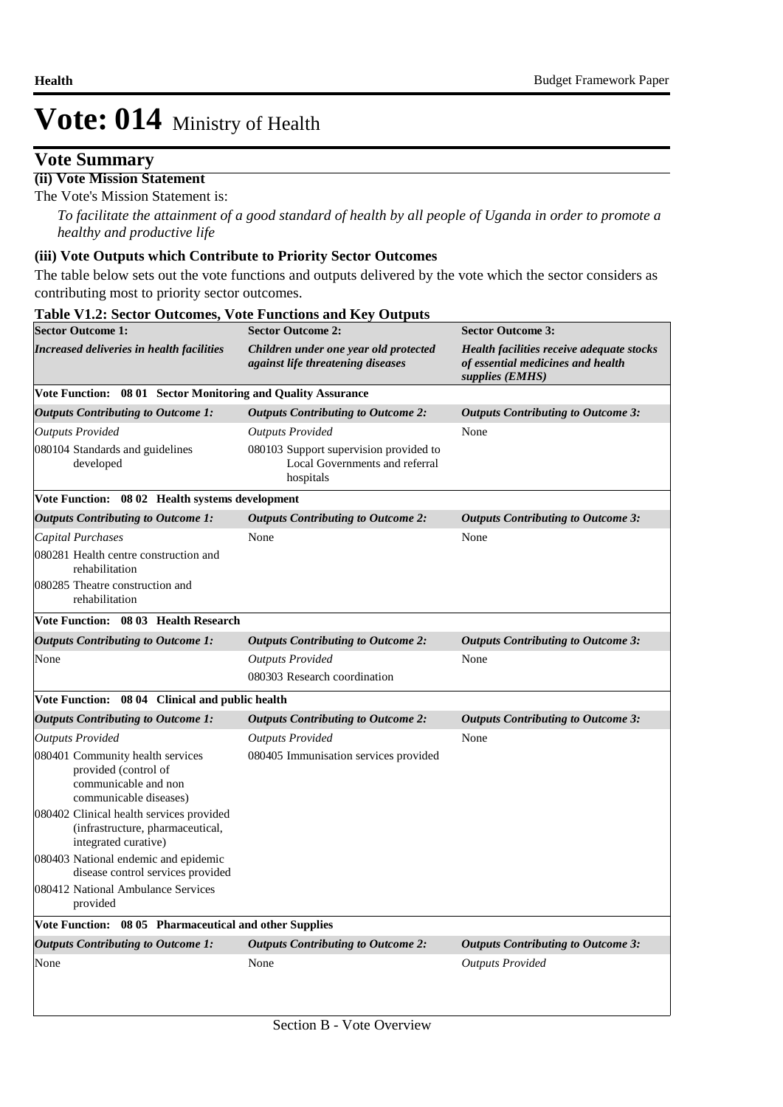### **Vote Summary**

#### **(ii) Vote Mission Statement**

The Vote's Mission Statement is:

*To facilitate the attainment of a good standard of health by all people of Uganda in order to promote a healthy and productive life*

#### **(iii) Vote Outputs which Contribute to Priority Sector Outcomes**

**Table V1.2: Sector Outcomes, Vote Functions and Key Outputs** 

The table below sets out the vote functions and outputs delivered by the vote which the sector considers as contributing most to priority sector outcomes.

| <b>Sector Outcome 1:</b>                                                                                   | <b>Sector Outcome 2:</b>                                                              | <b>Sector Outcome 3:</b><br>Health facilities receive adequate stocks<br>of essential medicines and health<br>supplies (EMHS) |  |  |
|------------------------------------------------------------------------------------------------------------|---------------------------------------------------------------------------------------|-------------------------------------------------------------------------------------------------------------------------------|--|--|
| Increased deliveries in health facilities                                                                  | Children under one year old protected<br>against life threatening diseases            |                                                                                                                               |  |  |
| Vote Function: 08 01 Sector Monitoring and Quality Assurance                                               |                                                                                       |                                                                                                                               |  |  |
| <b>Outputs Contributing to Outcome 1:</b>                                                                  | <b>Outputs Contributing to Outcome 2:</b>                                             | <b>Outputs Contributing to Outcome 3:</b>                                                                                     |  |  |
| <b>Outputs Provided</b>                                                                                    | <b>Outputs Provided</b>                                                               | None                                                                                                                          |  |  |
| 080104 Standards and guidelines<br>developed                                                               | 080103 Support supervision provided to<br>Local Governments and referral<br>hospitals |                                                                                                                               |  |  |
| Vote Function: 08 02 Health systems development                                                            |                                                                                       |                                                                                                                               |  |  |
| <b>Outputs Contributing to Outcome 1:</b>                                                                  | <b>Outputs Contributing to Outcome 2:</b>                                             | <b>Outputs Contributing to Outcome 3:</b>                                                                                     |  |  |
| Capital Purchases                                                                                          | None                                                                                  | None                                                                                                                          |  |  |
| 080281 Health centre construction and<br>rehabilitation                                                    |                                                                                       |                                                                                                                               |  |  |
| 080285 Theatre construction and<br>rehabilitation                                                          |                                                                                       |                                                                                                                               |  |  |
| Vote Function: 08 03 Health Research                                                                       |                                                                                       |                                                                                                                               |  |  |
| <b>Outputs Contributing to Outcome 1:</b>                                                                  | <b>Outputs Contributing to Outcome 2:</b>                                             | <b>Outputs Contributing to Outcome 3:</b>                                                                                     |  |  |
| None                                                                                                       | <b>Outputs Provided</b>                                                               | None                                                                                                                          |  |  |
|                                                                                                            | 080303 Research coordination                                                          |                                                                                                                               |  |  |
| Vote Function: 08 04 Clinical and public health                                                            |                                                                                       |                                                                                                                               |  |  |
| <b>Outputs Contributing to Outcome 1:</b>                                                                  | <b>Outputs Contributing to Outcome 2:</b>                                             | <b>Outputs Contributing to Outcome 3:</b>                                                                                     |  |  |
| <b>Outputs Provided</b>                                                                                    | <b>Outputs Provided</b>                                                               | None                                                                                                                          |  |  |
| 080401 Community health services<br>provided (control of<br>communicable and non<br>communicable diseases) | 080405 Immunisation services provided                                                 |                                                                                                                               |  |  |
| 080402 Clinical health services provided<br>(infrastructure, pharmaceutical,<br>integrated curative)       |                                                                                       |                                                                                                                               |  |  |
| 080403 National endemic and epidemic<br>disease control services provided                                  |                                                                                       |                                                                                                                               |  |  |
| 080412 National Ambulance Services<br>provided                                                             |                                                                                       |                                                                                                                               |  |  |
| Vote Function: 08 05 Pharmaceutical and other Supplies                                                     |                                                                                       |                                                                                                                               |  |  |
| <b>Outputs Contributing to Outcome 1:</b>                                                                  | <b>Outputs Contributing to Outcome 2:</b>                                             | <b>Outputs Contributing to Outcome 3:</b>                                                                                     |  |  |
| None                                                                                                       | None                                                                                  | <b>Outputs Provided</b>                                                                                                       |  |  |
|                                                                                                            |                                                                                       |                                                                                                                               |  |  |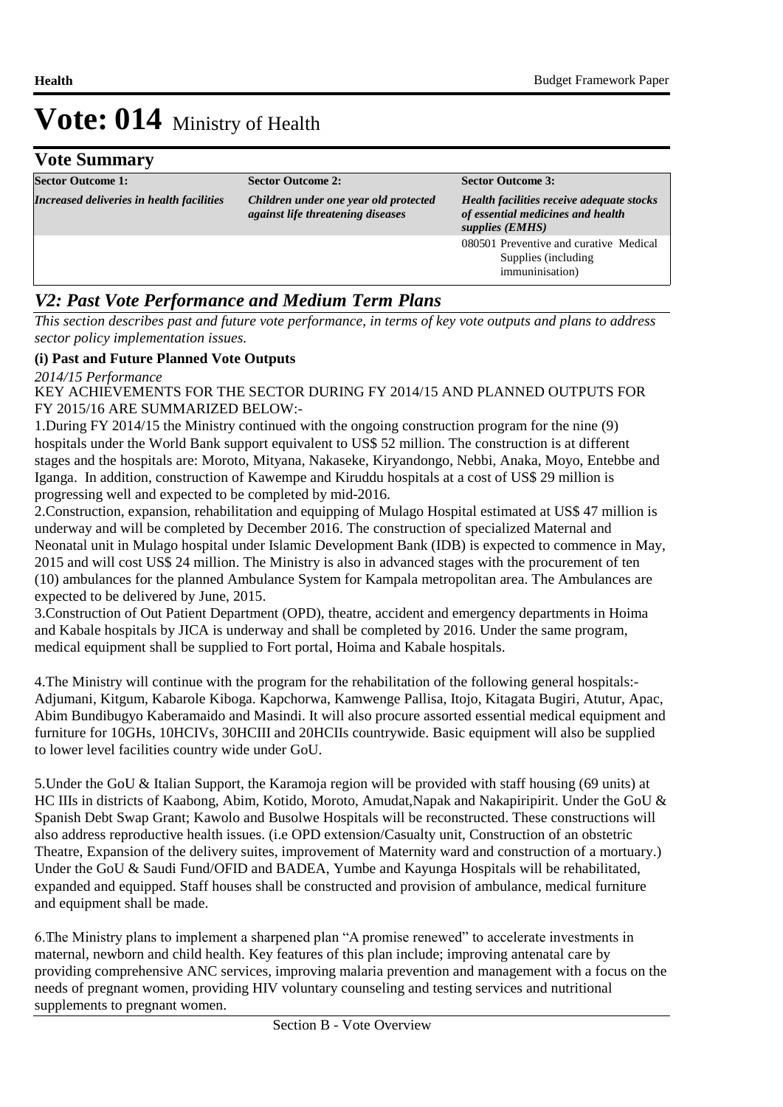## **Vote Summary**

| <b>Sector Outcome 1:</b>                  | <b>Sector Outcome 2:</b>                                                   | <b>Sector Outcome 3:</b>                                                                          |
|-------------------------------------------|----------------------------------------------------------------------------|---------------------------------------------------------------------------------------------------|
| Increased deliveries in health facilities | Children under one year old protected<br>against life threatening diseases | Health facilities receive adequate stocks<br>of essential medicines and health<br>supplies (EMHS) |
|                                           |                                                                            | 080501 Preventive and curative Medical<br>Supplies (including<br>immuninisation)                  |

### *V2: Past Vote Performance and Medium Term Plans*

*This section describes past and future vote performance, in terms of key vote outputs and plans to address sector policy implementation issues.* 

### **(i) Past and Future Planned Vote Outputs**

*2014/15 Performance*

KEY ACHIEVEMENTS FOR THE SECTOR DURING FY 2014/15 AND PLANNED OUTPUTS FOR FY 2015/16 ARE SUMMARIZED BELOW:-

1. During FY 2014/15 the Ministry continued with the ongoing construction program for the nine (9) hospitals under the World Bank support equivalent to US\$ 52 million. The construction is at different stages and the hospitals are: Moroto, Mityana, Nakaseke, Kiryandongo, Nebbi, Anaka, Moyo, Entebbe and Iganga. In addition, construction of Kawempe and Kiruddu hospitals at a cost of US\$ 29 million is progressing well and expected to be completed by mid-2016.

2. Construction, expansion, rehabilitation and equipping of Mulago Hospital estimated at US\$ 47 million is underway and will be completed by December 2016. The construction of specialized Maternal and Neonatal unit in Mulago hospital under Islamic Development Bank (IDB) is expected to commence in May, 2015 and will cost US\$ 24 million. The Ministry is also in advanced stages with the procurement of ten (10) ambulances for the planned Ambulance System for Kampala metropolitan area. The Ambulances are expected to be delivered by June, 2015.

3. Construction of Out Patient Department (OPD), theatre, accident and emergency departments in Hoima and Kabale hospitals by JICA is underway and shall be completed by 2016. Under the same program, medical equipment shall be supplied to Fort portal, Hoima and Kabale hospitals.

4. The Ministry will continue with the program for the rehabilitation of the following general hospitals:-Adjumani, Kitgum, Kabarole Kiboga. Kapchorwa, Kamwenge Pallisa, Itojo, Kitagata Bugiri, Atutur, Apac, Abim Bundibugyo Kaberamaido and Masindi. It will also procure assorted essential medical equipment and furniture for 10GHs, 10HCIVs, 30HCIII and 20HCIIs countrywide. Basic equipment will also be supplied to lower level facilities country wide under GoU.

5. Under the GoU & Italian Support, the Karamoja region will be provided with staff housing (69 units) at HC IIIs in districts of Kaabong, Abim, Kotido, Moroto, Amudat,Napak and Nakapiripirit. Under the GoU & Spanish Debt Swap Grant; Kawolo and Busolwe Hospitals will be reconstructed. These constructions will also address reproductive health issues. (i.e OPD extension/Casualty unit, Construction of an obstetric Theatre, Expansion of the delivery suites, improvement of Maternity ward and construction of a mortuary.) Under the GoU & Saudi Fund/OFID and BADEA, Yumbe and Kayunga Hospitals will be rehabilitated, expanded and equipped. Staff houses shall be constructed and provision of ambulance, medical furniture and equipment shall be made.

6. The Ministry plans to implement a sharpened plan "A promise renewed" to accelerate investments in maternal, newborn and child health. Key features of this plan include; improving antenatal care by providing comprehensive ANC services, improving malaria prevention and management with a focus on the needs of pregnant women, providing HIV voluntary counseling and testing services and nutritional supplements to pregnant women.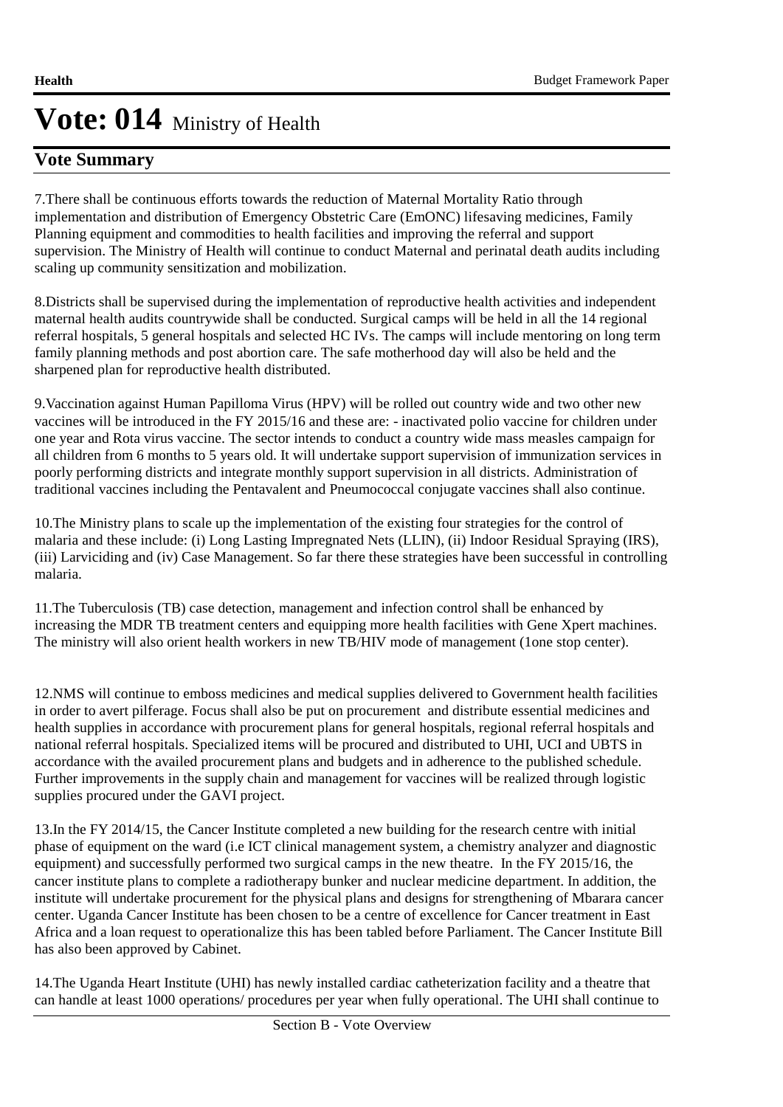## **Vote Summary**

7. There shall be continuous efforts towards the reduction of Maternal Mortality Ratio through implementation and distribution of Emergency Obstetric Care (EmONC) lifesaving medicines, Family Planning equipment and commodities to health facilities and improving the referral and support supervision. The Ministry of Health will continue to conduct Maternal and perinatal death audits including scaling up community sensitization and mobilization.

8. Districts shall be supervised during the implementation of reproductive health activities and independent maternal health audits countrywide shall be conducted. Surgical camps will be held in all the 14 regional referral hospitals, 5 general hospitals and selected HC IVs. The camps will include mentoring on long term family planning methods and post abortion care. The safe motherhood day will also be held and the sharpened plan for reproductive health distributed.

9. Vaccination against Human Papilloma Virus (HPV) will be rolled out country wide and two other new vaccines will be introduced in the FY 2015/16 and these are: - inactivated polio vaccine for children under one year and Rota virus vaccine. The sector intends to conduct a country wide mass measles campaign for all children from 6 months to 5 years old. It will undertake support supervision of immunization services in poorly performing districts and integrate monthly support supervision in all districts. Administration of traditional vaccines including the Pentavalent and Pneumococcal conjugate vaccines shall also continue.

10. The Ministry plans to scale up the implementation of the existing four strategies for the control of malaria and these include: (i) Long Lasting Impregnated Nets (LLIN), (ii) Indoor Residual Spraying (IRS), (iii) Larviciding and (iv) Case Management. So far there these strategies have been successful in controlling malaria.

11. The Tuberculosis (TB) case detection, management and infection control shall be enhanced by increasing the MDR TB treatment centers and equipping more health facilities with Gene Xpert machines. The ministry will also orient health workers in new TB/HIV mode of management (1one stop center).

12. NMS will continue to emboss medicines and medical supplies delivered to Government health facilities in order to avert pilferage. Focus shall also be put on procurement and distribute essential medicines and health supplies in accordance with procurement plans for general hospitals, regional referral hospitals and national referral hospitals. Specialized items will be procured and distributed to UHI, UCI and UBTS in accordance with the availed procurement plans and budgets and in adherence to the published schedule. Further improvements in the supply chain and management for vaccines will be realized through logistic supplies procured under the GAVI project.

13. In the FY 2014/15, the Cancer Institute completed a new building for the research centre with initial phase of equipment on the ward (i.e ICT clinical management system, a chemistry analyzer and diagnostic equipment) and successfully performed two surgical camps in the new theatre. In the FY 2015/16, the cancer institute plans to complete a radiotherapy bunker and nuclear medicine department. In addition, the institute will undertake procurement for the physical plans and designs for strengthening of Mbarara cancer center. Uganda Cancer Institute has been chosen to be a centre of excellence for Cancer treatment in East Africa and a loan request to operationalize this has been tabled before Parliament. The Cancer Institute Bill has also been approved by Cabinet.

14. The Uganda Heart Institute (UHI) has newly installed cardiac catheterization facility and a theatre that can handle at least 1000 operations/ procedures per year when fully operational. The UHI shall continue to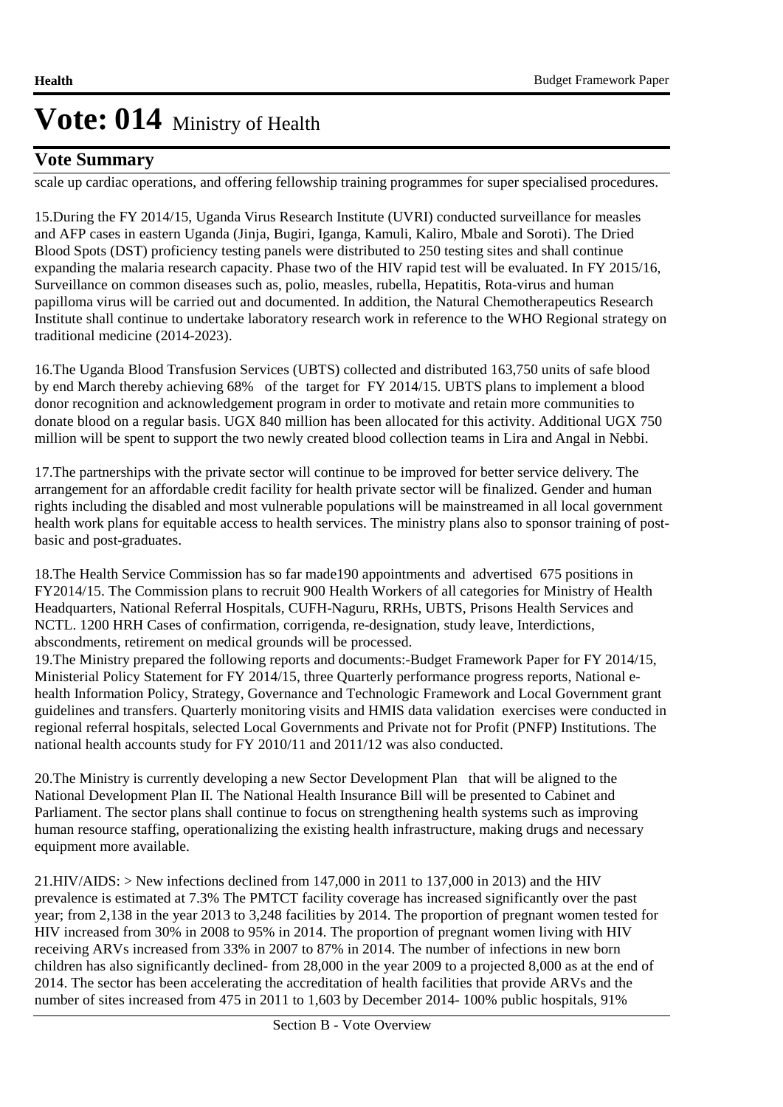## **Vote Summary**

scale up cardiac operations, and offering fellowship training programmes for super specialised procedures.

15. During the FY 2014/15, Uganda Virus Research Institute (UVRI) conducted surveillance for measles and AFP cases in eastern Uganda (Jinja, Bugiri, Iganga, Kamuli, Kaliro, Mbale and Soroti). The Dried Blood Spots (DST) proficiency testing panels were distributed to 250 testing sites and shall continue expanding the malaria research capacity. Phase two of the HIV rapid test will be evaluated. In FY 2015/16, Surveillance on common diseases such as, polio, measles, rubella, Hepatitis, Rota-virus and human papilloma virus will be carried out and documented. In addition, the Natural Chemotherapeutics Research Institute shall continue to undertake laboratory research work in reference to the WHO Regional strategy on traditional medicine (2014-2023).

16. The Uganda Blood Transfusion Services (UBTS) collected and distributed 163,750 units of safe blood by end March thereby achieving 68% of the target for FY 2014/15. UBTS plans to implement a blood donor recognition and acknowledgement program in order to motivate and retain more communities to donate blood on a regular basis. UGX 840 million has been allocated for this activity. Additional UGX 750 million will be spent to support the two newly created blood collection teams in Lira and Angal in Nebbi. 

17. The partnerships with the private sector will continue to be improved for better service delivery. The arrangement for an affordable credit facility for health private sector will be finalized. Gender and human rights including the disabled and most vulnerable populations will be mainstreamed in all local government health work plans for equitable access to health services. The ministry plans also to sponsor training of postbasic and post-graduates.

18. The Health Service Commission has so far made190 appointments and advertised 675 positions in FY2014/15. The Commission plans to recruit 900 Health Workers of all categories for Ministry of Health Headquarters, National Referral Hospitals, CUFH-Naguru, RRHs, UBTS, Prisons Health Services and NCTL. 1200 HRH Cases of confirmation, corrigenda, re-designation, study leave, Interdictions, abscondments, retirement on medical grounds will be processed.

19. The Ministry prepared the following reports and documents: -Budget Framework Paper for FY 2014/15, Ministerial Policy Statement for FY 2014/15, three Quarterly performance progress reports, National ehealth Information Policy, Strategy, Governance and Technologic Framework and Local Government grant guidelines and transfers. Quarterly monitoring visits and HMIS data validation exercises were conducted in regional referral hospitals, selected Local Governments and Private not for Profit (PNFP) Institutions. The national health accounts study for FY 2010/11 and 2011/12 was also conducted.

20. The Ministry is currently developing a new Sector Development Plan that will be aligned to the National Development Plan II. The National Health Insurance Bill will be presented to Cabinet and Parliament. The sector plans shall continue to focus on strengthening health systems such as improving human resource staffing, operationalizing the existing health infrastructure, making drugs and necessary equipment more available.

 $21.HIV/ALDS:$  > New infections declined from 147,000 in 2011 to 137,000 in 2013) and the HIV prevalence is estimated at 7.3% The PMTCT facility coverage has increased significantly over the past year; from 2,138 in the year 2013 to 3,248 facilities by 2014. The proportion of pregnant women tested for HIV increased from 30% in 2008 to 95% in 2014. The proportion of pregnant women living with HIV receiving ARVs increased from 33% in 2007 to 87% in 2014. The number of infections in new born children has also significantly declined- from 28,000 in the year 2009 to a projected 8,000 as at the end of 2014. The sector has been accelerating the accreditation of health facilities that provide ARVs and the number of sites increased from 475 in 2011 to 1,603 by December 2014- 100% public hospitals, 91%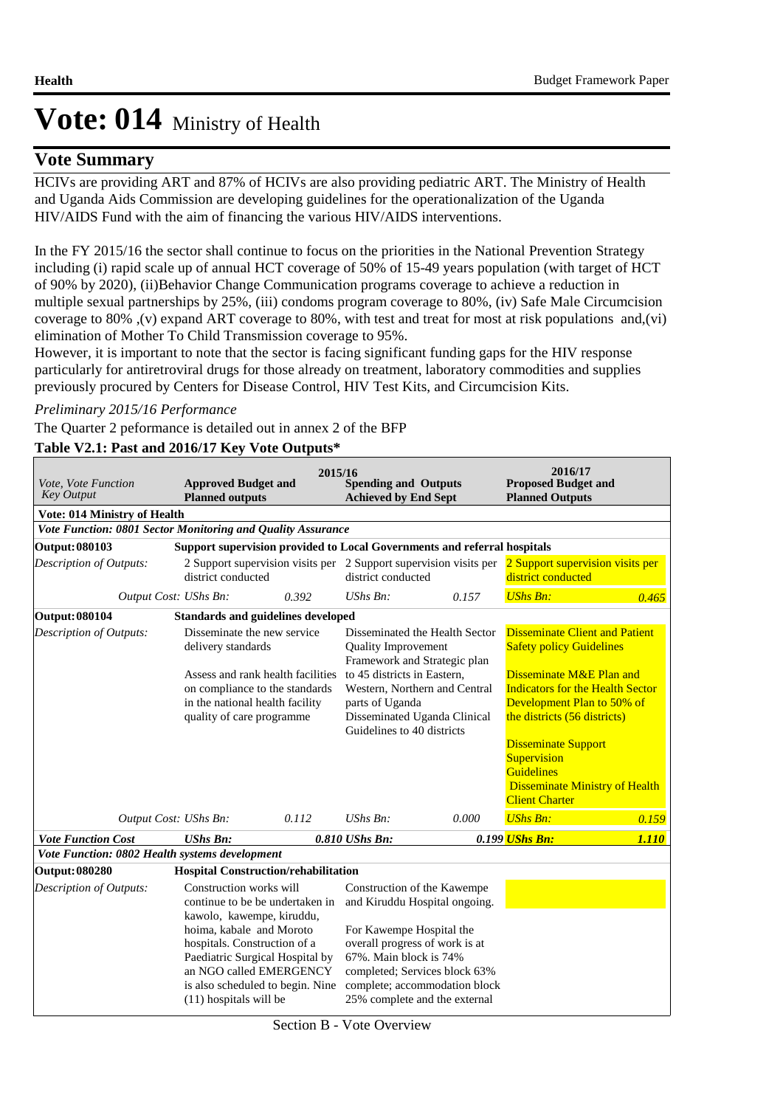### **Vote Summary**

HCIVs are providing ART and 87% of HCIVs are also providing pediatric ART. The Ministry of Health and Uganda Aids Commission are developing guidelines for the operationalization of the Uganda HIV/AIDS Fund with the aim of financing the various HIV/AIDS interventions.

In the FY 2015/16 the sector shall continue to focus on the priorities in the National Prevention Strategy including (i) rapid scale up of annual HCT coverage of 50% of 15-49 years population (with target of HCT of 90% by 2020), (ii)Behavior Change Communication programs coverage to achieve a reduction in multiple sexual partnerships by 25%, (iii) condoms program coverage to 80%, (iv) Safe Male Circumcision coverage to 80% ,(v) expand ART coverage to 80%, with test and treat for most at risk populations and,(vi) elimination of Mother To Child Transmission coverage to 95%.

However, it is important to note that the sector is facing significant funding gaps for the HIV response particularly for antiretroviral drugs for those already on treatment, laboratory commodities and supplies previously procured by Centers for Disease Control, HIV Test Kits, and Circumcision Kits.

#### *Preliminary 2015/16 Performance*

The Quarter 2 peformance is detailed out in annex 2 of the BFP

### **Table V2.1: Past and 2016/17 Key Vote Outputs\***

| Vote, Vote Function<br><b>Key Output</b>                    | <b>Approved Budget and</b><br><b>Planned outputs</b>                                                                                                                                                                                                                            | 2015/16 | <b>Spending and Outputs</b><br><b>Achieved by End Sept</b>                                                                                                                                                                                              |                                                                   | 2016/17<br><b>Proposed Budget and</b><br><b>Planned Outputs</b>                                                                                                                |       |
|-------------------------------------------------------------|---------------------------------------------------------------------------------------------------------------------------------------------------------------------------------------------------------------------------------------------------------------------------------|---------|---------------------------------------------------------------------------------------------------------------------------------------------------------------------------------------------------------------------------------------------------------|-------------------------------------------------------------------|--------------------------------------------------------------------------------------------------------------------------------------------------------------------------------|-------|
| Vote: 014 Ministry of Health                                |                                                                                                                                                                                                                                                                                 |         |                                                                                                                                                                                                                                                         |                                                                   |                                                                                                                                                                                |       |
| Vote Function: 0801 Sector Monitoring and Quality Assurance |                                                                                                                                                                                                                                                                                 |         |                                                                                                                                                                                                                                                         |                                                                   |                                                                                                                                                                                |       |
| Output: 080103                                              | Support supervision provided to Local Governments and referral hospitals                                                                                                                                                                                                        |         |                                                                                                                                                                                                                                                         |                                                                   |                                                                                                                                                                                |       |
| Description of Outputs:                                     | district conducted                                                                                                                                                                                                                                                              |         | district conducted                                                                                                                                                                                                                                      | 2 Support supervision visits per 2 Support supervision visits per | 2 Support supervision visits per<br>district conducted                                                                                                                         |       |
|                                                             | Output Cost: UShs Bn:                                                                                                                                                                                                                                                           | 0.392   | UShs $Bn$ :                                                                                                                                                                                                                                             | 0.157                                                             | <b>UShs Bn:</b>                                                                                                                                                                | 0.465 |
| <b>Output: 080104</b>                                       | <b>Standards and guidelines developed</b>                                                                                                                                                                                                                                       |         |                                                                                                                                                                                                                                                         |                                                                   |                                                                                                                                                                                |       |
| Description of Outputs:                                     | Disseminate the new service<br>delivery standards                                                                                                                                                                                                                               |         | Disseminated the Health Sector<br><b>Quality Improvement</b><br>Framework and Strategic plan                                                                                                                                                            |                                                                   | <b>Disseminate Client and Patient</b><br><b>Safety policy Guidelines</b>                                                                                                       |       |
|                                                             | Assess and rank health facilities<br>on compliance to the standards<br>in the national health facility<br>quality of care programme                                                                                                                                             |         | to 45 districts in Eastern,<br>parts of Uganda<br>Guidelines to 40 districts                                                                                                                                                                            | Western, Northern and Central<br>Disseminated Uganda Clinical     | Disseminate M&E Plan and<br><b>Indicators for the Health Sector</b><br>Development Plan to 50% of<br>the districts (56 districts)<br><b>Disseminate Support</b><br>Supervision |       |
|                                                             |                                                                                                                                                                                                                                                                                 |         |                                                                                                                                                                                                                                                         |                                                                   | <b>Guidelines</b><br><b>Disseminate Ministry of Health</b><br><b>Client Charter</b>                                                                                            |       |
|                                                             | Output Cost: UShs Bn:                                                                                                                                                                                                                                                           | 0.112   | $UShs Bn$ :                                                                                                                                                                                                                                             | 0.000                                                             | <b>UShs Bn:</b>                                                                                                                                                                | 0.159 |
| <b>Vote Function Cost</b>                                   | <b>UShs Bn:</b>                                                                                                                                                                                                                                                                 |         | 0.810 UShs Bn:                                                                                                                                                                                                                                          |                                                                   | 0.199 UShs Bn:                                                                                                                                                                 | 1.110 |
| Vote Function: 0802 Health systems development              |                                                                                                                                                                                                                                                                                 |         |                                                                                                                                                                                                                                                         |                                                                   |                                                                                                                                                                                |       |
| Output: 080280                                              | <b>Hospital Construction/rehabilitation</b>                                                                                                                                                                                                                                     |         |                                                                                                                                                                                                                                                         |                                                                   |                                                                                                                                                                                |       |
| <b>Description of Outputs:</b>                              | Construction works will<br>continue to be be undertaken in<br>kawolo, kawempe, kiruddu,<br>hoima, kabale and Moroto<br>hospitals. Construction of a<br>Paediatric Surgical Hospital by<br>an NGO called EMERGENCY<br>is also scheduled to begin. Nine<br>(11) hospitals will be |         | Construction of the Kawempe<br>and Kiruddu Hospital ongoing.<br>For Kawempe Hospital the<br>overall progress of work is at<br>67%. Main block is 74%<br>completed; Services block 63%<br>complete; accommodation block<br>25% complete and the external |                                                                   |                                                                                                                                                                                |       |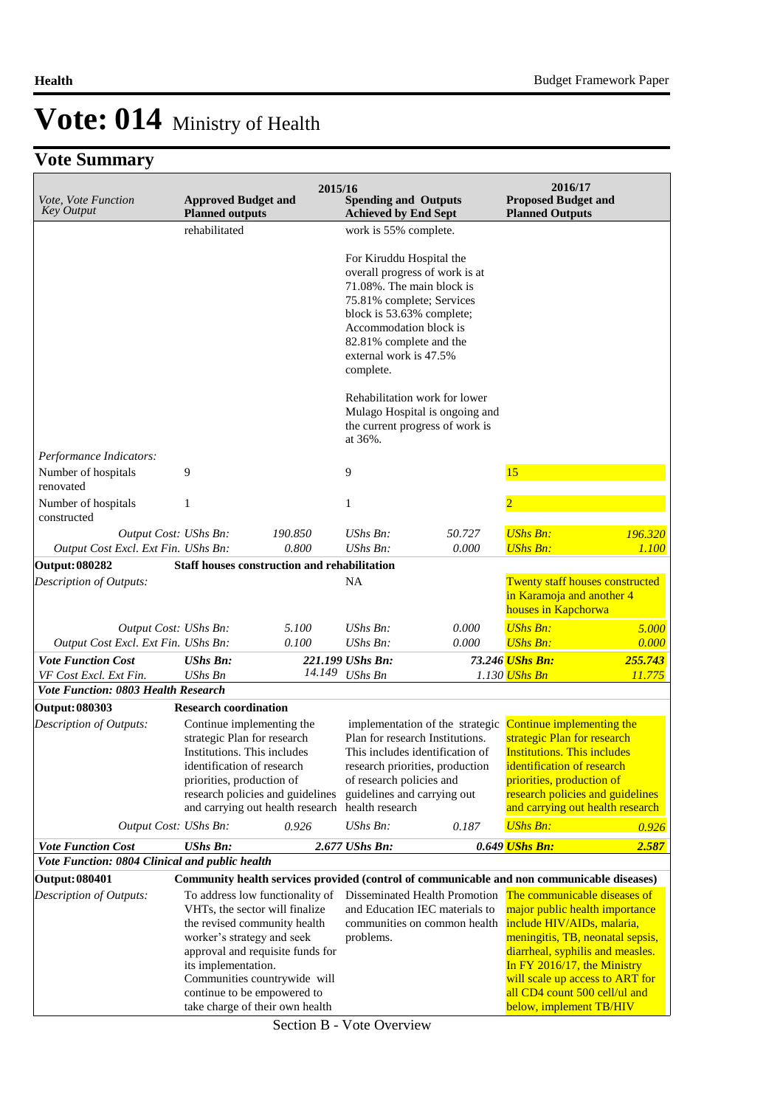## **Vote Summary**

| Vote, Vote Function<br><b>Key Output</b>         | <b>Approved Budget and</b><br><b>Planned outputs</b>                                                                                                                                                                                                                                         | 2015/16 | <b>Spending and Outputs</b><br><b>Achieved by End Sept</b>                                                                                                                                                  |                                                                                                                                          | 2016/17<br><b>Proposed Budget and</b><br><b>Planned Outputs</b>                                                                                                                                                                                                                                    |               |
|--------------------------------------------------|----------------------------------------------------------------------------------------------------------------------------------------------------------------------------------------------------------------------------------------------------------------------------------------------|---------|-------------------------------------------------------------------------------------------------------------------------------------------------------------------------------------------------------------|------------------------------------------------------------------------------------------------------------------------------------------|----------------------------------------------------------------------------------------------------------------------------------------------------------------------------------------------------------------------------------------------------------------------------------------------------|---------------|
|                                                  | rehabilitated                                                                                                                                                                                                                                                                                |         | work is 55% complete.                                                                                                                                                                                       |                                                                                                                                          |                                                                                                                                                                                                                                                                                                    |               |
|                                                  |                                                                                                                                                                                                                                                                                              |         | For Kiruddu Hospital the<br>71.08%. The main block is<br>75.81% complete; Services<br>block is 53.63% complete;<br>Accommodation block is<br>82.81% complete and the<br>external work is 47.5%<br>complete. | overall progress of work is at                                                                                                           |                                                                                                                                                                                                                                                                                                    |               |
|                                                  |                                                                                                                                                                                                                                                                                              |         | at 36%.                                                                                                                                                                                                     | Rehabilitation work for lower<br>Mulago Hospital is ongoing and<br>the current progress of work is                                       |                                                                                                                                                                                                                                                                                                    |               |
| Performance Indicators:<br>Number of hospitals   | 9                                                                                                                                                                                                                                                                                            |         | 9                                                                                                                                                                                                           |                                                                                                                                          | 15                                                                                                                                                                                                                                                                                                 |               |
| renovated<br>Number of hospitals<br>constructed  | $\mathbf{1}$                                                                                                                                                                                                                                                                                 |         | 1                                                                                                                                                                                                           |                                                                                                                                          |                                                                                                                                                                                                                                                                                                    |               |
| Output Cost: UShs Bn:                            |                                                                                                                                                                                                                                                                                              | 190.850 | UShs Bn:                                                                                                                                                                                                    | 50.727                                                                                                                                   | <b>UShs Bn:</b>                                                                                                                                                                                                                                                                                    | 196.320       |
| Output Cost Excl. Ext Fin. UShs Bn:              |                                                                                                                                                                                                                                                                                              | 0.800   | UShs Bn:                                                                                                                                                                                                    | 0.000                                                                                                                                    | <b>UShs Bn:</b>                                                                                                                                                                                                                                                                                    | 1.100         |
| <b>Output: 080282</b>                            | Staff houses construction and rehabilitation                                                                                                                                                                                                                                                 |         |                                                                                                                                                                                                             |                                                                                                                                          |                                                                                                                                                                                                                                                                                                    |               |
| Description of Outputs:                          |                                                                                                                                                                                                                                                                                              |         | NA                                                                                                                                                                                                          |                                                                                                                                          | <b>Twenty staff houses constructed</b><br>in Karamoja and another 4<br>houses in Kapchorwa                                                                                                                                                                                                         |               |
| Output Cost: UShs Bn:                            |                                                                                                                                                                                                                                                                                              | 5.100   | UShs Bn:                                                                                                                                                                                                    | 0.000                                                                                                                                    | <b>UShs Bn:</b>                                                                                                                                                                                                                                                                                    | 5.000         |
| Output Cost Excl. Ext Fin. UShs Bn:              |                                                                                                                                                                                                                                                                                              | 0.100   | <b>UShs Bn:</b>                                                                                                                                                                                             | 0.000                                                                                                                                    | <b>UShs Bn:</b>                                                                                                                                                                                                                                                                                    | 0.000         |
| <b>Vote Function Cost</b>                        | <b>UShs Bn:</b>                                                                                                                                                                                                                                                                              |         | 221.199 UShs Bn:                                                                                                                                                                                            |                                                                                                                                          | 73.246 UShs Bn:                                                                                                                                                                                                                                                                                    | 255,743       |
| VF Cost Excl. Ext Fin.                           | <b>UShs Bn</b>                                                                                                                                                                                                                                                                               | 14.149  | <b>UShs Bn</b>                                                                                                                                                                                              |                                                                                                                                          | 1.130 <mark>UShs Bn</mark>                                                                                                                                                                                                                                                                         | <i>11.775</i> |
| Vote Function: 0803 Health Research              | <b>Research coordination</b>                                                                                                                                                                                                                                                                 |         |                                                                                                                                                                                                             |                                                                                                                                          |                                                                                                                                                                                                                                                                                                    |               |
| <b>Output: 080303</b><br>Description of Outputs: | Continue implementing the<br>strategic Plan for research<br>Institutions. This includes<br>identification of research<br>priorities, production of<br>research policies and guidelines<br>and carrying out health research                                                                   |         | of research policies and<br>guidelines and carrying out<br>health research                                                                                                                                  | implementation of the strategic<br>Plan for research Institutions.<br>This includes identification of<br>research priorities, production | Continue implementing the<br>strategic Plan for research<br><b>Institutions. This includes</b><br>identification of research<br>priorities, production of<br>research policies and guidelines<br>and carrying out health research                                                                  |               |
| Output Cost: UShs Bn:                            |                                                                                                                                                                                                                                                                                              | 0.926   | UShs Bn:                                                                                                                                                                                                    | 0.187                                                                                                                                    | <b>UShs Bn:</b>                                                                                                                                                                                                                                                                                    | 0.926         |
| <b>Vote Function Cost</b>                        | <b>UShs Bn:</b>                                                                                                                                                                                                                                                                              |         | 2.677 UShs Bn:                                                                                                                                                                                              |                                                                                                                                          | 0.649 UShs Bn:                                                                                                                                                                                                                                                                                     | 2.587         |
| Vote Function: 0804 Clinical and public health   |                                                                                                                                                                                                                                                                                              |         |                                                                                                                                                                                                             |                                                                                                                                          |                                                                                                                                                                                                                                                                                                    |               |
| <b>Output: 080401</b>                            |                                                                                                                                                                                                                                                                                              |         |                                                                                                                                                                                                             | Community health services provided (control of communicable and non communicable diseases)                                               |                                                                                                                                                                                                                                                                                                    |               |
| Description of Outputs:                          | To address low functionality of<br>VHTs, the sector will finalize<br>the revised community health<br>worker's strategy and seek<br>approval and requisite funds for<br>its implementation.<br>Communities countrywide will<br>continue to be empowered to<br>take charge of their own health |         | problems.                                                                                                                                                                                                   | Disseminated Health Promotion<br>and Education IEC materials to<br>communities on common health                                          | The communicable diseases of<br>major public health importance<br>include HIV/AIDs, malaria,<br>meningitis, TB, neonatal sepsis,<br>diarrheal, syphilis and measles.<br>In FY 2016/17, the Ministry<br>will scale up access to ART for<br>all CD4 count 500 cell/ul and<br>below, implement TB/HIV |               |

Section B - Vote Overview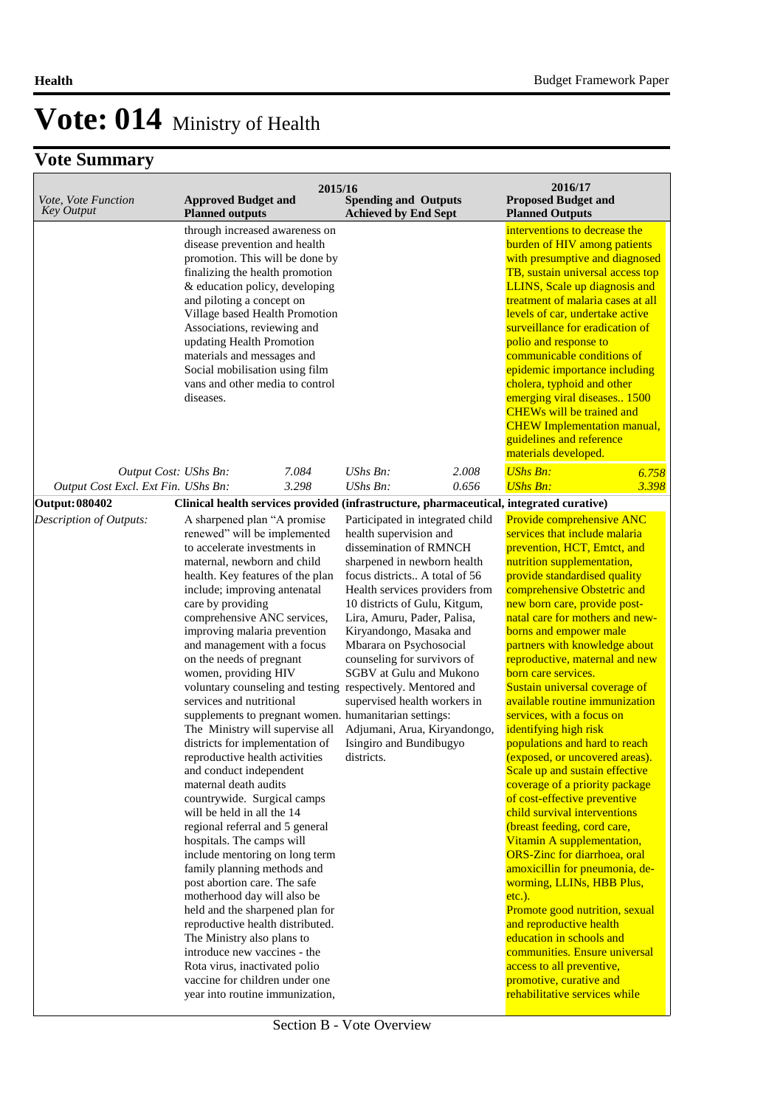|                                                              |                                                                                                                                                                                                                                                                                                                                                                                                                                                                                                                                                                                                                                                                                                                                                                                                                                                                                                                                                                                                                                                                                                                                                                                               | 2015/16        |                                                                                                                                                                                                                                                                                                                                                                                                                                                                                 |                | 2016/17                                                                                                                                                                                                                                                                                                                                                                                                                                                                                                                                                                                                                                                                                                                                                                                                                                                                                                                                                                                                                                                                                                |                |
|--------------------------------------------------------------|-----------------------------------------------------------------------------------------------------------------------------------------------------------------------------------------------------------------------------------------------------------------------------------------------------------------------------------------------------------------------------------------------------------------------------------------------------------------------------------------------------------------------------------------------------------------------------------------------------------------------------------------------------------------------------------------------------------------------------------------------------------------------------------------------------------------------------------------------------------------------------------------------------------------------------------------------------------------------------------------------------------------------------------------------------------------------------------------------------------------------------------------------------------------------------------------------|----------------|---------------------------------------------------------------------------------------------------------------------------------------------------------------------------------------------------------------------------------------------------------------------------------------------------------------------------------------------------------------------------------------------------------------------------------------------------------------------------------|----------------|--------------------------------------------------------------------------------------------------------------------------------------------------------------------------------------------------------------------------------------------------------------------------------------------------------------------------------------------------------------------------------------------------------------------------------------------------------------------------------------------------------------------------------------------------------------------------------------------------------------------------------------------------------------------------------------------------------------------------------------------------------------------------------------------------------------------------------------------------------------------------------------------------------------------------------------------------------------------------------------------------------------------------------------------------------------------------------------------------------|----------------|
| Vote, Vote Function<br><b>Key Output</b>                     | <b>Approved Budget and</b><br><b>Planned outputs</b>                                                                                                                                                                                                                                                                                                                                                                                                                                                                                                                                                                                                                                                                                                                                                                                                                                                                                                                                                                                                                                                                                                                                          |                | <b>Spending and Outputs</b><br><b>Achieved by End Sept</b>                                                                                                                                                                                                                                                                                                                                                                                                                      |                | <b>Proposed Budget and</b><br><b>Planned Outputs</b>                                                                                                                                                                                                                                                                                                                                                                                                                                                                                                                                                                                                                                                                                                                                                                                                                                                                                                                                                                                                                                                   |                |
|                                                              | through increased awareness on<br>disease prevention and health<br>promotion. This will be done by<br>finalizing the health promotion<br>& education policy, developing<br>and piloting a concept on<br>Village based Health Promotion<br>Associations, reviewing and<br>updating Health Promotion<br>materials and messages and<br>Social mobilisation using film<br>vans and other media to control<br>diseases.                                                                                                                                                                                                                                                                                                                                                                                                                                                                                                                                                                                                                                                                                                                                                                            |                |                                                                                                                                                                                                                                                                                                                                                                                                                                                                                 |                | interventions to decrease the<br>burden of HIV among patients<br>with presumptive and diagnosed<br>TB, sustain universal access top<br>LLINS, Scale up diagnosis and<br>treatment of malaria cases at all<br>levels of car, undertake active<br>surveillance for eradication of<br>polio and response to<br>communicable conditions of<br>epidemic importance including<br>cholera, typhoid and other<br>emerging viral diseases 1500<br><b>CHEWs will be trained and</b><br><b>CHEW</b> Implementation manual,<br>guidelines and reference<br>materials developed.                                                                                                                                                                                                                                                                                                                                                                                                                                                                                                                                    |                |
| Output Cost: UShs Bn:<br>Output Cost Excl. Ext Fin. UShs Bn: |                                                                                                                                                                                                                                                                                                                                                                                                                                                                                                                                                                                                                                                                                                                                                                                                                                                                                                                                                                                                                                                                                                                                                                                               | 7.084<br>3.298 | $UShs Bn$ :<br>$UShs Bn$ :                                                                                                                                                                                                                                                                                                                                                                                                                                                      | 2.008<br>0.656 | <b>UShs Bn:</b><br><b>UShs Bn:</b>                                                                                                                                                                                                                                                                                                                                                                                                                                                                                                                                                                                                                                                                                                                                                                                                                                                                                                                                                                                                                                                                     | 6.758<br>3.398 |
| <b>Output: 080402</b>                                        | Clinical health services provided (infrastructure, pharmaceutical, integrated curative)                                                                                                                                                                                                                                                                                                                                                                                                                                                                                                                                                                                                                                                                                                                                                                                                                                                                                                                                                                                                                                                                                                       |                |                                                                                                                                                                                                                                                                                                                                                                                                                                                                                 |                |                                                                                                                                                                                                                                                                                                                                                                                                                                                                                                                                                                                                                                                                                                                                                                                                                                                                                                                                                                                                                                                                                                        |                |
| Description of Outputs:                                      | A sharpened plan "A promise<br>renewed" will be implemented<br>to accelerate investments in<br>maternal, newborn and child<br>health. Key features of the plan<br>include; improving antenatal<br>care by providing<br>comprehensive ANC services,<br>improving malaria prevention<br>and management with a focus<br>on the needs of pregnant<br>women, providing HIV<br>voluntary counseling and testing respectively. Mentored and<br>services and nutritional<br>supplements to pregnant women. humanitarian settings:<br>The Ministry will supervise all<br>districts for implementation of<br>reproductive health activities<br>and conduct independent<br>maternal death audits<br>countrywide. Surgical camps<br>will be held in all the 14<br>regional referral and 5 general<br>hospitals. The camps will<br>include mentoring on long term<br>family planning methods and<br>post abortion care. The safe<br>motherhood day will also be<br>held and the sharpened plan for<br>reproductive health distributed.<br>The Ministry also plans to<br>introduce new vaccines - the<br>Rota virus, inactivated polio<br>vaccine for children under one<br>year into routine immunization, |                | Participated in integrated child<br>health supervision and<br>dissemination of RMNCH<br>sharpened in newborn health<br>focus districts A total of 56<br>Health services providers from<br>10 districts of Gulu, Kitgum,<br>Lira, Amuru, Pader, Palisa,<br>Kiryandongo, Masaka and<br>Mbarara on Psychosocial<br>counseling for survivors of<br>SGBV at Gulu and Mukono<br>supervised health workers in<br>Adjumani, Arua, Kiryandongo,<br>Isingiro and Bundibugyo<br>districts. |                | Provide comprehensive ANC<br>services that include malaria<br>prevention, HCT, Emtct, and<br>nutrition supplementation,<br>provide standardised quality<br>comprehensive Obstetric and<br>new born care, provide post-<br>natal care for mothers and new-<br>borns and empower male<br>partners with knowledge about<br>reproductive, maternal and new<br>born care services.<br>Sustain universal coverage of<br>available routine immunization<br>services, with a focus on<br>identifying high risk<br>populations and hard to reach<br>(exposed, or uncovered areas).<br>Scale up and sustain effective<br>coverage of a priority package<br>of cost-effective preventive<br>child survival interventions<br>(breast feeding, cord care,<br>Vitamin A supplementation,<br>ORS-Zinc for diarrhoea, oral<br>amoxicillin for pneumonia, de-<br>worming, LLINs, HBB Plus,<br>etc.).<br>Promote good nutrition, sexual<br>and reproductive health<br>education in schools and<br>communities. Ensure universal<br>access to all preventive,<br>promotive, curative and<br>rehabilitative services while |                |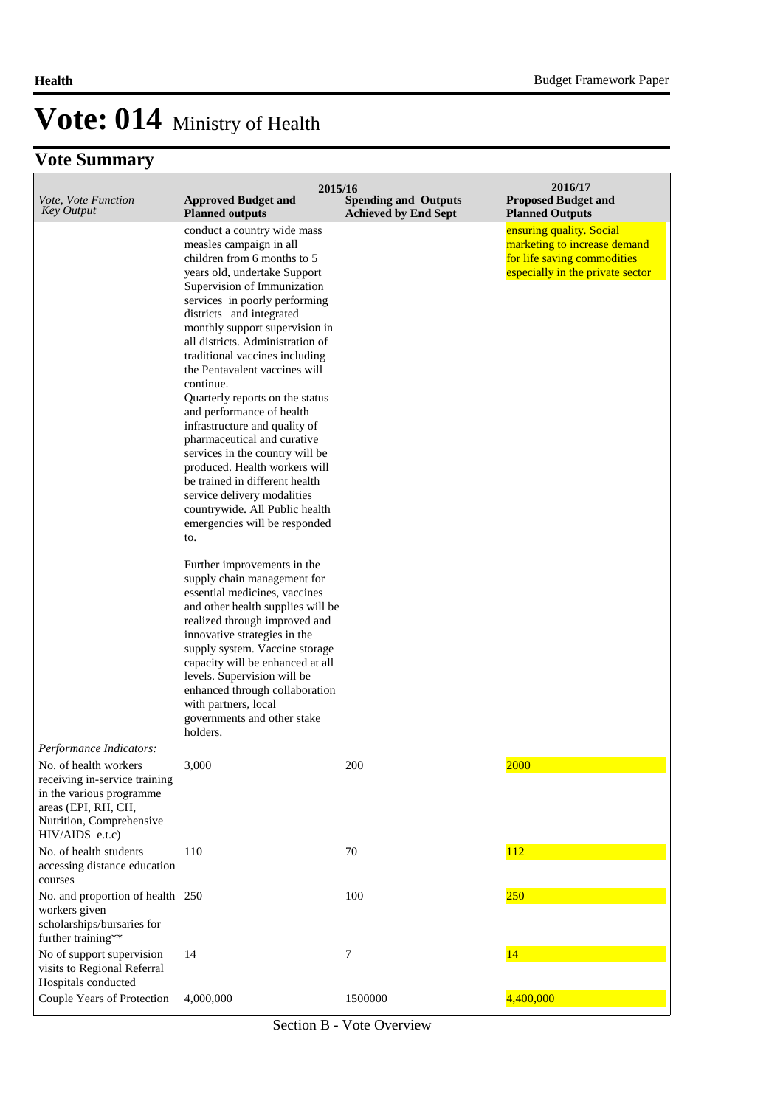| Vote, Vote Function                                                                                                                                      | 2015/16                                                                                                                                                                                                                                                                                                                                                                                                                                                                                                                                                                                                                                                                                                                                                                                                                                                                                                                                                                                                                                                            |                                                            | 2016/17<br><b>Proposed Budget and</b>                                                                                       |
|----------------------------------------------------------------------------------------------------------------------------------------------------------|--------------------------------------------------------------------------------------------------------------------------------------------------------------------------------------------------------------------------------------------------------------------------------------------------------------------------------------------------------------------------------------------------------------------------------------------------------------------------------------------------------------------------------------------------------------------------------------------------------------------------------------------------------------------------------------------------------------------------------------------------------------------------------------------------------------------------------------------------------------------------------------------------------------------------------------------------------------------------------------------------------------------------------------------------------------------|------------------------------------------------------------|-----------------------------------------------------------------------------------------------------------------------------|
| <b>Key Output</b>                                                                                                                                        | <b>Approved Budget and</b><br><b>Planned outputs</b>                                                                                                                                                                                                                                                                                                                                                                                                                                                                                                                                                                                                                                                                                                                                                                                                                                                                                                                                                                                                               | <b>Spending and Outputs</b><br><b>Achieved by End Sept</b> | <b>Planned Outputs</b>                                                                                                      |
|                                                                                                                                                          | conduct a country wide mass<br>measles campaign in all<br>children from 6 months to 5<br>years old, undertake Support<br>Supervision of Immunization<br>services in poorly performing<br>districts and integrated<br>monthly support supervision in<br>all districts. Administration of<br>traditional vaccines including<br>the Pentavalent vaccines will<br>continue.<br>Quarterly reports on the status<br>and performance of health<br>infrastructure and quality of<br>pharmaceutical and curative<br>services in the country will be<br>produced. Health workers will<br>be trained in different health<br>service delivery modalities<br>countrywide. All Public health<br>emergencies will be responded<br>to.<br>Further improvements in the<br>supply chain management for<br>essential medicines, vaccines<br>and other health supplies will be<br>realized through improved and<br>innovative strategies in the<br>supply system. Vaccine storage<br>capacity will be enhanced at all<br>levels. Supervision will be<br>enhanced through collaboration |                                                            | ensuring quality. Social<br>marketing to increase demand<br>for life saving commodities<br>especially in the private sector |
|                                                                                                                                                          | with partners, local<br>governments and other stake                                                                                                                                                                                                                                                                                                                                                                                                                                                                                                                                                                                                                                                                                                                                                                                                                                                                                                                                                                                                                |                                                            |                                                                                                                             |
| Performance Indicators:                                                                                                                                  | holders.                                                                                                                                                                                                                                                                                                                                                                                                                                                                                                                                                                                                                                                                                                                                                                                                                                                                                                                                                                                                                                                           |                                                            |                                                                                                                             |
| No. of health workers<br>receiving in-service training<br>in the various programme<br>areas (EPI, RH, CH,<br>Nutrition, Comprehensive<br>HIV/AIDS e.t.c) | 3,000                                                                                                                                                                                                                                                                                                                                                                                                                                                                                                                                                                                                                                                                                                                                                                                                                                                                                                                                                                                                                                                              | 200                                                        | 2000                                                                                                                        |
| No. of health students<br>accessing distance education<br>courses                                                                                        | 110                                                                                                                                                                                                                                                                                                                                                                                                                                                                                                                                                                                                                                                                                                                                                                                                                                                                                                                                                                                                                                                                | 70                                                         | 112                                                                                                                         |
| No. and proportion of health 250<br>workers given<br>scholarships/bursaries for<br>further training**                                                    |                                                                                                                                                                                                                                                                                                                                                                                                                                                                                                                                                                                                                                                                                                                                                                                                                                                                                                                                                                                                                                                                    | 100                                                        | 250                                                                                                                         |
| No of support supervision<br>visits to Regional Referral<br>Hospitals conducted                                                                          | 14                                                                                                                                                                                                                                                                                                                                                                                                                                                                                                                                                                                                                                                                                                                                                                                                                                                                                                                                                                                                                                                                 | 7                                                          | 14                                                                                                                          |
| Couple Years of Protection                                                                                                                               | 4,000,000                                                                                                                                                                                                                                                                                                                                                                                                                                                                                                                                                                                                                                                                                                                                                                                                                                                                                                                                                                                                                                                          | 1500000                                                    | 4,400,000                                                                                                                   |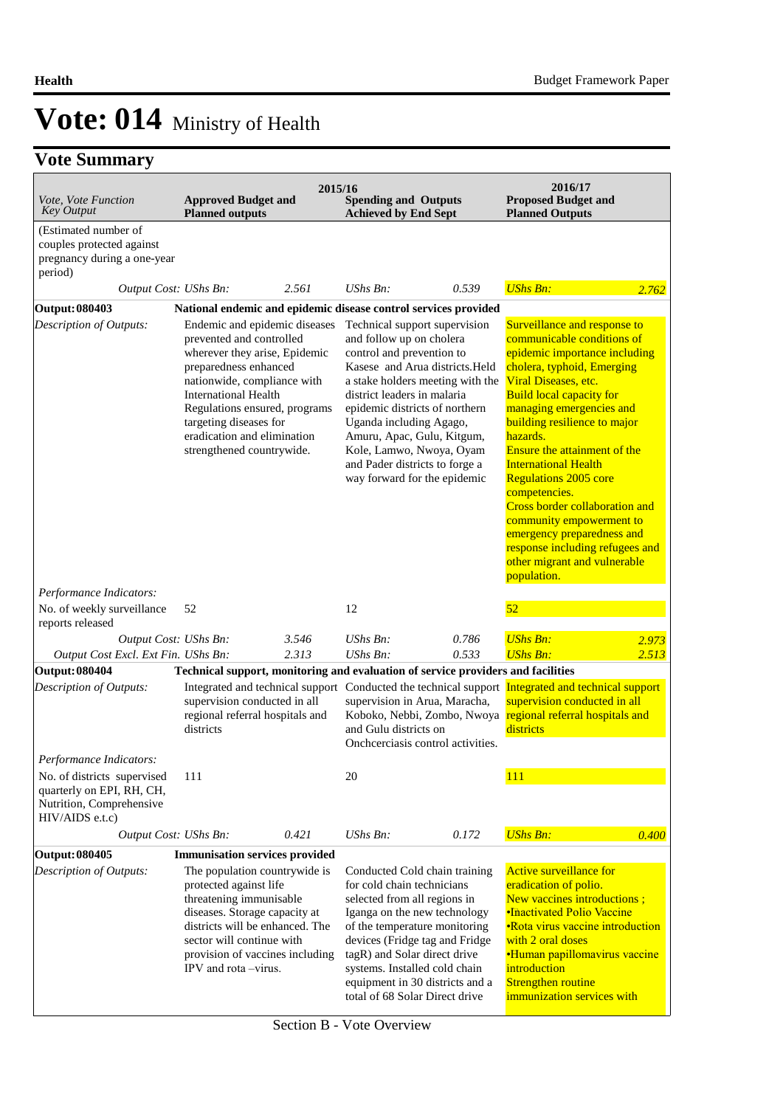| Vote, Vote Function<br><b>Key Output</b>                                                                | <b>Approved Budget and</b><br><b>Planned outputs</b>                                                                                                                                                                                                                                                     | 2015/16 | <b>Spending and Outputs</b><br><b>Achieved by End Sept</b>                                                                                                                                                                                                                                                                                                                            |       | 2016/17<br><b>Proposed Budget and</b><br><b>Planned Outputs</b>                                                                                                                                                                                                                                                                                                                                                                                                                                                                                                   |       |
|---------------------------------------------------------------------------------------------------------|----------------------------------------------------------------------------------------------------------------------------------------------------------------------------------------------------------------------------------------------------------------------------------------------------------|---------|---------------------------------------------------------------------------------------------------------------------------------------------------------------------------------------------------------------------------------------------------------------------------------------------------------------------------------------------------------------------------------------|-------|-------------------------------------------------------------------------------------------------------------------------------------------------------------------------------------------------------------------------------------------------------------------------------------------------------------------------------------------------------------------------------------------------------------------------------------------------------------------------------------------------------------------------------------------------------------------|-------|
| (Estimated number of<br>couples protected against<br>pregnancy during a one-year<br>period)             |                                                                                                                                                                                                                                                                                                          |         |                                                                                                                                                                                                                                                                                                                                                                                       |       |                                                                                                                                                                                                                                                                                                                                                                                                                                                                                                                                                                   |       |
| Output Cost: UShs Bn:                                                                                   |                                                                                                                                                                                                                                                                                                          | 2.561   | $UShs Bn$ :                                                                                                                                                                                                                                                                                                                                                                           | 0.539 | <b>UShs Bn:</b>                                                                                                                                                                                                                                                                                                                                                                                                                                                                                                                                                   | 2.762 |
| <b>Output: 080403</b>                                                                                   |                                                                                                                                                                                                                                                                                                          |         | National endemic and epidemic disease control services provided                                                                                                                                                                                                                                                                                                                       |       |                                                                                                                                                                                                                                                                                                                                                                                                                                                                                                                                                                   |       |
| Description of Outputs:                                                                                 | Endemic and epidemic diseases<br>prevented and controlled<br>wherever they arise, Epidemic<br>preparedness enhanced<br>nationwide, compliance with<br><b>International Health</b><br>Regulations ensured, programs<br>targeting diseases for<br>eradication and elimination<br>strengthened countrywide. |         | Technical support supervision<br>and follow up on cholera<br>control and prevention to<br>Kasese and Arua districts. Held<br>a stake holders meeting with the<br>district leaders in malaria<br>epidemic districts of northern<br>Uganda including Agago,<br>Amuru, Apac, Gulu, Kitgum,<br>Kole, Lamwo, Nwoya, Oyam<br>and Pader districts to forge a<br>way forward for the epidemic |       | Surveillance and response to<br>communicable conditions of<br>epidemic importance including<br>cholera, typhoid, Emerging<br>Viral Diseases, etc.<br><b>Build local capacity for</b><br>managing emergencies and<br>building resilience to major<br>hazards.<br>Ensure the attainment of the<br><b>International Health</b><br><b>Regulations 2005 core</b><br>competencies.<br><b>Cross border collaboration and</b><br>community empowerment to<br>emergency preparedness and<br>response including refugees and<br>other migrant and vulnerable<br>population. |       |
| Performance Indicators:<br>No. of weekly surveillance                                                   | 52                                                                                                                                                                                                                                                                                                       |         | 12                                                                                                                                                                                                                                                                                                                                                                                    |       | 52                                                                                                                                                                                                                                                                                                                                                                                                                                                                                                                                                                |       |
| reports released<br>Output Cost: UShs Bn:                                                               |                                                                                                                                                                                                                                                                                                          | 3.546   | UShs Bn:                                                                                                                                                                                                                                                                                                                                                                              | 0.786 | <b>UShs Bn:</b>                                                                                                                                                                                                                                                                                                                                                                                                                                                                                                                                                   | 2.973 |
| Output Cost Excl. Ext Fin. UShs Bn:                                                                     |                                                                                                                                                                                                                                                                                                          | 2.313   | UShs Bn:                                                                                                                                                                                                                                                                                                                                                                              | 0.533 | <b>UShs Bn:</b>                                                                                                                                                                                                                                                                                                                                                                                                                                                                                                                                                   | 2.513 |
| <b>Output: 080404</b>                                                                                   |                                                                                                                                                                                                                                                                                                          |         | Technical support, monitoring and evaluation of service providers and facilities                                                                                                                                                                                                                                                                                                      |       |                                                                                                                                                                                                                                                                                                                                                                                                                                                                                                                                                                   |       |
| Description of Outputs:                                                                                 | supervision conducted in all<br>regional referral hospitals and<br>districts                                                                                                                                                                                                                             |         | Integrated and technical support Conducted the technical support Integrated and technical support<br>supervision in Arua, Maracha,<br>Koboko, Nebbi, Zombo, Nwoya regional referral hospitals and<br>and Gulu districts on<br>Onchcerciasis control activities.                                                                                                                       |       | supervision conducted in all<br>districts                                                                                                                                                                                                                                                                                                                                                                                                                                                                                                                         |       |
| Performance Indicators:                                                                                 |                                                                                                                                                                                                                                                                                                          |         |                                                                                                                                                                                                                                                                                                                                                                                       |       |                                                                                                                                                                                                                                                                                                                                                                                                                                                                                                                                                                   |       |
| No. of districts supervised<br>quarterly on EPI, RH, CH,<br>Nutrition, Comprehensive<br>HIV/AIDS e.t.c) | 111                                                                                                                                                                                                                                                                                                      |         | 20                                                                                                                                                                                                                                                                                                                                                                                    |       | 111                                                                                                                                                                                                                                                                                                                                                                                                                                                                                                                                                               |       |
| Output Cost: UShs Bn:                                                                                   |                                                                                                                                                                                                                                                                                                          | 0.421   | UShs Bn:                                                                                                                                                                                                                                                                                                                                                                              | 0.172 | <b>UShs Bn:</b>                                                                                                                                                                                                                                                                                                                                                                                                                                                                                                                                                   | 0.400 |
| <b>Output: 080405</b>                                                                                   | <b>Immunisation services provided</b>                                                                                                                                                                                                                                                                    |         |                                                                                                                                                                                                                                                                                                                                                                                       |       |                                                                                                                                                                                                                                                                                                                                                                                                                                                                                                                                                                   |       |
| Description of Outputs:                                                                                 | The population countrywide is<br>protected against life<br>threatening immunisable<br>diseases. Storage capacity at<br>districts will be enhanced. The<br>sector will continue with<br>provision of vaccines including<br>IPV and rota –virus.                                                           |         | Conducted Cold chain training<br>for cold chain technicians<br>selected from all regions in<br>Iganga on the new technology<br>of the temperature monitoring<br>devices (Fridge tag and Fridge<br>tagR) and Solar direct drive<br>systems. Installed cold chain<br>equipment in 30 districts and a<br>total of 68 Solar Direct drive                                                  |       | <b>Active surveillance for</b><br>eradication of polio.<br>New vaccines introductions;<br><b>•Inactivated Polio Vaccine</b><br>• Rota virus vaccine introduction<br>with 2 oral doses<br><b>•Human papillomavirus vaccine</b><br>introduction<br><b>Strengthen routine</b><br>immunization services with                                                                                                                                                                                                                                                          |       |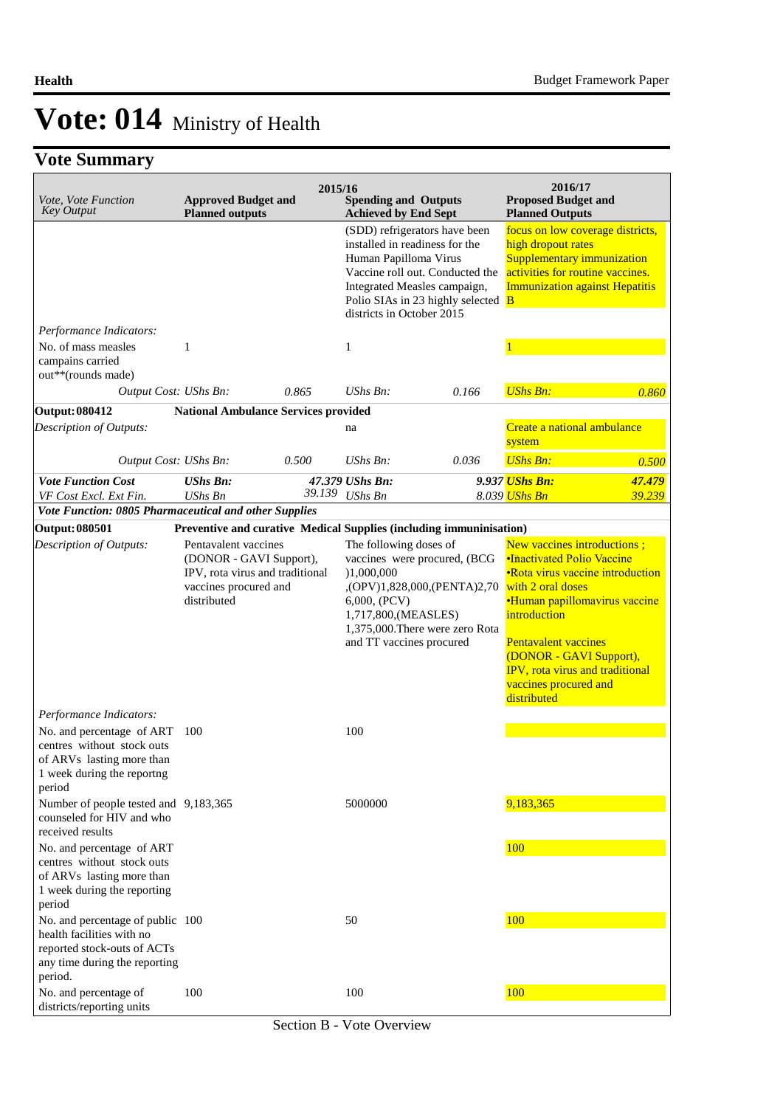| Vote, Vote Function<br><b>Key Output</b>                                                                                                                                                                                | <b>Approved Budget and</b><br><b>Planned outputs</b>                                                                       | 2015/16 | <b>Spending and Outputs</b><br><b>Achieved by End Sept</b>                                               |                                                                                                                                                     | 2016/17<br><b>Proposed Budget and</b><br><b>Planned Outputs</b>                                                                                                                                                                                                                                                        |        |
|-------------------------------------------------------------------------------------------------------------------------------------------------------------------------------------------------------------------------|----------------------------------------------------------------------------------------------------------------------------|---------|----------------------------------------------------------------------------------------------------------|-----------------------------------------------------------------------------------------------------------------------------------------------------|------------------------------------------------------------------------------------------------------------------------------------------------------------------------------------------------------------------------------------------------------------------------------------------------------------------------|--------|
|                                                                                                                                                                                                                         |                                                                                                                            |         | installed in readiness for the<br>Human Papilloma Virus<br>districts in October 2015                     | (SDD) refrigerators have been<br>Vaccine roll out. Conducted the<br>Integrated Measles campaign,<br>Polio SIAs in 23 highly selected $\overline{B}$ | focus on low coverage districts,<br>high dropout rates<br>Supplementary immunization<br>activities for routine vaccines.<br><b>Immunization against Hepatitis</b>                                                                                                                                                      |        |
| Performance Indicators:                                                                                                                                                                                                 |                                                                                                                            |         |                                                                                                          |                                                                                                                                                     |                                                                                                                                                                                                                                                                                                                        |        |
| No. of mass measles<br>campains carried<br>out**(rounds made)                                                                                                                                                           | 1                                                                                                                          |         | $\mathbf{1}$                                                                                             |                                                                                                                                                     |                                                                                                                                                                                                                                                                                                                        |        |
| Output Cost: UShs Bn:                                                                                                                                                                                                   |                                                                                                                            | 0.865   | $UShs Bn$ :                                                                                              | 0.166                                                                                                                                               | <b>UShs Bn:</b>                                                                                                                                                                                                                                                                                                        | 0.860  |
| <b>Output: 080412</b>                                                                                                                                                                                                   | <b>National Ambulance Services provided</b>                                                                                |         |                                                                                                          |                                                                                                                                                     |                                                                                                                                                                                                                                                                                                                        |        |
| Description of Outputs:                                                                                                                                                                                                 |                                                                                                                            |         | na                                                                                                       |                                                                                                                                                     | Create a national ambulance<br>system                                                                                                                                                                                                                                                                                  |        |
| Output Cost: UShs Bn:                                                                                                                                                                                                   |                                                                                                                            | 0.500   | UShs Bn:                                                                                                 | 0.036                                                                                                                                               | <b>UShs Bn:</b>                                                                                                                                                                                                                                                                                                        | 0.500  |
| <b>Vote Function Cost</b>                                                                                                                                                                                               | <b>UShs Bn:</b>                                                                                                            |         | 47.379 UShs Bn:                                                                                          |                                                                                                                                                     | 9.937 <i><b>UShs Bn:</b></i>                                                                                                                                                                                                                                                                                           | 47.479 |
| VF Cost Excl. Ext Fin.                                                                                                                                                                                                  | UShs Bn                                                                                                                    | 39.139  | UShs Bn                                                                                                  |                                                                                                                                                     | 8.039 UShs Bn                                                                                                                                                                                                                                                                                                          | 39.239 |
| Vote Function: 0805 Pharmaceutical and other Supplies                                                                                                                                                                   |                                                                                                                            |         |                                                                                                          |                                                                                                                                                     |                                                                                                                                                                                                                                                                                                                        |        |
| <b>Output: 080501</b>                                                                                                                                                                                                   | Preventive and curative Medical Supplies (including immuninisation)                                                        |         |                                                                                                          |                                                                                                                                                     |                                                                                                                                                                                                                                                                                                                        |        |
| Description of Outputs:<br>Performance Indicators:                                                                                                                                                                      | Pentavalent vaccines<br>(DONOR - GAVI Support),<br>IPV, rota virus and traditional<br>vaccines procured and<br>distributed |         | The following doses of<br>)1,000,000<br>6,000, (PCV)<br>1,717,800, (MEASLES)<br>and TT vaccines procured | vaccines were procured, (BCG<br>,(OPV)1,828,000,(PENTA)2,70<br>1,375,000. There were zero Rota                                                      | New vaccines introductions;<br><b>•Inactivated Polio Vaccine</b><br>•Rota virus vaccine introduction<br>with 2 oral doses<br><b>•Human papillomavirus vaccine</b><br>introduction<br><b>Pentavalent vaccines</b><br>(DONOR - GAVI Support),<br>IPV, rota virus and traditional<br>vaccines procured and<br>distributed |        |
| No. and percentage of ART<br>centres without stock outs<br>of ARVs lasting more than<br>1 week during the reportng<br>period                                                                                            | 100                                                                                                                        |         | 100                                                                                                      |                                                                                                                                                     |                                                                                                                                                                                                                                                                                                                        |        |
| Number of people tested and 9,183,365<br>counseled for HIV and who<br>received results<br>No. and percentage of ART<br>centres without stock outs<br>of ARVs lasting more than<br>1 week during the reporting<br>period |                                                                                                                            |         | 5000000                                                                                                  |                                                                                                                                                     | 9,183,365<br>100                                                                                                                                                                                                                                                                                                       |        |
| No. and percentage of public 100<br>health facilities with no<br>reported stock-outs of ACTs<br>any time during the reporting<br>period.                                                                                |                                                                                                                            |         | 50                                                                                                       |                                                                                                                                                     | 100                                                                                                                                                                                                                                                                                                                    |        |
| No. and percentage of<br>districts/reporting units                                                                                                                                                                      | 100                                                                                                                        |         | 100                                                                                                      |                                                                                                                                                     | 100                                                                                                                                                                                                                                                                                                                    |        |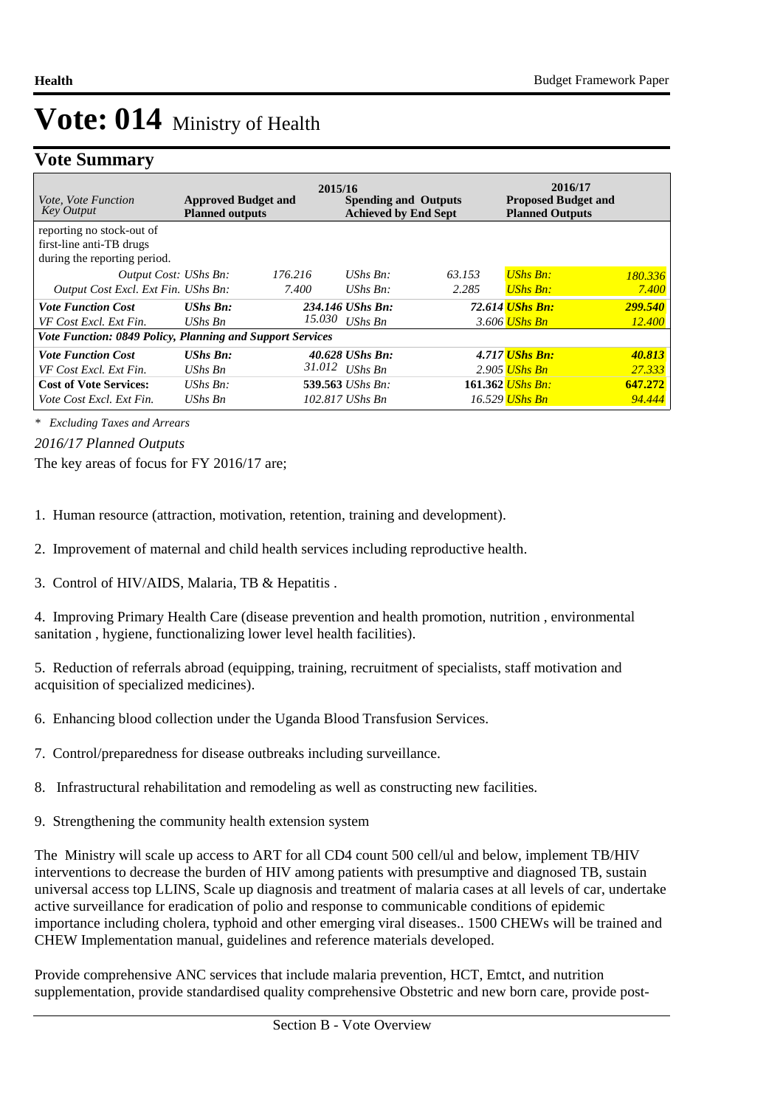## **Vote Summary**

| <i>Vote, Vote Function</i><br><b>Key Output</b>           | <b>Approved Budget and</b><br><b>Planned outputs</b> | 2015/16 | <b>Spending and Outputs</b><br><b>Achieved by End Sept</b> |        | 2016/17<br><b>Proposed Budget and</b><br><b>Planned Outputs</b> |         |  |  |
|-----------------------------------------------------------|------------------------------------------------------|---------|------------------------------------------------------------|--------|-----------------------------------------------------------------|---------|--|--|
| reporting no stock-out of                                 |                                                      |         |                                                            |        |                                                                 |         |  |  |
| first-line anti-TB drugs                                  |                                                      |         |                                                            |        |                                                                 |         |  |  |
| during the reporting period.                              |                                                      |         |                                                            |        |                                                                 |         |  |  |
| Output Cost: UShs Bn:                                     |                                                      | 176.216 | UShs $Bn$ :                                                | 63.153 | $UShs Bn:$                                                      | 180.336 |  |  |
| Output Cost Excl. Ext Fin. UShs Bn:                       |                                                      | 7.400   | UShs $Bn$ :                                                | 2.285  | <b>UShs Bn:</b>                                                 | 7.400   |  |  |
| <b>Vote Function Cost</b>                                 | <b>UShs Bn:</b>                                      |         | 234.146 UShs Bn:                                           |        | 72.614 <i>UShs Bn:</i>                                          | 299.540 |  |  |
| VF Cost Excl. Ext Fin.                                    | UShs Bn                                              | 15.030  | $UShs$ $Bn$                                                |        | 3.606 UShs Bn                                                   | 12.400  |  |  |
| Vote Function: 0849 Policy, Planning and Support Services |                                                      |         |                                                            |        |                                                                 |         |  |  |
| <b>Vote Function Cost</b>                                 | $UShs Bn:$                                           |         | 40.628 UShs Bn:                                            |        | 4.717 <i>UShs Bn:</i>                                           | 40.813  |  |  |
| VF Cost Excl. Ext Fin.                                    | UShs Bn                                              | 31.012  | $UShs$ $Bn$                                                |        | 2.905 UShs Bn                                                   | 27.333  |  |  |
| <b>Cost of Vote Services:</b>                             | UShs $Bn$ :                                          |         | 539.563 UShs Bn:                                           |        | 161.362 UShs Bn:                                                | 647.272 |  |  |
| Vote Cost Excl. Ext Fin.                                  | UShs Bn                                              |         | 102.817 UShs Bn                                            |        | 16.529 <mark>UShs Bn</mark>                                     | 94.444  |  |  |

*\* Excluding Taxes and Arrears*

*2016/17 Planned Outputs*

The key areas of focus for FY 2016/17 are;

1. Human resource (attraction, motivation, retention, training and development).

2. Improvement of maternal and child health services including reproductive health.

3. Control of HIV/AIDS, Malaria, TB & Hepatitis .

4. Improving Primary Health Care (disease prevention and health promotion, nutrition, environmental sanitation , hygiene, functionalizing lower level health facilities).

5. Reduction of referrals abroad (equipping, training, recruitment of specialists, staff motivation and acquisition of specialized medicines).

- 6. Enhancing blood collection under the Uganda Blood Transfusion Services.
- 7. Control/preparedness for disease outbreaks including surveillance.
- 8. Infrastructural rehabilitation and remodeling as well as constructing new facilities.
- 9. Strengthening the community health extension system

The Ministry will scale up access to ART for all CD4 count 500 cell/ul and below, implement TB/HIV interventions to decrease the burden of HIV among patients with presumptive and diagnosed TB, sustain universal access top LLINS, Scale up diagnosis and treatment of malaria cases at all levels of car, undertake active surveillance for eradication of polio and response to communicable conditions of epidemic importance including cholera, typhoid and other emerging viral diseases.. 1500 CHEWs will be trained and CHEW Implementation manual, guidelines and reference materials developed.

Provide comprehensive ANC services that include malaria prevention, HCT, Emtct, and nutrition supplementation, provide standardised quality comprehensive Obstetric and new born care, provide post-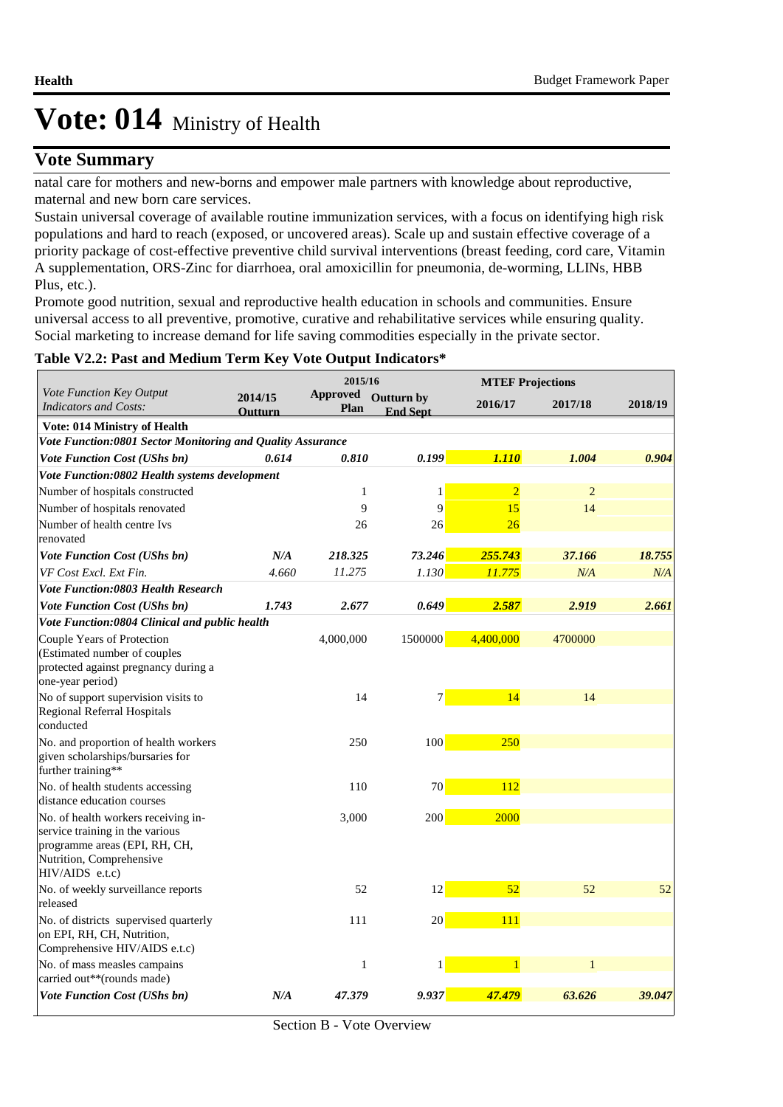### **Vote Summary**

natal care for mothers and new-borns and empower male partners with knowledge about reproductive, maternal and new born care services.

Sustain universal coverage of available routine immunization services, with a focus on identifying high risk populations and hard to reach (exposed, or uncovered areas). Scale up and sustain effective coverage of a priority package of cost-effective preventive child survival interventions (breast feeding, cord care, Vitamin A supplementation, ORS-Zinc for diarrhoea, oral amoxicillin for pneumonia, de-worming, LLINs, HBB Plus, etc.).

Promote good nutrition, sexual and reproductive health education in schools and communities. Ensure universal access to all preventive, promotive, curative and rehabilitative services while ensuring quality. Social marketing to increase demand for life saving commodities especially in the private sector.

### **Table V2.2: Past and Medium Term Key Vote Output Indicators\***

|                                                                                                                                                        | 2015/16                   |                         |                               | <b>MTEF Projections</b> |                |         |
|--------------------------------------------------------------------------------------------------------------------------------------------------------|---------------------------|-------------------------|-------------------------------|-------------------------|----------------|---------|
| Vote Function Key Output<br><b>Indicators and Costs:</b>                                                                                               | 2014/15<br><b>Outturn</b> | <b>Approved</b><br>Plan | Outturn by<br><b>End Sept</b> | 2016/17                 | 2017/18        | 2018/19 |
| <b>Vote: 014 Ministry of Health</b>                                                                                                                    |                           |                         |                               |                         |                |         |
| Vote Function:0801 Sector Monitoring and Quality Assurance                                                                                             |                           |                         |                               |                         |                |         |
| Vote Function Cost (UShs bn)                                                                                                                           | 0.614                     | 0.810                   | 0.199                         | 1.110                   | 1.004          | 0.904   |
| Vote Function:0802 Health systems development                                                                                                          |                           |                         |                               |                         |                |         |
| Number of hospitals constructed                                                                                                                        |                           | $\mathbf{1}$            | 1                             | $\overline{2}$          | $\overline{2}$ |         |
| Number of hospitals renovated                                                                                                                          |                           | 9                       | 9                             | 15                      | 14             |         |
| Number of health centre Ivs<br>renovated                                                                                                               |                           | 26                      | 26                            | 26                      |                |         |
| <b>Vote Function Cost (UShs bn)</b>                                                                                                                    | N/A                       | 218.325                 | 73.246                        | 255.743                 | 37.166         | 18.755  |
| VF Cost Excl. Ext Fin.                                                                                                                                 | 4.660                     | 11.275                  | 1.130                         | 11.775                  | N/A            | N/A     |
| <b>Vote Function:0803 Health Research</b>                                                                                                              |                           |                         |                               |                         |                |         |
| <b>Vote Function Cost (UShs bn)</b>                                                                                                                    | 1.743                     | 2.677                   | 0.649                         | 2.587                   | 2.919          | 2.661   |
| Vote Function:0804 Clinical and public health                                                                                                          |                           |                         |                               |                         |                |         |
| Couple Years of Protection<br>(Estimated number of couples<br>protected against pregnancy during a<br>one-year period)                                 |                           | 4,000,000               | 1500000                       | 4,400,000               | 4700000        |         |
| No of support supervision visits to<br>Regional Referral Hospitals<br>conducted                                                                        |                           | 14                      | 7                             | 14                      | 14             |         |
| No. and proportion of health workers<br>given scholarships/bursaries for<br>further training**                                                         |                           | 250                     | 100                           | 250                     |                |         |
| No. of health students accessing<br>distance education courses                                                                                         |                           | 110                     | 70                            | 112                     |                |         |
| No. of health workers receiving in-<br>service training in the various<br>programme areas (EPI, RH, CH,<br>Nutrition, Comprehensive<br>HIV/AIDS e.t.c) |                           | 3,000                   | 200                           | 2000                    |                |         |
| No. of weekly surveillance reports                                                                                                                     |                           | 52                      | 12                            | 52                      | 52             | 52      |
| released<br>No. of districts supervised quarterly<br>on EPI, RH, CH, Nutrition,<br>Comprehensive HIV/AIDS e.t.c)                                       |                           | 111                     | 20                            | 111                     |                |         |
| No. of mass measles campains<br>carried out**(rounds made)                                                                                             |                           | 1                       | 1                             | $\mathbf{1}$            |                |         |
| Vote Function Cost (UShs bn)                                                                                                                           | N/A                       | 47.379                  | 9.937                         | 47.479                  | 63.626         | 39.047  |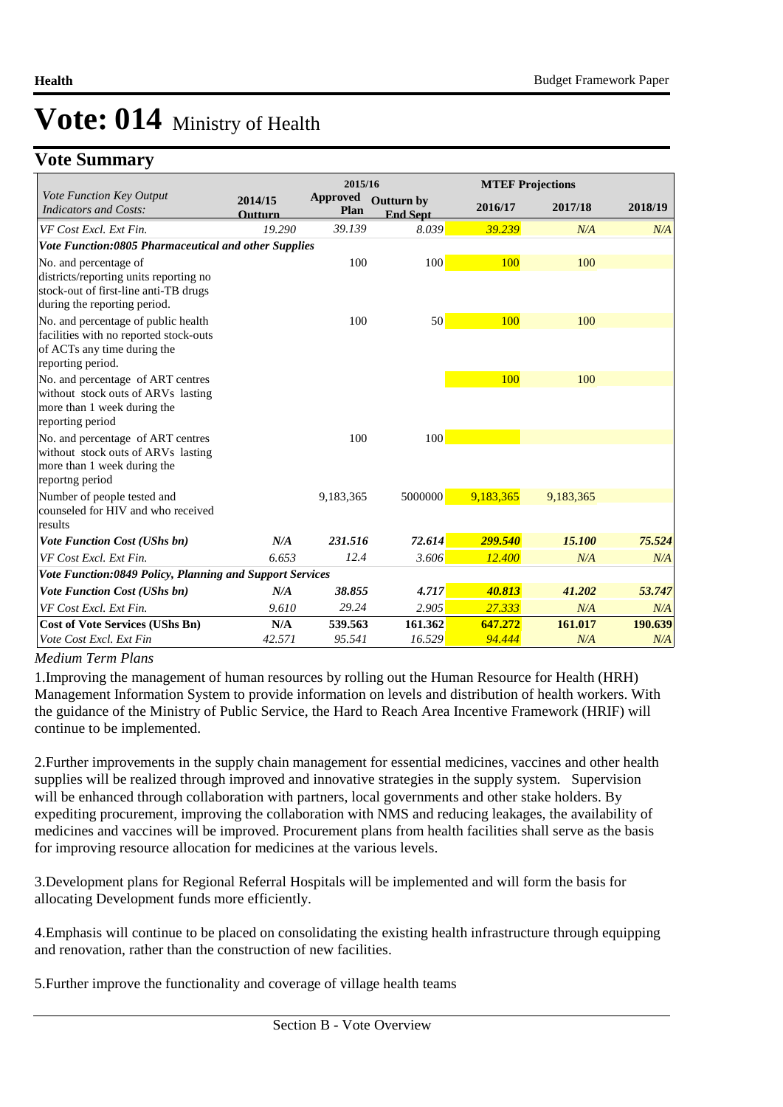## **Vote Summary**

|                                                                                                                                   |                           | 2015/16                 |                                      |           | <b>MTEF Projections</b> |         |
|-----------------------------------------------------------------------------------------------------------------------------------|---------------------------|-------------------------|--------------------------------------|-----------|-------------------------|---------|
| Vote Function Key Output<br><b>Indicators and Costs:</b>                                                                          | 2014/15<br><b>Outturn</b> | <b>Approved</b><br>Plan | <b>Outturn by</b><br><b>End Sept</b> | 2016/17   | 2017/18                 | 2018/19 |
| VF Cost Excl. Ext Fin.                                                                                                            | 19.290                    | 39.139                  | 8.039                                | 39.239    | N/A                     | N/A     |
| Vote Function:0805 Pharmaceutical and other Supplies                                                                              |                           |                         |                                      |           |                         |         |
| No. and percentage of<br>districts/reporting units reporting no<br>stock-out of first-line anti-TB drugs                          |                           | 100                     | 100                                  | 100       | 100                     |         |
| during the reporting period.                                                                                                      |                           |                         |                                      |           |                         |         |
| No. and percentage of public health<br>facilities with no reported stock-outs<br>of ACTs any time during the<br>reporting period. |                           | 100                     | 50                                   | 100       | 100                     |         |
| No. and percentage of ART centres<br>without stock outs of ARVs lasting<br>more than 1 week during the<br>reporting period        |                           |                         |                                      | 100       | 100                     |         |
| No. and percentage of ART centres<br>without stock outs of ARVs lasting<br>more than 1 week during the<br>reportng period         |                           | 100                     | 100                                  |           |                         |         |
| Number of people tested and<br>counseled for HIV and who received<br>results                                                      |                           | 9,183,365               | 5000000                              | 9,183,365 | 9,183,365               |         |
| <b>Vote Function Cost (UShs bn)</b>                                                                                               | N/A                       | 231.516                 | 72.614                               | 299.540   | 15.100                  | 75.524  |
| VF Cost Excl. Ext Fin.                                                                                                            | 6.653                     | 12.4                    | 3.606                                | 12.400    | N/A                     | N/A     |
| Vote Function:0849 Policy, Planning and Support Services                                                                          |                           |                         |                                      |           |                         |         |
| <b>Vote Function Cost (UShs bn)</b>                                                                                               | N/A                       | 38.855                  | 4.717                                | 40.813    | 41.202                  | 53.747  |
| VF Cost Excl. Ext Fin.                                                                                                            | 9.610                     | 29.24                   | 2.905                                | 27.333    | N/A                     | N/A     |
| <b>Cost of Vote Services (UShs Bn)</b>                                                                                            | N/A                       | 539.563                 | 161.362                              | 647.272   | 161.017                 | 190.639 |
| Vote Cost Excl. Ext Fin                                                                                                           | 42.571                    | 95.541                  | 16.529                               | 94.444    | N/A                     | N/A     |

#### *Medium Term Plans*

1. Improving the management of human resources by rolling out the Human Resource for Health (HRH) Management Information System to provide information on levels and distribution of health workers. With the guidance of the Ministry of Public Service, the Hard to Reach Area Incentive Framework (HRIF) will continue to be implemented.

2. Further improvements in the supply chain management for essential medicines, vaccines and other health supplies will be realized through improved and innovative strategies in the supply system. Supervision will be enhanced through collaboration with partners, local governments and other stake holders. By expediting procurement, improving the collaboration with NMS and reducing leakages, the availability of medicines and vaccines will be improved. Procurement plans from health facilities shall serve as the basis for improving resource allocation for medicines at the various levels.

3. Development plans for Regional Referral Hospitals will be implemented and will form the basis for allocating Development funds more efficiently.

4. Emphasis will continue to be placed on consolidating the existing health infrastructure through equipping and renovation, rather than the construction of new facilities.

5. Further improve the functionality and coverage of village health teams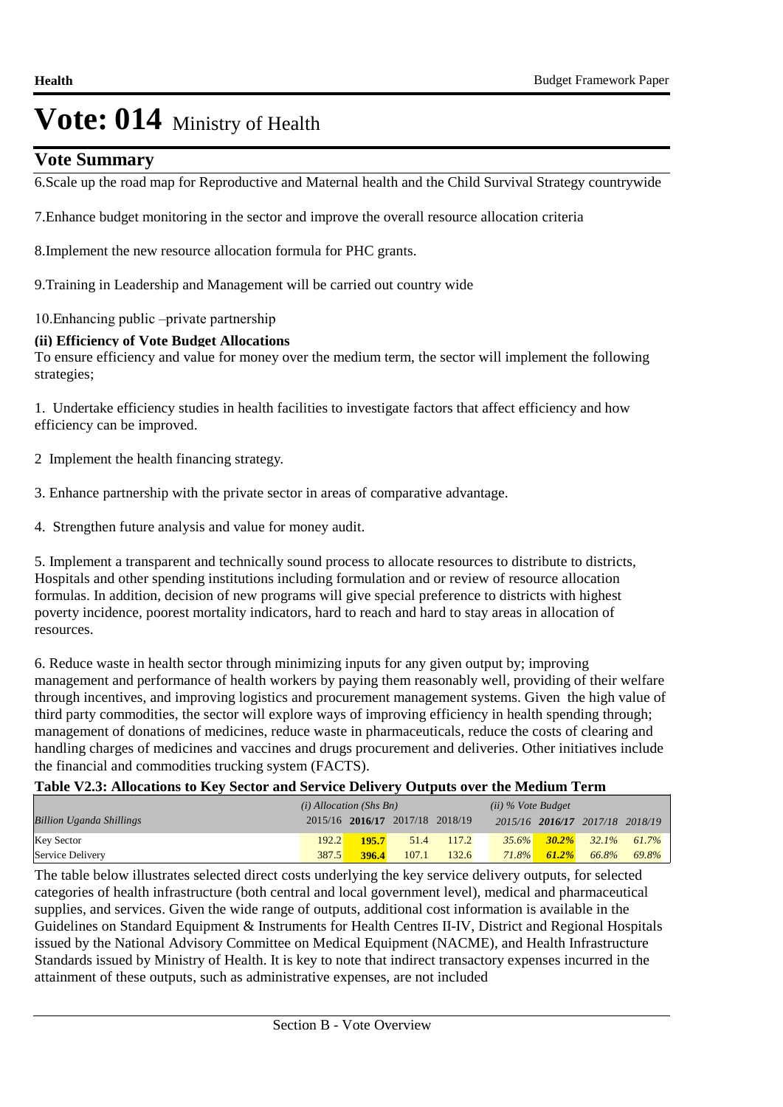### **Vote Summary**

6. Scale up the road map for Reproductive and Maternal health and the Child Survival Strategy countrywide

7. Enhance budget monitoring in the sector and improve the overall resource allocation criteria

8. Implement the new resource allocation formula for PHC grants.

9. Training in Leadership and Management will be carried out country wide

10. Enhancing public –private partnership

### **(ii) Efficiency of Vote Budget Allocations**

To ensure efficiency and value for money over the medium term, the sector will implement the following strategies;

1. Undertake efficiency studies in health facilities to investigate factors that affect efficiency and how efficiency can be improved.

2 Implement the health financing strategy.

3. Enhance partnership with the private sector in areas of comparative advantage.

4. Strengthen future analysis and value for money audit.

5. Implement a transparent and technically sound process to allocate resources to distribute to districts, Hospitals and other spending institutions including formulation and or review of resource allocation formulas. In addition, decision of new programs will give special preference to districts with highest poverty incidence, poorest mortality indicators, hard to reach and hard to stay areas in allocation of resources.

6. Reduce waste in health sector through minimizing inputs for any given output by; improving management and performance of health workers by paying them reasonably well, providing of their welfare through incentives, and improving logistics and procurement management systems. Given the high value of third party commodities, the sector will explore ways of improving efficiency in health spending through; management of donations of medicines, reduce waste in pharmaceuticals, reduce the costs of clearing and handling charges of medicines and vaccines and drugs procurement and deliveries. Other initiatives include the financial and commodities trucking system (FACTS).

**Table V2.3: Allocations to Key Sector and Service Delivery Outputs over the Medium Term**

|                                 | $(i)$ Allocation (Shs Bn) |       |                                 | $(ii)$ % Vote Budget |          |          |                                 |          |
|---------------------------------|---------------------------|-------|---------------------------------|----------------------|----------|----------|---------------------------------|----------|
| <b>Billion Uganda Shillings</b> |                           |       | 2015/16 2016/17 2017/18 2018/19 |                      |          |          | 2015/16 2016/17 2017/18 2018/19 |          |
| <b>Key Sector</b>               | 192.2                     | 195.7 | 51.4                            | 117.2                | $35.6\%$ |          | $30.2\%$ 32.1%                  | $61.7\%$ |
| Service Delivery                | 387.5                     | 396.4 | 107.1                           | 132.6                | $71.8\%$ | $61.2\%$ | 66.8%                           | 69.8%    |

The table below illustrates selected direct costs underlying the key service delivery outputs, for selected categories of health infrastructure (both central and local government level), medical and pharmaceutical supplies, and services. Given the wide range of outputs, additional cost information is available in the Guidelines on Standard Equipment & Instruments for Health Centres II-IV, District and Regional Hospitals issued by the National Advisory Committee on Medical Equipment (NACME), and Health Infrastructure Standards issued by Ministry of Health. It is key to note that indirect transactory expenses incurred in the attainment of these outputs, such as administrative expenses, are not included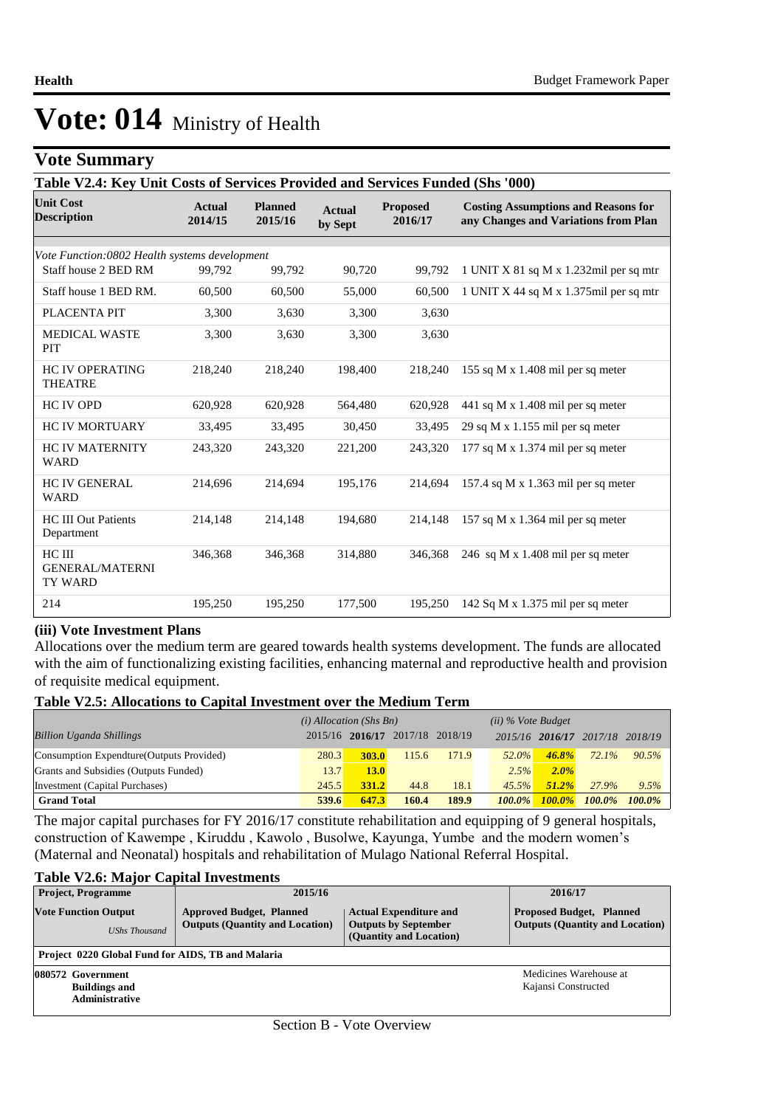## **Vote Summary**

| Table V2.4: Key Unit Costs of Services Provided and Services Funded (Shs '000) |                          |                           |                          |                            |                                                                                    |  |
|--------------------------------------------------------------------------------|--------------------------|---------------------------|--------------------------|----------------------------|------------------------------------------------------------------------------------|--|
| <b>Unit Cost</b><br><b>Description</b>                                         | <b>Actual</b><br>2014/15 | <b>Planned</b><br>2015/16 | <b>Actual</b><br>by Sept | <b>Proposed</b><br>2016/17 | <b>Costing Assumptions and Reasons for</b><br>any Changes and Variations from Plan |  |
| Vote Function:0802 Health systems development                                  |                          |                           |                          |                            |                                                                                    |  |
| Staff house 2 BED RM                                                           | 99.792                   | 99,792                    | 90,720                   | 99,792                     | 1 UNIT X 81 sq M x 1.232mil per sq mtr                                             |  |
| Staff house 1 BED RM.                                                          | 60,500                   | 60,500                    | 55,000                   | 60,500                     | 1 UNIT X 44 sq M x 1.375 mil per sq mtr                                            |  |
| PLACENTA PIT                                                                   | 3,300                    | 3,630                     | 3,300                    | 3,630                      |                                                                                    |  |
| <b>MEDICAL WASTE</b><br><b>PIT</b>                                             | 3,300                    | 3.630                     | 3,300                    | 3,630                      |                                                                                    |  |
| <b>HC IV OPERATING</b><br><b>THEATRE</b>                                       | 218,240                  | 218,240                   | 198,400                  | 218,240                    | 155 sq M x 1.408 mil per sq meter                                                  |  |
| <b>HC IV OPD</b>                                                               | 620,928                  | 620,928                   | 564,480                  | 620,928                    | 441 sq M x $1.408$ mil per sq meter                                                |  |
| <b>HC IV MORTUARY</b>                                                          | 33,495                   | 33,495                    | 30,450                   | 33,495                     | 29 sq M x $1.155$ mil per sq meter                                                 |  |
| <b>HC IV MATERNITY</b><br><b>WARD</b>                                          | 243,320                  | 243,320                   | 221,200                  | 243,320                    | 177 sq M x 1.374 mil per sq meter                                                  |  |
| <b>HC IV GENERAL</b><br><b>WARD</b>                                            | 214,696                  | 214,694                   | 195,176                  | 214,694                    | 157.4 sq M x $1.363$ mil per sq meter                                              |  |
| <b>HC III Out Patients</b><br>Department                                       | 214,148                  | 214,148                   | 194,680                  | 214,148                    | 157 sq M x $1.364$ mil per sq meter                                                |  |
| HC III<br><b>GENERAL/MATERNI</b><br>TY WARD                                    | 346,368                  | 346,368                   | 314,880                  | 346,368                    | 246 sq M x $1.408$ mil per sq meter                                                |  |
| 214                                                                            | 195,250                  | 195,250                   | 177,500                  | 195,250                    | 142 Sq M x $1.375$ mil per sq meter                                                |  |

### **(iii) Vote Investment Plans**

Allocations over the medium term are geared towards health systems development. The funds are allocated with the aim of functionalizing existing facilities, enhancing maternal and reproductive health and provision of requisite medical equipment.

### **Table V2.5: Allocations to Capital Investment over the Medium Term**

|                                           | $(i)$ Allocation (Shs Bn) |              |                                 | $(ii)$ % Vote Budget |           |                 |          |           |
|-------------------------------------------|---------------------------|--------------|---------------------------------|----------------------|-----------|-----------------|----------|-----------|
| <b>Billion Uganda Shillings</b>           |                           |              | 2015/16 2016/17 2017/18 2018/19 |                      |           | 2015/16 2016/17 | 2017/18  | 2018/19   |
| Consumption Expendture (Outputs Provided) | 280.3                     | <b>303.0</b> | 115.6                           | 171.9                | $52.0\%$  | $46.8\%$        | $72.1\%$ | 90.5%     |
| Grants and Subsidies (Outputs Funded)     | 13.7                      | 13.0         |                                 |                      | 2.5%      | $2.0\%$         |          |           |
| Investment (Capital Purchases)            | 245.5                     | <b>331.2</b> | 44.8                            | 18.1                 | 45.5%     | $51.2\%$        | 27.9%    | 9.5%      |
| <b>Grand Total</b>                        | 539.6                     | 647.3        | 160.4                           | 189.9                | $100.0\%$ | $100.0\%$       | 100.0%   | $100.0\%$ |

The major capital purchases for FY 2016/17 constitute rehabilitation and equipping of 9 general hospitals, construction of Kawempe , Kiruddu , Kawolo , Busolwe, Kayunga, Yumbe and the modern women's (Maternal and Neonatal) hospitals and rehabilitation of Mulago National Referral Hospital.

### **Table V2.6: Major Capital Investments**

| <b>Project, Programme</b>                                          | 2015/16                                                                   |                                                                                         | 2016/17                                                                   |  |  |  |  |
|--------------------------------------------------------------------|---------------------------------------------------------------------------|-----------------------------------------------------------------------------------------|---------------------------------------------------------------------------|--|--|--|--|
| <b>Vote Function Output</b><br><b>UShs Thousand</b>                | <b>Approved Budget, Planned</b><br><b>Outputs (Quantity and Location)</b> | <b>Actual Expenditure and</b><br><b>Outputs by September</b><br>(Quantity and Location) | <b>Proposed Budget, Planned</b><br><b>Outputs (Quantity and Location)</b> |  |  |  |  |
|                                                                    | Project 0220 Global Fund for AIDS, TB and Malaria                         |                                                                                         |                                                                           |  |  |  |  |
| 080572 Government<br><b>Buildings and</b><br><b>Administrative</b> |                                                                           |                                                                                         | Medicines Warehouse at<br>Kajansi Constructed                             |  |  |  |  |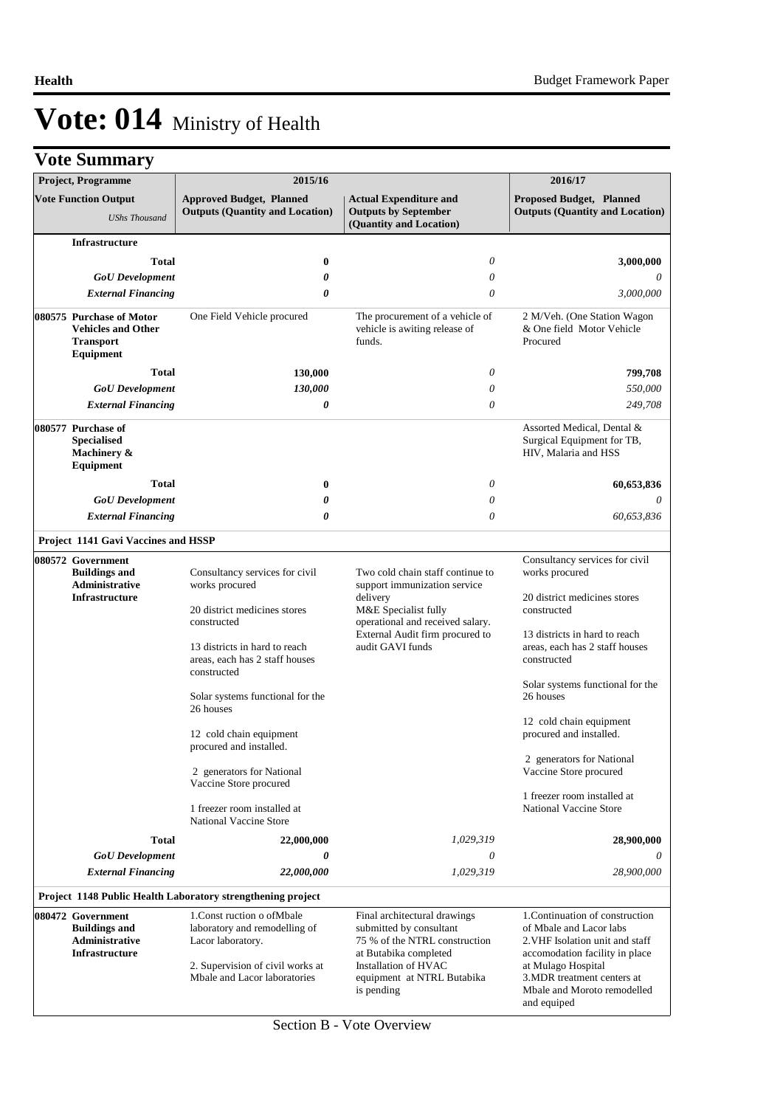|  | <b>Vote Summary</b> |  |
|--|---------------------|--|
|--|---------------------|--|

|  | <b>Project, Programme</b>                                                                     | 2015/16                                                                                                                                               |                                                                                                                                                                                       | 2016/17                                                                                                                                                                                                                            |
|--|-----------------------------------------------------------------------------------------------|-------------------------------------------------------------------------------------------------------------------------------------------------------|---------------------------------------------------------------------------------------------------------------------------------------------------------------------------------------|------------------------------------------------------------------------------------------------------------------------------------------------------------------------------------------------------------------------------------|
|  | <b>Vote Function Output</b><br><b>UShs Thousand</b>                                           | <b>Approved Budget, Planned</b><br><b>Outputs (Quantity and Location)</b>                                                                             | <b>Actual Expenditure and</b><br><b>Outputs by September</b><br>(Quantity and Location)                                                                                               | Proposed Budget, Planned<br><b>Outputs (Quantity and Location)</b>                                                                                                                                                                 |
|  | Infrastructure                                                                                |                                                                                                                                                       |                                                                                                                                                                                       |                                                                                                                                                                                                                                    |
|  | <b>Total</b>                                                                                  | $\bf{0}$                                                                                                                                              | $\theta$                                                                                                                                                                              | 3,000,000                                                                                                                                                                                                                          |
|  | <b>GoU</b> Development                                                                        | 0                                                                                                                                                     | $\theta$                                                                                                                                                                              | 0                                                                                                                                                                                                                                  |
|  | <b>External Financing</b>                                                                     | 0                                                                                                                                                     | $\theta$                                                                                                                                                                              | 3,000,000                                                                                                                                                                                                                          |
|  | 080575 Purchase of Motor<br><b>Vehicles and Other</b><br><b>Transport</b><br><b>Equipment</b> | One Field Vehicle procured                                                                                                                            | The procurement of a vehicle of<br>vehicle is awiting release of<br>funds.                                                                                                            | 2 M/Veh. (One Station Wagon<br>& One field Motor Vehicle<br>Procured                                                                                                                                                               |
|  | <b>Total</b>                                                                                  | 130,000                                                                                                                                               | $\theta$                                                                                                                                                                              | 799,708                                                                                                                                                                                                                            |
|  | <b>GoU</b> Development                                                                        | 130,000                                                                                                                                               | $\theta$                                                                                                                                                                              | 550,000                                                                                                                                                                                                                            |
|  | <b>External Financing</b>                                                                     | 0                                                                                                                                                     | $\theta$                                                                                                                                                                              | 249,708                                                                                                                                                                                                                            |
|  | 080577 Purchase of<br><b>Specialised</b><br>Machinery &<br>Equipment                          |                                                                                                                                                       |                                                                                                                                                                                       | Assorted Medical, Dental &<br>Surgical Equipment for TB,<br>HIV, Malaria and HSS                                                                                                                                                   |
|  | <b>Total</b>                                                                                  | $\bf{0}$                                                                                                                                              | $\theta$                                                                                                                                                                              | 60,653,836                                                                                                                                                                                                                         |
|  | <b>GoU</b> Development                                                                        | 0                                                                                                                                                     | $\theta$                                                                                                                                                                              | $\theta$                                                                                                                                                                                                                           |
|  | <b>External Financing</b>                                                                     | 0                                                                                                                                                     | $\theta$                                                                                                                                                                              | 60,653,836                                                                                                                                                                                                                         |
|  | Project 1141 Gavi Vaccines and HSSP                                                           |                                                                                                                                                       |                                                                                                                                                                                       |                                                                                                                                                                                                                                    |
|  | 080572 Government<br><b>Buildings and</b>                                                     | Consultancy services for civil                                                                                                                        | Two cold chain staff continue to                                                                                                                                                      | Consultancy services for civil<br>works procured                                                                                                                                                                                   |
|  | Administrative<br><b>Infrastructure</b>                                                       | works procured<br>support immunization service<br>delivery                                                                                            |                                                                                                                                                                                       | 20 district medicines stores                                                                                                                                                                                                       |
|  |                                                                                               | 20 district medicines stores<br>constructed                                                                                                           | M&E Specialist fully<br>operational and received salary.                                                                                                                              | constructed                                                                                                                                                                                                                        |
|  |                                                                                               | 13 districts in hard to reach<br>areas, each has 2 staff houses<br>constructed                                                                        | External Audit firm procured to<br>audit GAVI funds                                                                                                                                   | 13 districts in hard to reach<br>areas, each has 2 staff houses<br>constructed                                                                                                                                                     |
|  |                                                                                               | Solar systems functional for the<br>26 houses                                                                                                         |                                                                                                                                                                                       | Solar systems functional for the<br>26 houses                                                                                                                                                                                      |
|  |                                                                                               | 12 cold chain equipment<br>procured and installed.                                                                                                    |                                                                                                                                                                                       | 12 cold chain equipment<br>procured and installed.                                                                                                                                                                                 |
|  |                                                                                               | 2 generators for National<br>Vaccine Store procured                                                                                                   |                                                                                                                                                                                       | 2 generators for National<br>Vaccine Store procured                                                                                                                                                                                |
|  |                                                                                               | 1 freezer room installed at<br>National Vaccine Store                                                                                                 |                                                                                                                                                                                       | 1 freezer room installed at<br><b>National Vaccine Store</b>                                                                                                                                                                       |
|  | <b>Total</b>                                                                                  | 22,000,000                                                                                                                                            | 1,029,319                                                                                                                                                                             | 28,900,000                                                                                                                                                                                                                         |
|  | <b>GoU</b> Development                                                                        | 0                                                                                                                                                     | $\theta$                                                                                                                                                                              | 0                                                                                                                                                                                                                                  |
|  | <b>External Financing</b>                                                                     | 22,000,000                                                                                                                                            | 1,029,319                                                                                                                                                                             | 28,900,000                                                                                                                                                                                                                         |
|  |                                                                                               | Project 1148 Public Health Laboratory strengthening project                                                                                           |                                                                                                                                                                                       |                                                                                                                                                                                                                                    |
|  | 080472 Government<br><b>Buildings and</b><br>Administrative<br>Infrastructure                 | 1. Const ruction o of Mbale<br>laboratory and remodelling of<br>Lacor laboratory.<br>2. Supervision of civil works at<br>Mbale and Lacor laboratories | Final architectural drawings<br>submitted by consultant<br>75 % of the NTRL construction<br>at Butabika completed<br>Installation of HVAC<br>equipment at NTRL Butabika<br>is pending | 1. Continuation of construction<br>of Mbale and Lacor labs<br>2. VHF Isolation unit and staff<br>accomodation facility in place<br>at Mulago Hospital<br>3. MDR treatment centers at<br>Mbale and Moroto remodelled<br>and equiped |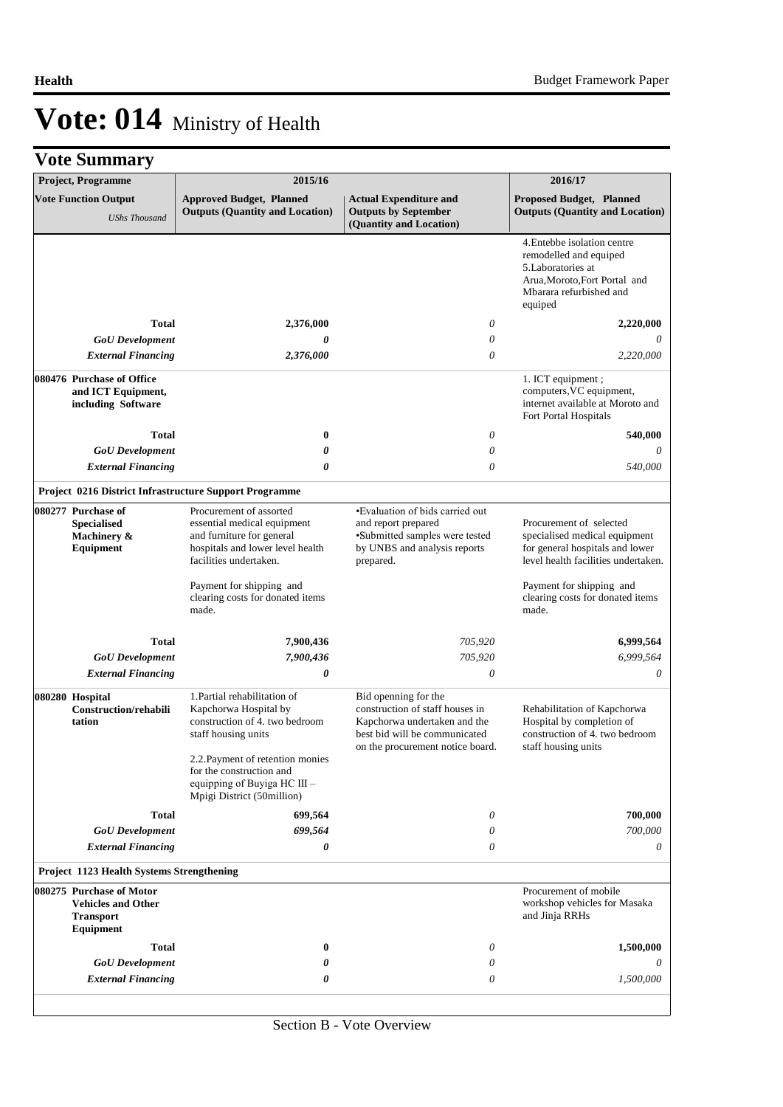| Project, Programme                                                                            |              | 2015/16                                                                                                                                           |                                                                                                                                                              | 2016/17                                                                                                                                           |
|-----------------------------------------------------------------------------------------------|--------------|---------------------------------------------------------------------------------------------------------------------------------------------------|--------------------------------------------------------------------------------------------------------------------------------------------------------------|---------------------------------------------------------------------------------------------------------------------------------------------------|
| <b>Vote Function Output</b><br><b>UShs Thousand</b>                                           |              | <b>Approved Budget, Planned</b><br><b>Outputs (Quantity and Location)</b>                                                                         | <b>Actual Expenditure and</b><br><b>Outputs by September</b><br>(Quantity and Location)                                                                      | <b>Proposed Budget, Planned</b><br><b>Outputs (Quantity and Location)</b>                                                                         |
|                                                                                               |              |                                                                                                                                                   |                                                                                                                                                              | 4. Entebbe isolation centre<br>remodelled and equiped<br>5.Laboratories at<br>Arua, Moroto, Fort Portal and<br>Mbarara refurbished and<br>equiped |
|                                                                                               | <b>Total</b> | 2,376,000                                                                                                                                         | $\theta$                                                                                                                                                     | 2,220,000                                                                                                                                         |
| <b>GoU</b> Development                                                                        |              | 0                                                                                                                                                 | 0                                                                                                                                                            |                                                                                                                                                   |
| <b>External Financing</b>                                                                     |              | 2,376,000                                                                                                                                         | $\theta$                                                                                                                                                     | 2,220,000                                                                                                                                         |
| 080476 Purchase of Office<br>and ICT Equipment,<br>including Software                         |              |                                                                                                                                                   |                                                                                                                                                              | 1. ICT equipment;<br>computers, VC equipment,<br>internet available at Moroto and<br>Fort Portal Hospitals                                        |
|                                                                                               | <b>Total</b> | 0                                                                                                                                                 | $\theta$                                                                                                                                                     | 540,000                                                                                                                                           |
| <b>GoU</b> Development                                                                        |              | 0                                                                                                                                                 | $\theta$                                                                                                                                                     | 0                                                                                                                                                 |
| <b>External Financing</b>                                                                     |              | 0                                                                                                                                                 | $\theta$                                                                                                                                                     | 540,000                                                                                                                                           |
|                                                                                               |              | <b>Project 0216 District Infrastructure Support Programme</b>                                                                                     |                                                                                                                                                              |                                                                                                                                                   |
| 080277 Purchase of<br><b>Specialised</b><br>Machinery &<br><b>Equipment</b>                   |              | Procurement of assorted<br>essential medical equipment<br>and furniture for general<br>hospitals and lower level health<br>facilities undertaken. | ·Evaluation of bids carried out<br>and report prepared<br>·Submitted samples were tested<br>by UNBS and analysis reports<br>prepared.                        | Procurement of selected<br>specialised medical equipment<br>for general hospitals and lower<br>level health facilities undertaken.                |
|                                                                                               |              | Payment for shipping and<br>clearing costs for donated items<br>made.                                                                             |                                                                                                                                                              | Payment for shipping and<br>clearing costs for donated items<br>made.                                                                             |
|                                                                                               | <b>Total</b> | 7,900,436                                                                                                                                         | 705,920                                                                                                                                                      | 6,999,564                                                                                                                                         |
| <b>GoU</b> Development                                                                        |              | 7,900,436                                                                                                                                         | 705,920                                                                                                                                                      | 6,999,564                                                                                                                                         |
| <b>External Financing</b>                                                                     |              | 0                                                                                                                                                 | $\theta$                                                                                                                                                     | 0                                                                                                                                                 |
| 080280 Hospital<br><b>Construction/rehabili</b><br>tation                                     |              | 1. Partial rehabilitation of<br>Kapchorwa Hospital by<br>construction of 4. two bedroom<br>staff housing units                                    | Bid openning for the<br>construction of staff houses in<br>Kapchorwa undertaken and the<br>best bid will be communicated<br>on the procurement notice board. | Rehabilitation of Kapchorwa<br>Hospital by completion of<br>construction of 4. two bedroom<br>staff housing units                                 |
|                                                                                               |              | 2.2. Payment of retention monies<br>for the construction and<br>equipping of Buyiga HC III -<br>Mpigi District (50million)                        |                                                                                                                                                              |                                                                                                                                                   |
|                                                                                               | <b>Total</b> | 699,564                                                                                                                                           | $\theta$                                                                                                                                                     | 700,000                                                                                                                                           |
| <b>GoU</b> Development                                                                        |              | 699,564                                                                                                                                           | $\theta$                                                                                                                                                     | 700,000                                                                                                                                           |
| <b>External Financing</b>                                                                     |              | 0                                                                                                                                                 | $\theta$                                                                                                                                                     | 0                                                                                                                                                 |
| Project 1123 Health Systems Strengthening                                                     |              |                                                                                                                                                   |                                                                                                                                                              |                                                                                                                                                   |
| 080275 Purchase of Motor<br><b>Vehicles and Other</b><br><b>Transport</b><br><b>Equipment</b> |              |                                                                                                                                                   |                                                                                                                                                              | Procurement of mobile<br>workshop vehicles for Masaka<br>and Jinja RRHs                                                                           |
|                                                                                               | <b>Total</b> | 0                                                                                                                                                 | 0                                                                                                                                                            | 1,500,000                                                                                                                                         |
| <b>GoU</b> Development                                                                        |              | 0                                                                                                                                                 | 0                                                                                                                                                            |                                                                                                                                                   |
| <b>External Financing</b>                                                                     |              | 0                                                                                                                                                 | $\theta$                                                                                                                                                     | 1,500,000                                                                                                                                         |
|                                                                                               |              |                                                                                                                                                   |                                                                                                                                                              |                                                                                                                                                   |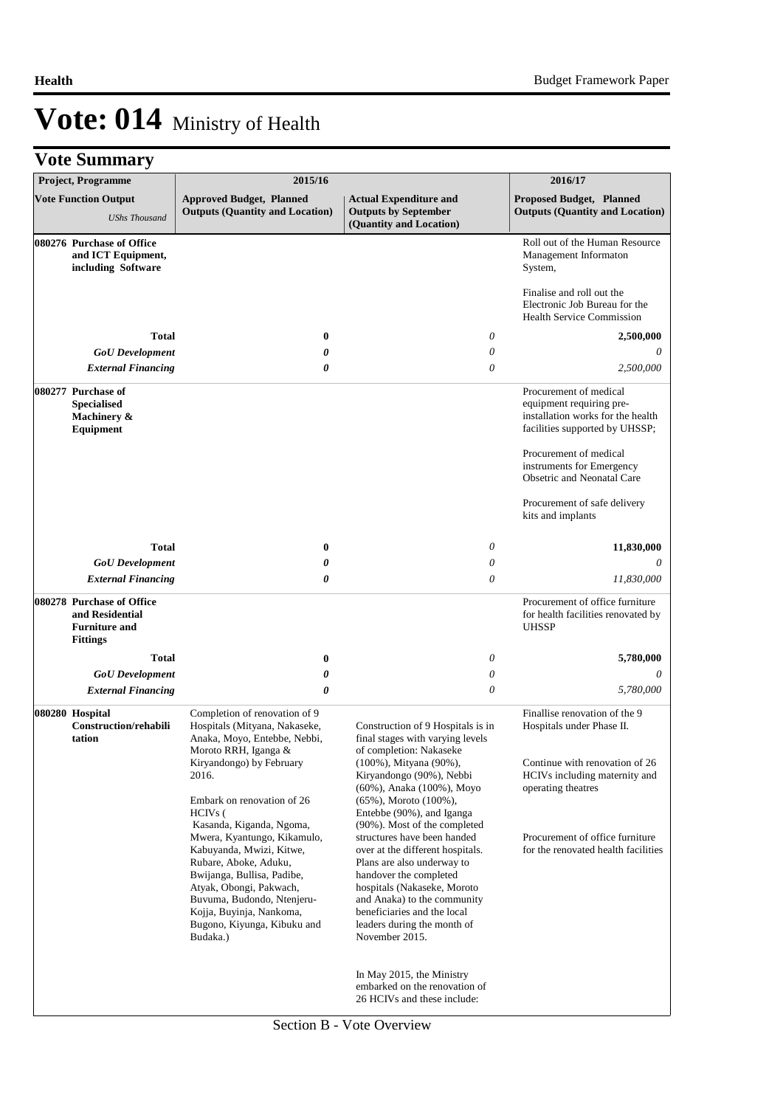|  | <b>Vote Summary</b> |  |
|--|---------------------|--|
|--|---------------------|--|

| <b>Project, Programme</b>                                                               | 2015/16                                                                                                                                                                                                                                                                    |                                                                                                                                                                                                                                                                                                       | 2016/17                                                                                                                                                                                                        |
|-----------------------------------------------------------------------------------------|----------------------------------------------------------------------------------------------------------------------------------------------------------------------------------------------------------------------------------------------------------------------------|-------------------------------------------------------------------------------------------------------------------------------------------------------------------------------------------------------------------------------------------------------------------------------------------------------|----------------------------------------------------------------------------------------------------------------------------------------------------------------------------------------------------------------|
| <b>Vote Function Output</b><br><b>UShs Thousand</b>                                     | <b>Approved Budget, Planned</b><br><b>Outputs (Quantity and Location)</b>                                                                                                                                                                                                  | <b>Actual Expenditure and</b><br><b>Outputs by September</b><br>(Quantity and Location)                                                                                                                                                                                                               | <b>Proposed Budget, Planned</b><br><b>Outputs (Quantity and Location)</b>                                                                                                                                      |
| 080276 Purchase of Office<br>and ICT Equipment,<br>including Software                   |                                                                                                                                                                                                                                                                            |                                                                                                                                                                                                                                                                                                       | Roll out of the Human Resource<br>Management Informaton<br>System,                                                                                                                                             |
|                                                                                         |                                                                                                                                                                                                                                                                            |                                                                                                                                                                                                                                                                                                       | Finalise and roll out the<br>Electronic Job Bureau for the<br><b>Health Service Commission</b>                                                                                                                 |
| <b>Total</b>                                                                            | $\bf{0}$                                                                                                                                                                                                                                                                   | 0                                                                                                                                                                                                                                                                                                     | 2,500,000                                                                                                                                                                                                      |
| <b>GoU</b> Development                                                                  | 0                                                                                                                                                                                                                                                                          | 0                                                                                                                                                                                                                                                                                                     |                                                                                                                                                                                                                |
| <b>External Financing</b>                                                               | 0                                                                                                                                                                                                                                                                          | $\theta$                                                                                                                                                                                                                                                                                              | 2,500,000                                                                                                                                                                                                      |
| 080277 Purchase of<br><b>Specialised</b><br>Machinery &<br>Equipment                    |                                                                                                                                                                                                                                                                            |                                                                                                                                                                                                                                                                                                       | Procurement of medical<br>equipment requiring pre-<br>installation works for the health<br>facilities supported by UHSSP;<br>Procurement of medical<br>instruments for Emergency<br>Obsetric and Neonatal Care |
|                                                                                         |                                                                                                                                                                                                                                                                            |                                                                                                                                                                                                                                                                                                       | Procurement of safe delivery<br>kits and implants                                                                                                                                                              |
| <b>Total</b>                                                                            | $\bf{0}$                                                                                                                                                                                                                                                                   | $\theta$                                                                                                                                                                                                                                                                                              | 11,830,000                                                                                                                                                                                                     |
| <b>GoU</b> Development                                                                  | 0                                                                                                                                                                                                                                                                          | 0                                                                                                                                                                                                                                                                                                     | 0                                                                                                                                                                                                              |
| <b>External Financing</b>                                                               | 0                                                                                                                                                                                                                                                                          | $\boldsymbol{\theta}$                                                                                                                                                                                                                                                                                 | 11,830,000                                                                                                                                                                                                     |
| 080278 Purchase of Office<br>and Residential<br><b>Furniture and</b><br><b>Fittings</b> |                                                                                                                                                                                                                                                                            |                                                                                                                                                                                                                                                                                                       | Procurement of office furniture<br>for health facilities renovated by<br><b>UHSSP</b>                                                                                                                          |
| <b>Total</b>                                                                            | $\bf{0}$                                                                                                                                                                                                                                                                   | 0                                                                                                                                                                                                                                                                                                     | 5,780,000                                                                                                                                                                                                      |
| <b>GoU</b> Development                                                                  | 0                                                                                                                                                                                                                                                                          | $\boldsymbol{\mathit{0}}$                                                                                                                                                                                                                                                                             | 0                                                                                                                                                                                                              |
| <b>External Financing</b>                                                               | $\boldsymbol{\theta}$                                                                                                                                                                                                                                                      | $\theta$                                                                                                                                                                                                                                                                                              | 5,780,000                                                                                                                                                                                                      |
| 080280 Hospital<br><b>Construction/rehabili</b><br>tation                               | Completion of renovation of 9<br>Hospitals (Mityana, Nakaseke,<br>Anaka, Moyo, Entebbe, Nebbi,<br>Moroto RRH, Iganga &                                                                                                                                                     | Construction of 9 Hospitals is in<br>final stages with varying levels<br>of completion: Nakaseke                                                                                                                                                                                                      | Finallise renovation of the 9<br>Hospitals under Phase II.                                                                                                                                                     |
|                                                                                         | Kiryandongo) by February<br>2016.<br>Embark on renovation of 26<br>HCIV <sub>s</sub> (                                                                                                                                                                                     | (100%), Mityana (90%),<br>Kiryandongo (90%), Nebbi<br>(60%), Anaka (100%), Moyo<br>$(65\%)$ , Moroto $(100\%)$ ,<br>Entebbe (90%), and Iganga                                                                                                                                                         | Continue with renovation of 26<br>HCIVs including maternity and<br>operating theatres                                                                                                                          |
|                                                                                         | Kasanda, Kiganda, Ngoma,<br>Mwera, Kyantungo, Kikamulo,<br>Kabuyanda, Mwizi, Kitwe,<br>Rubare, Aboke, Aduku,<br>Bwijanga, Bullisa, Padibe,<br>Atyak, Obongi, Pakwach,<br>Buvuma, Budondo, Ntenjeru-<br>Kojja, Buyinja, Nankoma,<br>Bugono, Kiyunga, Kibuku and<br>Budaka.) | (90%). Most of the completed<br>structures have been handed<br>over at the different hospitals.<br>Plans are also underway to<br>handover the completed<br>hospitals (Nakaseke, Moroto<br>and Anaka) to the community<br>beneficiaries and the local<br>leaders during the month of<br>November 2015. | Procurement of office furniture<br>for the renovated health facilities                                                                                                                                         |
|                                                                                         |                                                                                                                                                                                                                                                                            | In May 2015, the Ministry<br>embarked on the renovation of<br>26 HCIVs and these include:                                                                                                                                                                                                             |                                                                                                                                                                                                                |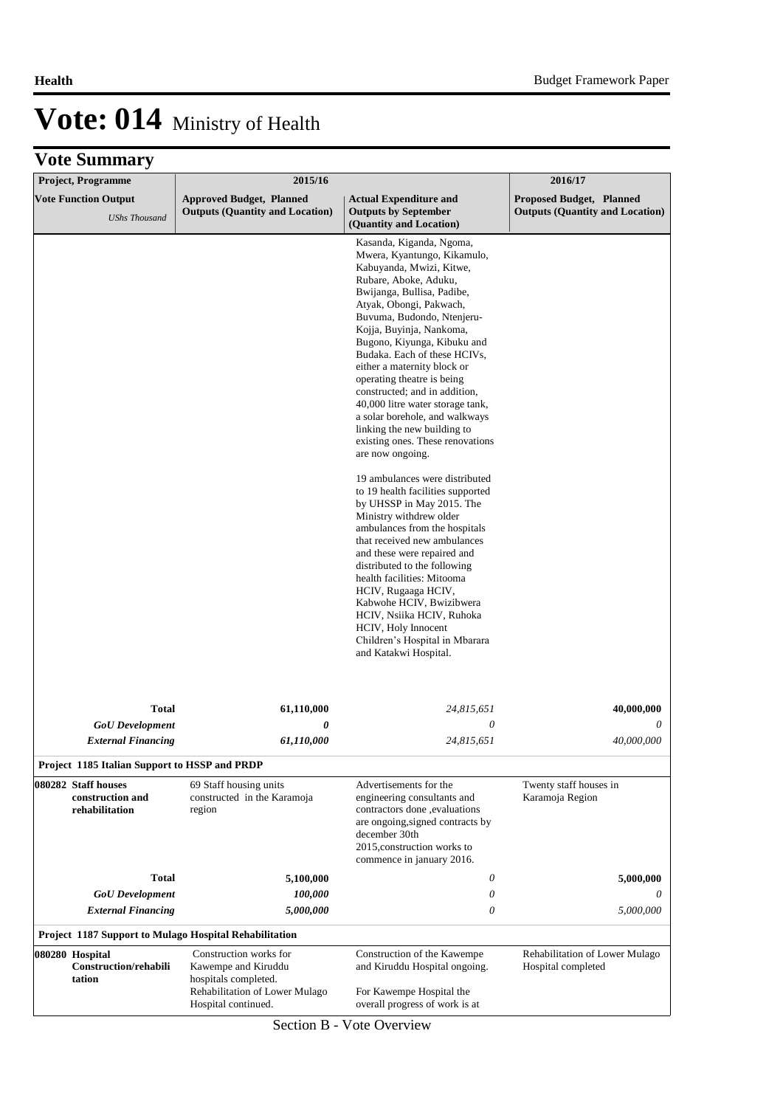| Project, Programme                                        | 2015/16                                                                   |                                                                                                                                                                                                                                                                                                                                                                                                                                                                                                                                                                                                                                                                                                                                                                                                                                                                                                                                                                                                                          | 2016/17                                                                   |
|-----------------------------------------------------------|---------------------------------------------------------------------------|--------------------------------------------------------------------------------------------------------------------------------------------------------------------------------------------------------------------------------------------------------------------------------------------------------------------------------------------------------------------------------------------------------------------------------------------------------------------------------------------------------------------------------------------------------------------------------------------------------------------------------------------------------------------------------------------------------------------------------------------------------------------------------------------------------------------------------------------------------------------------------------------------------------------------------------------------------------------------------------------------------------------------|---------------------------------------------------------------------------|
| <b>Vote Function Output</b><br><b>UShs Thousand</b>       | <b>Approved Budget, Planned</b><br><b>Outputs (Quantity and Location)</b> | <b>Actual Expenditure and</b><br><b>Outputs by September</b><br>(Quantity and Location)                                                                                                                                                                                                                                                                                                                                                                                                                                                                                                                                                                                                                                                                                                                                                                                                                                                                                                                                  | <b>Proposed Budget, Planned</b><br><b>Outputs (Quantity and Location)</b> |
|                                                           |                                                                           | Kasanda, Kiganda, Ngoma,<br>Mwera, Kyantungo, Kikamulo,<br>Kabuyanda, Mwizi, Kitwe,<br>Rubare, Aboke, Aduku,<br>Bwijanga, Bullisa, Padibe,<br>Atyak, Obongi, Pakwach,<br>Buvuma, Budondo, Ntenjeru-<br>Kojja, Buyinja, Nankoma,<br>Bugono, Kiyunga, Kibuku and<br>Budaka. Each of these HCIVs,<br>either a maternity block or<br>operating theatre is being<br>constructed; and in addition,<br>40,000 litre water storage tank,<br>a solar borehole, and walkways<br>linking the new building to<br>existing ones. These renovations<br>are now ongoing.<br>19 ambulances were distributed<br>to 19 health facilities supported<br>by UHSSP in May 2015. The<br>Ministry withdrew older<br>ambulances from the hospitals<br>that received new ambulances<br>and these were repaired and<br>distributed to the following<br>health facilities: Mitooma<br>HCIV, Rugaaga HCIV,<br>Kabwohe HCIV, Bwizibwera<br>HCIV, Nsiika HCIV, Ruhoka<br>HCIV, Holy Innocent<br>Children's Hospital in Mbarara<br>and Katakwi Hospital. |                                                                           |
| <b>Total</b>                                              | 61,110,000                                                                | 24,815,651                                                                                                                                                                                                                                                                                                                                                                                                                                                                                                                                                                                                                                                                                                                                                                                                                                                                                                                                                                                                               | 40,000,000                                                                |
| <b>GoU</b> Development                                    | $\boldsymbol{\theta}$                                                     | 0                                                                                                                                                                                                                                                                                                                                                                                                                                                                                                                                                                                                                                                                                                                                                                                                                                                                                                                                                                                                                        | 0                                                                         |
| <b>External Financing</b>                                 | 61,110,000                                                                | 24,815,651                                                                                                                                                                                                                                                                                                                                                                                                                                                                                                                                                                                                                                                                                                                                                                                                                                                                                                                                                                                                               | 40,000,000                                                                |
| Project 1185 Italian Support to HSSP and PRDP             |                                                                           |                                                                                                                                                                                                                                                                                                                                                                                                                                                                                                                                                                                                                                                                                                                                                                                                                                                                                                                                                                                                                          |                                                                           |
| 080282 Staff houses<br>construction and<br>rehabilitation | 69 Staff housing units<br>constructed in the Karamoja<br>region           | Advertisements for the<br>engineering consultants and<br>contractors done ,evaluations<br>are ongoing, signed contracts by<br>december 30th<br>2015, construction works to<br>commence in january 2016.                                                                                                                                                                                                                                                                                                                                                                                                                                                                                                                                                                                                                                                                                                                                                                                                                  | Twenty staff houses in<br>Karamoja Region                                 |
| <b>Total</b>                                              | 5,100,000                                                                 | 0                                                                                                                                                                                                                                                                                                                                                                                                                                                                                                                                                                                                                                                                                                                                                                                                                                                                                                                                                                                                                        | 5,000,000                                                                 |
| <b>GoU</b> Development                                    | 100,000                                                                   | 0                                                                                                                                                                                                                                                                                                                                                                                                                                                                                                                                                                                                                                                                                                                                                                                                                                                                                                                                                                                                                        | 0                                                                         |
| <b>External Financing</b>                                 | 5,000,000                                                                 | 0                                                                                                                                                                                                                                                                                                                                                                                                                                                                                                                                                                                                                                                                                                                                                                                                                                                                                                                                                                                                                        | 5,000,000                                                                 |
| Project 1187 Support to Mulago Hospital Rehabilitation    |                                                                           |                                                                                                                                                                                                                                                                                                                                                                                                                                                                                                                                                                                                                                                                                                                                                                                                                                                                                                                                                                                                                          |                                                                           |
| 080280 Hospital<br>Construction/rehabili<br>tation        | Construction works for<br>Kawempe and Kiruddu<br>hospitals completed.     | Construction of the Kawempe<br>and Kiruddu Hospital ongoing.                                                                                                                                                                                                                                                                                                                                                                                                                                                                                                                                                                                                                                                                                                                                                                                                                                                                                                                                                             | Rehabilitation of Lower Mulago<br>Hospital completed                      |
|                                                           | Rehabilitation of Lower Mulago<br>Hospital continued.                     | For Kawempe Hospital the<br>overall progress of work is at                                                                                                                                                                                                                                                                                                                                                                                                                                                                                                                                                                                                                                                                                                                                                                                                                                                                                                                                                               |                                                                           |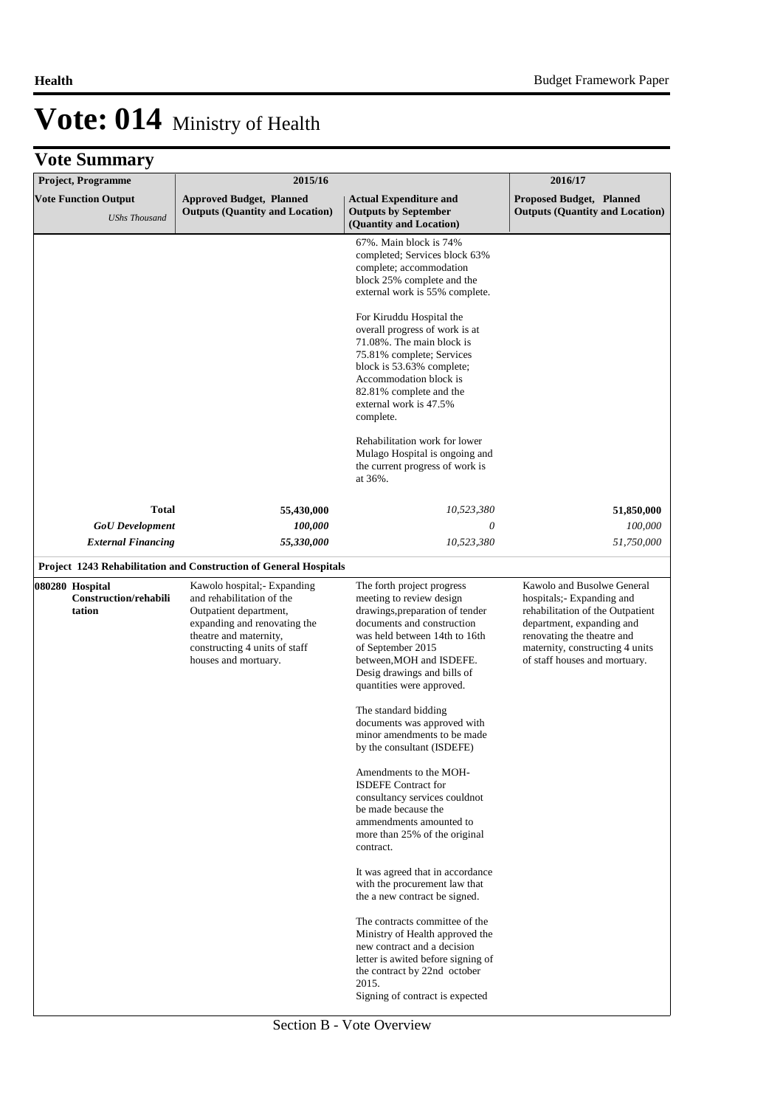| Project, Programme                                        | 2015/16                                                                                                                                                                                               |                                                                                                                                                                                                                                                                       | 2016/17                                                                                                                                                                                                                   |
|-----------------------------------------------------------|-------------------------------------------------------------------------------------------------------------------------------------------------------------------------------------------------------|-----------------------------------------------------------------------------------------------------------------------------------------------------------------------------------------------------------------------------------------------------------------------|---------------------------------------------------------------------------------------------------------------------------------------------------------------------------------------------------------------------------|
| <b>Vote Function Output</b><br><b>UShs Thousand</b>       | <b>Approved Budget, Planned</b><br><b>Outputs (Quantity and Location)</b>                                                                                                                             | <b>Actual Expenditure and</b><br><b>Outputs by September</b><br>(Quantity and Location)                                                                                                                                                                               | <b>Proposed Budget, Planned</b><br><b>Outputs (Quantity and Location)</b>                                                                                                                                                 |
|                                                           |                                                                                                                                                                                                       | 67%. Main block is 74%<br>completed; Services block 63%<br>complete; accommodation<br>block 25% complete and the<br>external work is 55% complete.                                                                                                                    |                                                                                                                                                                                                                           |
|                                                           |                                                                                                                                                                                                       | For Kiruddu Hospital the<br>overall progress of work is at<br>71.08%. The main block is<br>75.81% complete; Services<br>block is 53.63% complete;<br>Accommodation block is<br>82.81% complete and the<br>external work is 47.5%<br>complete.                         |                                                                                                                                                                                                                           |
|                                                           |                                                                                                                                                                                                       | Rehabilitation work for lower<br>Mulago Hospital is ongoing and<br>the current progress of work is<br>at 36%.                                                                                                                                                         |                                                                                                                                                                                                                           |
| Total                                                     | 55,430,000                                                                                                                                                                                            | 10,523,380                                                                                                                                                                                                                                                            | 51,850,000                                                                                                                                                                                                                |
| <b>GoU</b> Development                                    | 100,000                                                                                                                                                                                               | 0                                                                                                                                                                                                                                                                     | 100,000                                                                                                                                                                                                                   |
| <b>External Financing</b>                                 | 55,330,000                                                                                                                                                                                            | 10,523,380                                                                                                                                                                                                                                                            | 51,750,000                                                                                                                                                                                                                |
|                                                           | Project 1243 Rehabilitation and Construction of General Hospitals                                                                                                                                     |                                                                                                                                                                                                                                                                       |                                                                                                                                                                                                                           |
| 080280 Hospital<br><b>Construction/rehabili</b><br>tation | Kawolo hospital;- Expanding<br>and rehabilitation of the<br>Outpatient department,<br>expanding and renovating the<br>theatre and maternity,<br>constructing 4 units of staff<br>houses and mortuary. | The forth project progress<br>meeting to review design<br>drawings, preparation of tender<br>documents and construction<br>was held between 14th to 16th<br>of September 2015<br>between, MOH and ISDEFE.<br>Desig drawings and bills of<br>quantities were approved. | Kawolo and Busolwe General<br>hospitals; Expanding and<br>rehabilitation of the Outpatient<br>department, expanding and<br>renovating the theatre and<br>maternity, constructing 4 units<br>of staff houses and mortuary. |
|                                                           |                                                                                                                                                                                                       | The standard bidding<br>documents was approved with<br>minor amendments to be made<br>by the consultant (ISDEFE)                                                                                                                                                      |                                                                                                                                                                                                                           |
|                                                           |                                                                                                                                                                                                       | Amendments to the MOH-<br><b>ISDEFE</b> Contract for<br>consultancy services couldnot<br>be made because the<br>ammendments amounted to<br>more than 25% of the original<br>contract.                                                                                 |                                                                                                                                                                                                                           |
|                                                           |                                                                                                                                                                                                       | It was agreed that in accordance<br>with the procurement law that<br>the a new contract be signed.                                                                                                                                                                    |                                                                                                                                                                                                                           |
|                                                           |                                                                                                                                                                                                       | The contracts committee of the<br>Ministry of Health approved the<br>new contract and a decision<br>letter is awited before signing of<br>the contract by 22nd october<br>2015.<br>Signing of contract is expected                                                    |                                                                                                                                                                                                                           |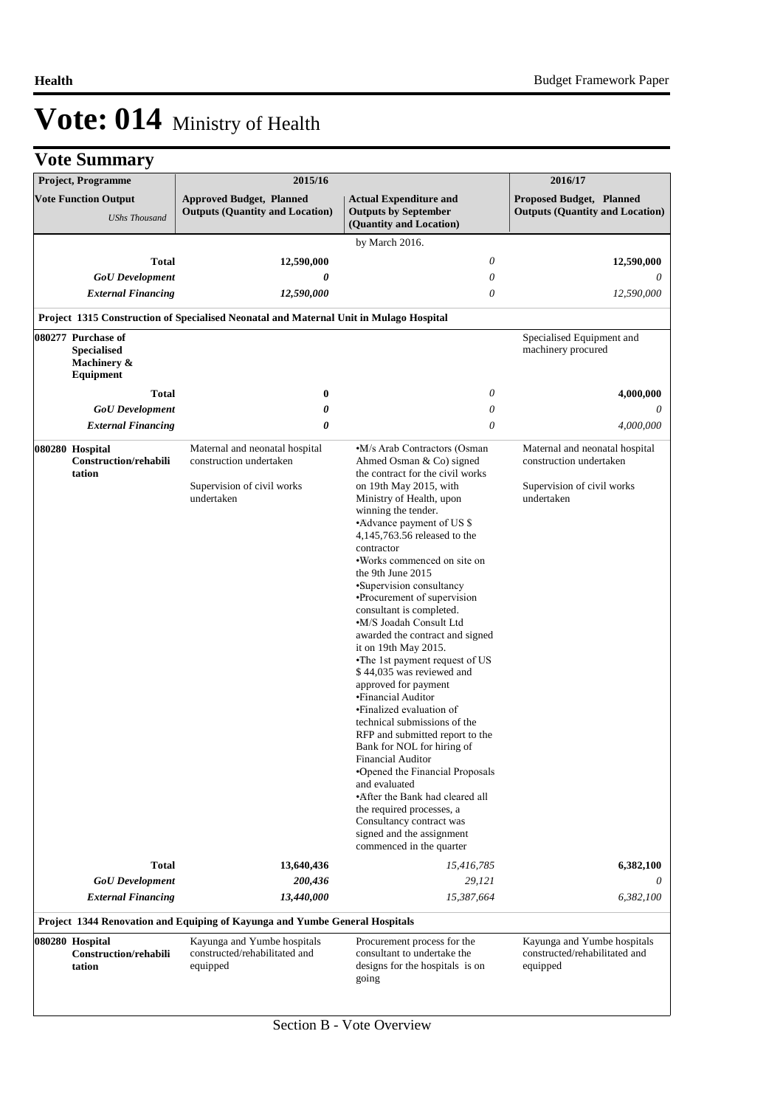|  | <b>Vote Summary</b> |
|--|---------------------|
|--|---------------------|

| <b>Project, Programme</b>                                            |              | 2015/16                                                                                               |                                                                                                                                                                                                                                                                                                                                                                                                                                                                                                                                                                                                                                                                                                                                                                                                                                                                                                                                                                   | 2016/17                                                                                               |
|----------------------------------------------------------------------|--------------|-------------------------------------------------------------------------------------------------------|-------------------------------------------------------------------------------------------------------------------------------------------------------------------------------------------------------------------------------------------------------------------------------------------------------------------------------------------------------------------------------------------------------------------------------------------------------------------------------------------------------------------------------------------------------------------------------------------------------------------------------------------------------------------------------------------------------------------------------------------------------------------------------------------------------------------------------------------------------------------------------------------------------------------------------------------------------------------|-------------------------------------------------------------------------------------------------------|
| <b>Vote Function Output</b><br><b>UShs Thousand</b>                  |              | <b>Approved Budget, Planned</b><br><b>Outputs (Quantity and Location)</b>                             | <b>Actual Expenditure and</b><br><b>Outputs by September</b><br>(Quantity and Location)                                                                                                                                                                                                                                                                                                                                                                                                                                                                                                                                                                                                                                                                                                                                                                                                                                                                           | Proposed Budget, Planned<br><b>Outputs (Quantity and Location)</b>                                    |
|                                                                      |              |                                                                                                       | by March 2016.                                                                                                                                                                                                                                                                                                                                                                                                                                                                                                                                                                                                                                                                                                                                                                                                                                                                                                                                                    |                                                                                                       |
|                                                                      | <b>Total</b> | 12,590,000                                                                                            | $\theta$                                                                                                                                                                                                                                                                                                                                                                                                                                                                                                                                                                                                                                                                                                                                                                                                                                                                                                                                                          | 12,590,000                                                                                            |
| <b>GoU</b> Development                                               |              | 0                                                                                                     | $\theta$                                                                                                                                                                                                                                                                                                                                                                                                                                                                                                                                                                                                                                                                                                                                                                                                                                                                                                                                                          | 0                                                                                                     |
| <b>External Financing</b>                                            |              | 12,590,000                                                                                            | $\theta$                                                                                                                                                                                                                                                                                                                                                                                                                                                                                                                                                                                                                                                                                                                                                                                                                                                                                                                                                          | 12,590,000                                                                                            |
|                                                                      |              | Project 1315 Construction of Specialised Neonatal and Maternal Unit in Mulago Hospital                |                                                                                                                                                                                                                                                                                                                                                                                                                                                                                                                                                                                                                                                                                                                                                                                                                                                                                                                                                                   |                                                                                                       |
| 080277 Purchase of<br><b>Specialised</b><br>Machinery &<br>Equipment |              |                                                                                                       |                                                                                                                                                                                                                                                                                                                                                                                                                                                                                                                                                                                                                                                                                                                                                                                                                                                                                                                                                                   | Specialised Equipment and<br>machinery procured                                                       |
|                                                                      | <b>Total</b> | $\boldsymbol{0}$                                                                                      | 0                                                                                                                                                                                                                                                                                                                                                                                                                                                                                                                                                                                                                                                                                                                                                                                                                                                                                                                                                                 | 4,000,000                                                                                             |
| <b>GoU</b> Development                                               |              | 0                                                                                                     | $\boldsymbol{\mathit{0}}$                                                                                                                                                                                                                                                                                                                                                                                                                                                                                                                                                                                                                                                                                                                                                                                                                                                                                                                                         | 0                                                                                                     |
| <b>External Financing</b>                                            |              | 0                                                                                                     | $\theta$                                                                                                                                                                                                                                                                                                                                                                                                                                                                                                                                                                                                                                                                                                                                                                                                                                                                                                                                                          | 4,000,000                                                                                             |
| 080280 Hospital<br>Construction/rehabili<br>tation                   |              | Maternal and neonatal hospital<br>construction undertaken<br>Supervision of civil works<br>undertaken | •M/s Arab Contractors (Osman<br>Ahmed Osman & Co) signed<br>the contract for the civil works<br>on 19th May 2015, with<br>Ministry of Health, upon<br>winning the tender.<br>•Advance payment of US \$<br>4,145,763.56 released to the<br>contractor<br>•Works commenced on site on<br>the 9th June 2015<br>•Supervision consultancy<br>•Procurement of supervision<br>consultant is completed.<br>•M/S Joadah Consult Ltd<br>awarded the contract and signed<br>it on 19th May $2015$ .<br>•The 1st payment request of US<br>\$44,035 was reviewed and<br>approved for payment<br>• Financial Auditor<br>•Finalized evaluation of<br>technical submissions of the<br>RFP and submitted report to the<br>Bank for NOL for hiring of<br>Financial Auditor<br>•Opened the Financial Proposals<br>and evaluated<br>•After the Bank had cleared all<br>the required processes, a<br>Consultancy contract was<br>signed and the assignment<br>commenced in the quarter | Maternal and neonatal hospital<br>construction undertaken<br>Supervision of civil works<br>undertaken |
|                                                                      | <b>Total</b> | 13,640,436                                                                                            | 15,416,785                                                                                                                                                                                                                                                                                                                                                                                                                                                                                                                                                                                                                                                                                                                                                                                                                                                                                                                                                        | 6,382,100                                                                                             |
| <b>GoU</b> Development                                               |              | 200,436                                                                                               | 29,121                                                                                                                                                                                                                                                                                                                                                                                                                                                                                                                                                                                                                                                                                                                                                                                                                                                                                                                                                            |                                                                                                       |
| <b>External Financing</b>                                            |              | 13,440,000                                                                                            | 15,387,664                                                                                                                                                                                                                                                                                                                                                                                                                                                                                                                                                                                                                                                                                                                                                                                                                                                                                                                                                        | 6,382,100                                                                                             |
|                                                                      |              | Project 1344 Renovation and Equiping of Kayunga and Yumbe General Hospitals                           |                                                                                                                                                                                                                                                                                                                                                                                                                                                                                                                                                                                                                                                                                                                                                                                                                                                                                                                                                                   |                                                                                                       |
| 080280 Hospital<br>Construction/rehabili<br>tation                   |              | Kayunga and Yumbe hospitals<br>constructed/rehabilitated and<br>equipped                              | Procurement process for the<br>consultant to undertake the<br>designs for the hospitals is on<br>going                                                                                                                                                                                                                                                                                                                                                                                                                                                                                                                                                                                                                                                                                                                                                                                                                                                            | Kayunga and Yumbe hospitals<br>constructed/rehabilitated and<br>equipped                              |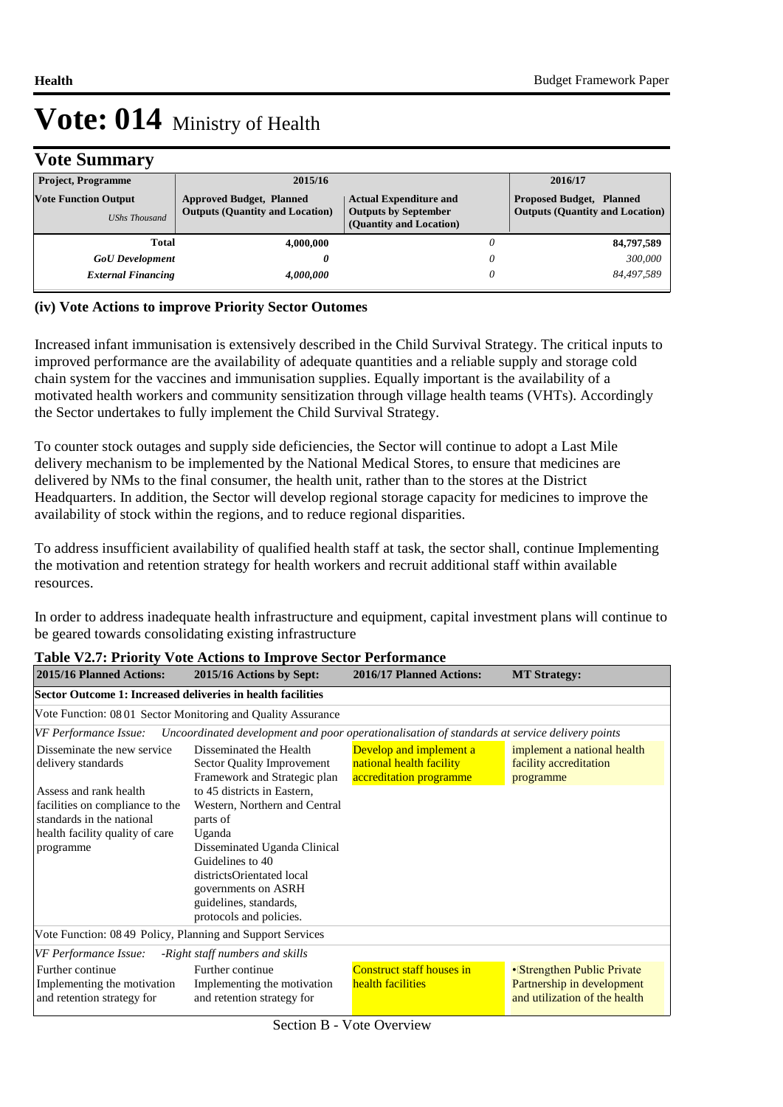## **Vote Summary**

| <b>Project, Programme</b>                           | 2015/16                                                                                                                                                              |  | 2016/17                                                                   |
|-----------------------------------------------------|----------------------------------------------------------------------------------------------------------------------------------------------------------------------|--|---------------------------------------------------------------------------|
| <b>Vote Function Output</b><br><b>UShs Thousand</b> | <b>Approved Budget, Planned</b><br><b>Actual Expenditure and</b><br><b>Outputs (Quantity and Location)</b><br><b>Outputs by September</b><br>(Quantity and Location) |  | <b>Proposed Budget, Planned</b><br><b>Outputs (Quantity and Location)</b> |
| Total                                               | 4,000,000                                                                                                                                                            |  | 84,797,589                                                                |
| <b>GoU</b> Development                              |                                                                                                                                                                      |  | 300,000                                                                   |
| <b>External Financing</b>                           | 4.000.000                                                                                                                                                            |  | 84.497.589                                                                |

#### **(iv) Vote Actions to improve Priority Sector Outomes**

Increased infant immunisation is extensively described in the Child Survival Strategy. The critical inputs to improved performance are the availability of adequate quantities and a reliable supply and storage cold chain system for the vaccines and immunisation supplies. Equally important is the availability of a motivated health workers and community sensitization through village health teams (VHTs). Accordingly the Sector undertakes to fully implement the Child Survival Strategy.

To counter stock outages and supply side deficiencies, the Sector will continue to adopt a Last Mile delivery mechanism to be implemented by the National Medical Stores, to ensure that medicines are delivered by NMs to the final consumer, the health unit, rather than to the stores at the District Headquarters. In addition, the Sector will develop regional storage capacity for medicines to improve the availability of stock within the regions, and to reduce regional disparities.

To address insufficient availability of qualified health staff at task, the sector shall, continue Implementing the motivation and retention strategy for health workers and recruit additional staff within available resources.

In order to address inadequate health infrastructure and equipment, capital investment plans will continue to be geared towards consolidating existing infrastructure

| 2015/16 Planned Actions:                                                                                                                                                                    | 2015/16 Actions by Sept:                                                                                                                                                                                                                                                                                                                 | 2016/17 Planned Actions:                                                       | <b>MT Strategy:</b>                                                                        |  |  |  |  |  |
|---------------------------------------------------------------------------------------------------------------------------------------------------------------------------------------------|------------------------------------------------------------------------------------------------------------------------------------------------------------------------------------------------------------------------------------------------------------------------------------------------------------------------------------------|--------------------------------------------------------------------------------|--------------------------------------------------------------------------------------------|--|--|--|--|--|
| Sector Outcome 1: Increased deliveries in health facilities                                                                                                                                 |                                                                                                                                                                                                                                                                                                                                          |                                                                                |                                                                                            |  |  |  |  |  |
|                                                                                                                                                                                             | Vote Function: 0801 Sector Monitoring and Quality Assurance                                                                                                                                                                                                                                                                              |                                                                                |                                                                                            |  |  |  |  |  |
| VF Performance Issue:                                                                                                                                                                       | Uncoordinated development and poor operationalisation of standards at service delivery points                                                                                                                                                                                                                                            |                                                                                |                                                                                            |  |  |  |  |  |
| Disseminate the new service<br>delivery standards<br>Assess and rank health<br>facilities on compliance to the<br>standards in the national<br>health facility quality of care<br>programme | Disseminated the Health<br>Sector Quality Improvement<br>Framework and Strategic plan<br>to 45 districts in Eastern,<br>Western, Northern and Central<br>parts of<br>Uganda<br>Disseminated Uganda Clinical<br>Guidelines to 40<br>districtsOrientated local<br>governments on ASRH<br>guidelines, standards,<br>protocols and policies. | Develop and implement a<br>national health facility<br>accreditation programme | implement a national health<br>facility accreditation<br>programme                         |  |  |  |  |  |
| Vote Function: 08 49 Policy, Planning and Support Services                                                                                                                                  |                                                                                                                                                                                                                                                                                                                                          |                                                                                |                                                                                            |  |  |  |  |  |
| <b>VF Performance Issue:</b>                                                                                                                                                                | -Right staff numbers and skills                                                                                                                                                                                                                                                                                                          |                                                                                |                                                                                            |  |  |  |  |  |
| Further continue<br>Implementing the motivation<br>and retention strategy for                                                                                                               | Further continue<br>Implementing the motivation<br>and retention strategy for                                                                                                                                                                                                                                                            | Construct staff houses in<br>health facilities                                 | • Strengthen Public Private<br>Partnership in development<br>and utilization of the health |  |  |  |  |  |

#### **Table V2.7: Priority Vote Actions to Improve Sector Performance**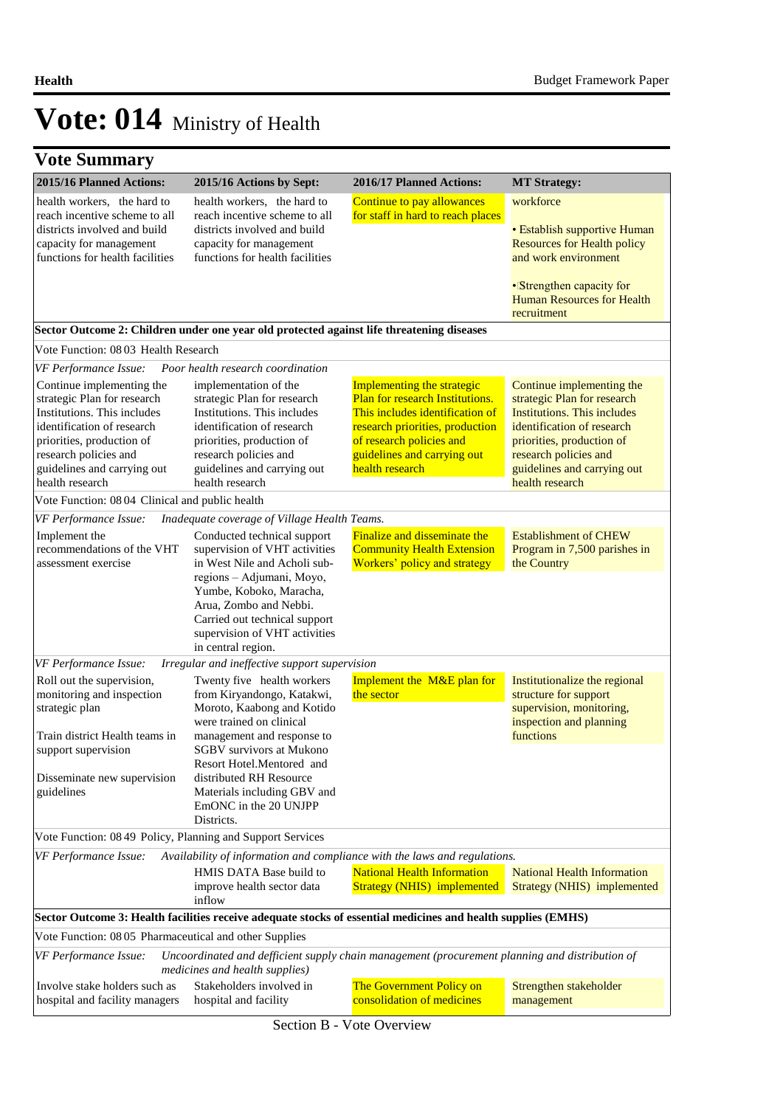| <b>Vote Summary</b>                                                                                                                                                                                                           |                                                                                                                                                                                                                                                                                                                   |                                                                                                                                                                                                                   |                                                                                                                                                                                                                                      |
|-------------------------------------------------------------------------------------------------------------------------------------------------------------------------------------------------------------------------------|-------------------------------------------------------------------------------------------------------------------------------------------------------------------------------------------------------------------------------------------------------------------------------------------------------------------|-------------------------------------------------------------------------------------------------------------------------------------------------------------------------------------------------------------------|--------------------------------------------------------------------------------------------------------------------------------------------------------------------------------------------------------------------------------------|
| 2015/16 Planned Actions:                                                                                                                                                                                                      | 2015/16 Actions by Sept:                                                                                                                                                                                                                                                                                          | 2016/17 Planned Actions:                                                                                                                                                                                          | <b>MT Strategy:</b>                                                                                                                                                                                                                  |
| health workers, the hard to<br>reach incentive scheme to all<br>districts involved and build<br>capacity for management<br>functions for health facilities                                                                    | health workers, the hard to<br>reach incentive scheme to all<br>districts involved and build<br>capacity for management<br>functions for health facilities                                                                                                                                                        | Continue to pay allowances<br>for staff in hard to reach places                                                                                                                                                   | workforce<br>• Establish supportive Human<br><b>Resources for Health policy</b><br>and work environment<br>• Strengthen capacity for<br><b>Human Resources for Health</b><br>recruitment                                             |
|                                                                                                                                                                                                                               | Sector Outcome 2: Children under one year old protected against life threatening diseases                                                                                                                                                                                                                         |                                                                                                                                                                                                                   |                                                                                                                                                                                                                                      |
| Vote Function: 0803 Health Research                                                                                                                                                                                           |                                                                                                                                                                                                                                                                                                                   |                                                                                                                                                                                                                   |                                                                                                                                                                                                                                      |
| VF Performance Issue:                                                                                                                                                                                                         | Poor health research coordination                                                                                                                                                                                                                                                                                 |                                                                                                                                                                                                                   |                                                                                                                                                                                                                                      |
| Continue implementing the<br>strategic Plan for research<br>Institutions. This includes<br>identification of research<br>priorities, production of<br>research policies and<br>guidelines and carrying out<br>health research | implementation of the<br>strategic Plan for research<br>Institutions. This includes<br>identification of research<br>priorities, production of<br>research policies and<br>guidelines and carrying out<br>health research                                                                                         | Implementing the strategic<br>Plan for research Institutions.<br>This includes identification of<br>research priorities, production<br>of research policies and<br>guidelines and carrying out<br>health research | Continue implementing the<br>strategic Plan for research<br><b>Institutions. This includes</b><br>identification of research<br>priorities, production of<br>research policies and<br>guidelines and carrying out<br>health research |
| Vote Function: 08 04 Clinical and public health                                                                                                                                                                               |                                                                                                                                                                                                                                                                                                                   |                                                                                                                                                                                                                   |                                                                                                                                                                                                                                      |
| VF Performance Issue:                                                                                                                                                                                                         | Inadequate coverage of Village Health Teams.                                                                                                                                                                                                                                                                      |                                                                                                                                                                                                                   |                                                                                                                                                                                                                                      |
| Implement the<br>recommendations of the VHT<br>assessment exercise                                                                                                                                                            | Conducted technical support<br>supervision of VHT activities<br>in West Nile and Acholi sub-<br>regions - Adjumani, Moyo,<br>Yumbe, Koboko, Maracha,<br>Arua, Zombo and Nebbi.<br>Carried out technical support<br>supervision of VHT activities<br>in central region.                                            | Finalize and disseminate the<br><b>Community Health Extension</b><br>Workers' policy and strategy                                                                                                                 | <b>Establishment of CHEW</b><br>Program in 7,500 parishes in<br>the Country                                                                                                                                                          |
| VF Performance Issue:                                                                                                                                                                                                         | Irregular and ineffective support supervision                                                                                                                                                                                                                                                                     |                                                                                                                                                                                                                   |                                                                                                                                                                                                                                      |
| Roll out the supervision,<br>monitoring and inspection<br>strategic plan<br>Train district Health teams in<br>support supervision<br>Disseminate new supervision<br>guidelines                                                | Twenty five health workers<br>from Kiryandongo, Katakwi,<br>Moroto, Kaabong and Kotido<br>were trained on clinical<br>management and response to<br><b>SGBV</b> survivors at Mukono<br>Resort Hotel.Mentored and<br>distributed RH Resource<br>Materials including GBV and<br>EmONC in the 20 UNJPP<br>Districts. | Implement the M&E plan for<br>the sector                                                                                                                                                                          | Institutionalize the regional<br>structure for support<br>supervision, monitoring,<br>inspection and planning<br>functions                                                                                                           |
| Vote Function: 08 49 Policy, Planning and Support Services                                                                                                                                                                    |                                                                                                                                                                                                                                                                                                                   |                                                                                                                                                                                                                   |                                                                                                                                                                                                                                      |
| VF Performance Issue:                                                                                                                                                                                                         | HMIS DATA Base build to<br>improve health sector data<br>inflow                                                                                                                                                                                                                                                   | Availability of information and compliance with the laws and regulations.<br><b>National Health Information</b><br><b>Strategy (NHIS) implemented</b>                                                             | <b>National Health Information</b><br>Strategy (NHIS) implemented                                                                                                                                                                    |
|                                                                                                                                                                                                                               |                                                                                                                                                                                                                                                                                                                   | Sector Outcome 3: Health facilities receive adequate stocks of essential medicines and health supplies (EMHS)                                                                                                     |                                                                                                                                                                                                                                      |
| Vote Function: 08 05 Pharmaceutical and other Supplies                                                                                                                                                                        |                                                                                                                                                                                                                                                                                                                   |                                                                                                                                                                                                                   |                                                                                                                                                                                                                                      |
| VF Performance Issue:                                                                                                                                                                                                         | medicines and health supplies)                                                                                                                                                                                                                                                                                    | Uncoordinated and defficient supply chain management (procurement planning and distribution of                                                                                                                    |                                                                                                                                                                                                                                      |
| Involve stake holders such as<br>hospital and facility managers                                                                                                                                                               | Stakeholders involved in<br>hospital and facility                                                                                                                                                                                                                                                                 | The Government Policy on<br>consolidation of medicines                                                                                                                                                            | Strengthen stakeholder<br>management                                                                                                                                                                                                 |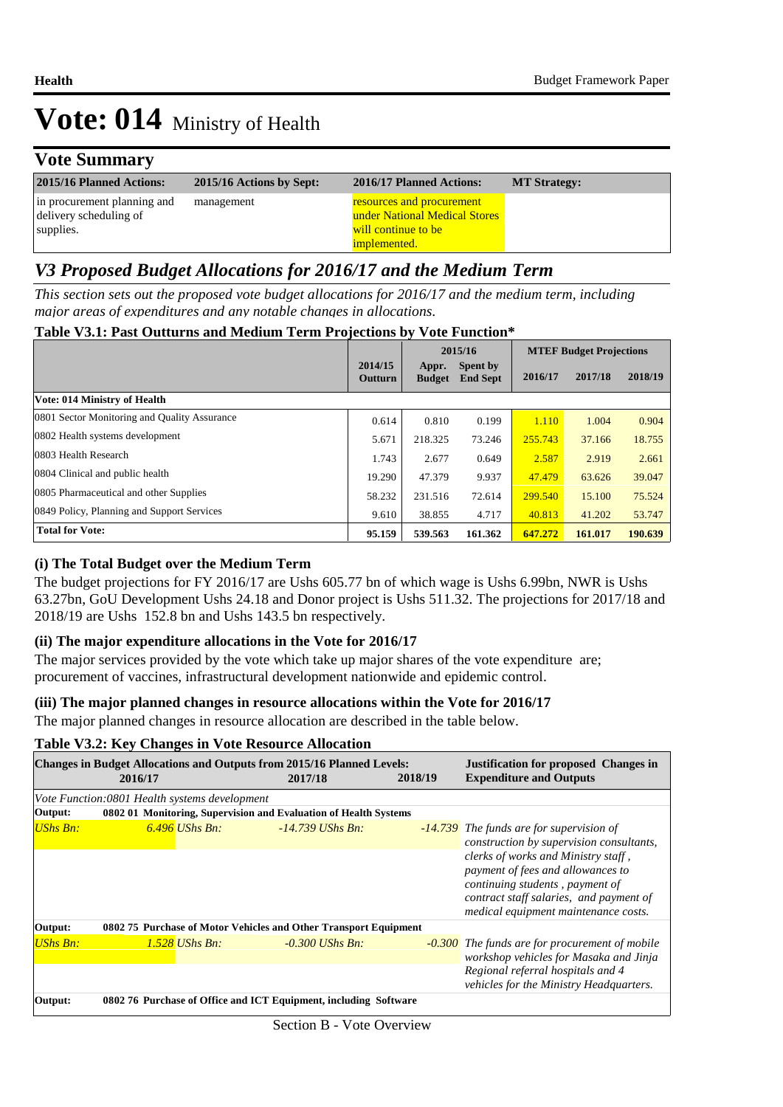## **Vote Summary**

| 2015/16 Planned Actions:                                           | 2015/16 Actions by Sept: | 2016/17 Planned Actions:                                                                                 | <b>MT Strategy:</b> |
|--------------------------------------------------------------------|--------------------------|----------------------------------------------------------------------------------------------------------|---------------------|
| in procurement planning and<br>delivery scheduling of<br>supplies. | management               | resources and procurement<br>under National Medical Stores<br>will continue to be<br><i>implemented.</i> |                     |

## *V3 Proposed Budget Allocations for 2016/17 and the Medium Term*

*This section sets out the proposed vote budget allocations for 2016/17 and the medium term, including major areas of expenditures and any notable changes in allocations.* 

| Table V3.1: Past Outturns and Medium Term Projections by Vote Function* |  |  |  |
|-------------------------------------------------------------------------|--|--|--|
|-------------------------------------------------------------------------|--|--|--|

|                                              |                           |                        | 2015/16                            | <b>MTEF Budget Projections</b> |         |         |
|----------------------------------------------|---------------------------|------------------------|------------------------------------|--------------------------------|---------|---------|
|                                              | 2014/15<br><b>Outturn</b> | Appr.<br><b>Budget</b> | <b>Spent by</b><br><b>End Sept</b> | 2016/17                        | 2017/18 | 2018/19 |
| Vote: 014 Ministry of Health                 |                           |                        |                                    |                                |         |         |
| 0801 Sector Monitoring and Quality Assurance | 0.614                     | 0.810                  | 0.199                              | 1.110                          | 1.004   | 0.904   |
| 0802 Health systems development              | 5.671                     | 218.325                | 73.246                             | 255,743                        | 37.166  | 18.755  |
| 0803 Health Research                         | 1.743                     | 2.677                  | 0.649                              | 2.587                          | 2.919   | 2.661   |
| 0804 Clinical and public health              | 19.290                    | 47.379                 | 9.937                              | 47.479                         | 63.626  | 39.047  |
| 0805 Pharmaceutical and other Supplies       | 58.232                    | 231.516                | 72.614                             | 299.540                        | 15.100  | 75.524  |
| 0849 Policy, Planning and Support Services   | 9.610                     | 38.855                 | 4.717                              | 40.813                         | 41.202  | 53.747  |
| <b>Total for Vote:</b>                       | 95.159                    | 539.563                | 161.362                            | 647.272                        | 161.017 | 190.639 |

### **(i) The Total Budget over the Medium Term**

The budget projections for FY 2016/17 are Ushs 605.77 bn of which wage is Ushs 6.99bn, NWR is Ushs 63.27bn, GoU Development Ushs 24.18 and Donor project is Ushs 511.32. The projections for 2017/18 and 2018/19 are Ushs 152.8 bn and Ushs 143.5 bn respectively.

### **(ii) The major expenditure allocations in the Vote for 2016/17**

The major services provided by the vote which take up major shares of the vote expenditure are; procurement of vaccines, infrastructural development nationwide and epidemic control.

### **(iii) The major planned changes in resource allocations within the Vote for 2016/17**

The major planned changes in resource allocation are described in the table below.

### **Table V3.2: Key Changes in Vote Resource Allocation**

|                 | 2016/17                                       | <b>Changes in Budget Allocations and Outputs from 2015/16 Planned Levels:</b><br>2017/18 | 2018/19 | <b>Justification for proposed Changes in</b><br><b>Expenditure and Outputs</b>                                                                                                                 |  |
|-----------------|-----------------------------------------------|------------------------------------------------------------------------------------------|---------|------------------------------------------------------------------------------------------------------------------------------------------------------------------------------------------------|--|
|                 | Vote Function:0801 Health systems development |                                                                                          |         |                                                                                                                                                                                                |  |
| Output:         |                                               | 0802 01 Monitoring, Supervision and Evaluation of Health Systems                         |         |                                                                                                                                                                                                |  |
| UShs Bn:        | $6.496$ UShs Bn:                              | $-14.739$ UShs Bn.                                                                       |         | -14.739 The funds are for supervision of<br>construction by supervision consultants,                                                                                                           |  |
|                 |                                               |                                                                                          |         | clerks of works and Ministry staff,<br>payment of fees and allowances to<br>continuing students, payment of<br>contract staff salaries, and payment of<br>medical equipment maintenance costs. |  |
| Output:         |                                               | 0802 75 Purchase of Motor Vehicles and Other Transport Equipment                         |         |                                                                                                                                                                                                |  |
| <b>UShs Bn:</b> | 1.528 UShs Bn:                                | $-0.300$ UShs Bn:                                                                        |         | <b>-0.300</b> The funds are for procurement of mobile<br>workshop vehicles for Masaka and Jinja                                                                                                |  |
|                 |                                               |                                                                                          |         | Regional referral hospitals and 4<br>vehicles for the Ministry Headquarters.                                                                                                                   |  |
| Output:         |                                               | 0802 76 Purchase of Office and ICT Equipment, including Software                         |         |                                                                                                                                                                                                |  |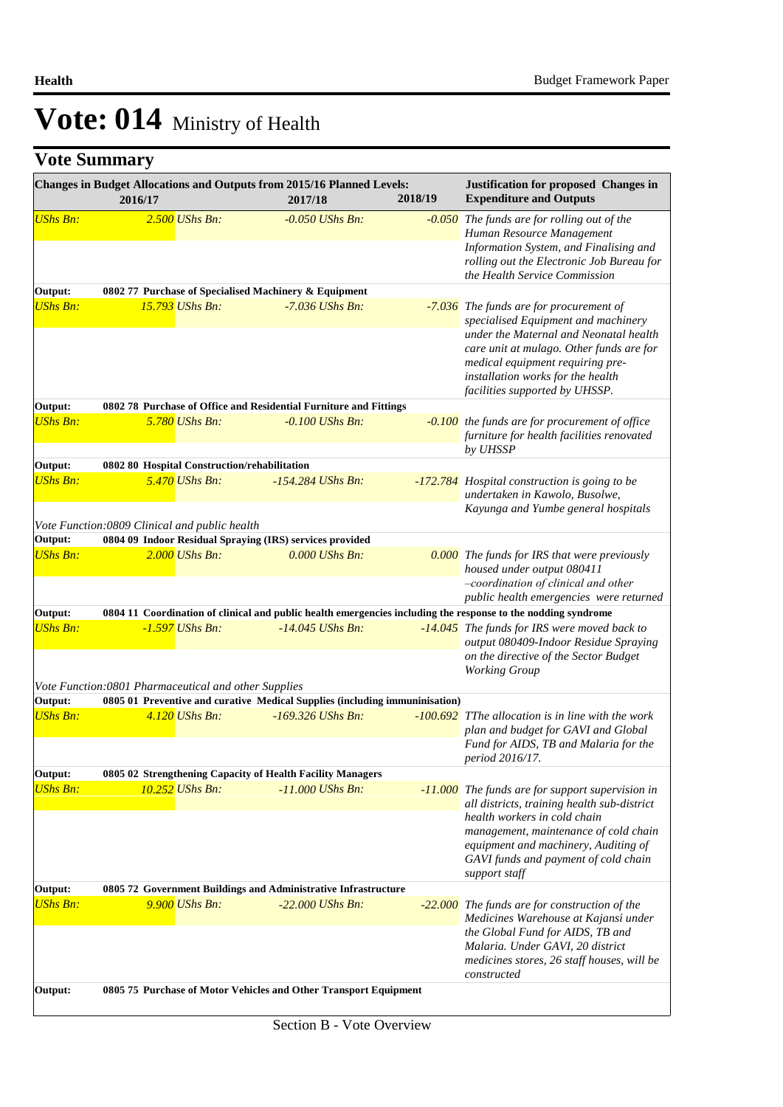|                 | Changes in Budget Allocations and Outputs from 2015/16 Planned Levels:<br>2016/17                             | 2017/18             | 2018/19 | <b>Justification for proposed Changes in</b><br><b>Expenditure and Outputs</b>                                                                                                                                                                                                  |
|-----------------|---------------------------------------------------------------------------------------------------------------|---------------------|---------|---------------------------------------------------------------------------------------------------------------------------------------------------------------------------------------------------------------------------------------------------------------------------------|
| <b>UShs Bn:</b> | $2.500$ UShs Bn:                                                                                              | $-0.050$ UShs Bn.   |         | -0.050 The funds are for rolling out of the<br>Human Resource Management<br>Information System, and Finalising and<br>rolling out the Electronic Job Bureau for<br>the Health Service Commission                                                                                |
| Output:         | 0802 77 Purchase of Specialised Machinery & Equipment                                                         |                     |         |                                                                                                                                                                                                                                                                                 |
| <b>UShs Bn:</b> | <b>15.793</b> UShs Bn:                                                                                        | $-7.036$ UShs Bn:   |         | -7.036 The funds are for procurement of<br>specialised Equipment and machinery<br>under the Maternal and Neonatal health<br>care unit at mulago. Other funds are for<br>medical equipment requiring pre-<br>installation works for the health<br>facilities supported by UHSSP. |
| Output:         | 0802 78 Purchase of Office and Residential Furniture and Fittings                                             |                     |         |                                                                                                                                                                                                                                                                                 |
| <b>UShs Bn:</b> | 5.780 UShs Bn:                                                                                                | $-0.100$ UShs Bn:   |         | -0.100 the funds are for procurement of office<br>furniture for health facilities renovated<br>by UHSSP                                                                                                                                                                         |
| Output:         | 0802 80 Hospital Construction/rehabilitation                                                                  |                     |         |                                                                                                                                                                                                                                                                                 |
| <b>UShs Bn:</b> | $5.470$ UShs Bn:                                                                                              | $-154.284$ UShs Bn. |         | -172.784 Hospital construction is going to be<br>undertaken in Kawolo, Busolwe,<br>Kayunga and Yumbe general hospitals                                                                                                                                                          |
|                 | Vote Function:0809 Clinical and public health                                                                 |                     |         |                                                                                                                                                                                                                                                                                 |
| Output:         | 0804 09 Indoor Residual Spraying (IRS) services provided                                                      |                     |         |                                                                                                                                                                                                                                                                                 |
| <b>UShs Bn:</b> | $2.000$ UShs Bn:                                                                                              | $0.000$ UShs Bn:    |         | <b>0.000</b> The funds for IRS that were previously<br>housed under output 080411<br>-coordination of clinical and other                                                                                                                                                        |
| Output:         | 0804 11 Coordination of clinical and public health emergencies including the response to the nodding syndrome |                     |         | public health emergencies were returned                                                                                                                                                                                                                                         |
| <b>UShs Bn:</b> | $-1.597$ UShs Bn:                                                                                             | $-14.045$ UShs Bn:  |         | -14.045 The funds for IRS were moved back to<br>output 080409-Indoor Residue Spraying<br>on the directive of the Sector Budget<br><b>Working Group</b>                                                                                                                          |
|                 | Vote Function: 0801 Pharmaceutical and other Supplies                                                         |                     |         |                                                                                                                                                                                                                                                                                 |
| Output:         | 0805 01 Preventive and curative Medical Supplies (including immuninisation)                                   |                     |         |                                                                                                                                                                                                                                                                                 |
| <b>UShs Bn:</b> | $4.120$ UShs Bn:                                                                                              | $-169.326$ UShs Bn: |         | $-100.692$ TThe allocation is in line with the work<br>plan and budget for GAVI and Global<br>Fund for AIDS, TB and Malaria for the<br>period 2016/17.                                                                                                                          |
| Output:         | 0805 02 Strengthening Capacity of Health Facility Managers                                                    |                     |         |                                                                                                                                                                                                                                                                                 |
| <b>UShs Bn:</b> | 10.252 UShs Bn:                                                                                               | $-11.000$ UShs Bn:  |         | -11.000 The funds are for support supervision in<br>all districts, training health sub-district<br>health workers in cold chain                                                                                                                                                 |
|                 |                                                                                                               |                     |         | management, maintenance of cold chain<br>equipment and machinery, Auditing of<br>GAVI funds and payment of cold chain<br>support staff                                                                                                                                          |
| Output:         | 0805 72 Government Buildings and Administrative Infrastructure                                                |                     |         |                                                                                                                                                                                                                                                                                 |
| <b>UShs Bn:</b> | 9.900 UShs Bn:                                                                                                | $-22,000$ UShs Bn:  |         | -22.000 The funds are for construction of the<br>Medicines Warehouse at Kajansi under<br>the Global Fund for AIDS, TB and<br>Malaria. Under GAVI, 20 district<br>medicines stores, 26 staff houses, will be<br>constructed                                                      |
| Output:         | 0805 75 Purchase of Motor Vehicles and Other Transport Equipment                                              |                     |         |                                                                                                                                                                                                                                                                                 |
|                 |                                                                                                               |                     |         |                                                                                                                                                                                                                                                                                 |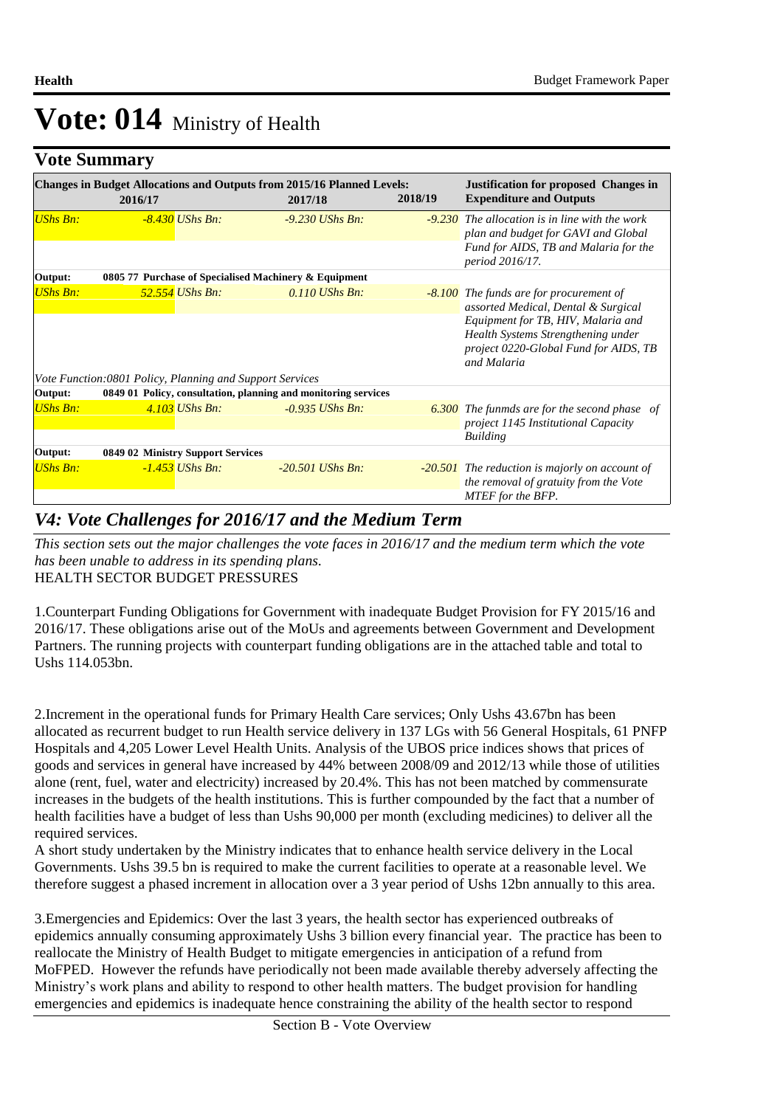## **Vote Summary**

|                 | <b>Changes in Budget Allocations and Outputs from 2015/16 Planned Levels:</b><br>2016/17 | 2017/18            | 2018/19 | <b>Justification for proposed Changes in</b><br><b>Expenditure and Outputs</b>                                                   |
|-----------------|------------------------------------------------------------------------------------------|--------------------|---------|----------------------------------------------------------------------------------------------------------------------------------|
| UShs Bn:        | $-8.430$ UShs Bn:                                                                        | $-9.230$ UShs Bn:  |         | $-9.230$ The allocation is in line with the work<br>plan and budget for GAVI and Global<br>Fund for AIDS, TB and Malaria for the |
|                 |                                                                                          |                    |         | <i>period 2016/17.</i>                                                                                                           |
| Output:         | 0805 77 Purchase of Specialised Machinery & Equipment                                    |                    |         |                                                                                                                                  |
| <b>UShs Bn:</b> | 52.554 UShs Bn:                                                                          | $0.110$ UShs Bn:   |         | -8.100 The funds are for procurement of<br>assorted Medical, Dental & Surgical                                                   |
|                 |                                                                                          |                    |         | Equipment for TB, HIV, Malaria and<br>Health Systems Strengthening under<br>project 0220-Global Fund for AIDS, TB<br>and Malaria |
|                 | Vote Function:0801 Policy, Planning and Support Services                                 |                    |         |                                                                                                                                  |
| Output:         | 0849 01 Policy, consultation, planning and monitoring services                           |                    |         |                                                                                                                                  |
| <b>UShs Bn:</b> | $4.103$ UShs Bn:                                                                         | $-0.935$ UShs Bn:  |         | <b>6.300</b> The funmds are for the second phase of<br><i>project 1145 Institutional Capacity</i>                                |
|                 |                                                                                          |                    |         | <b>Building</b>                                                                                                                  |
| Output:         | 0849 02 Ministry Support Services                                                        |                    |         |                                                                                                                                  |
| <b>UShs Bn:</b> | -1.453 UShs Bn:                                                                          | $-20.501$ UShs Bn: |         | -20.501 The reduction is majorly on account of<br>the removal of gratuity from the Vote<br>MTEF for the BFP.                     |

## *V4: Vote Challenges for 2016/17 and the Medium Term*

HEALTH SECTOR BUDGET PRESSURES *This section sets out the major challenges the vote faces in 2016/17 and the medium term which the vote has been unable to address in its spending plans.*

1. Counterpart Funding Obligations for Government with inadequate Budget Provision for FY 2015/16 and 2016/17. These obligations arise out of the MoUs and agreements between Government and Development Partners. The running projects with counterpart funding obligations are in the attached table and total to Ushs 114.053bn.

2. Increment in the operational funds for Primary Health Care services; Only Ushs 43.67bn has been allocated as recurrent budget to run Health service delivery in 137 LGs with 56 General Hospitals, 61 PNFP Hospitals and 4,205 Lower Level Health Units. Analysis of the UBOS price indices shows that prices of goods and services in general have increased by 44% between 2008/09 and 2012/13 while those of utilities alone (rent, fuel, water and electricity) increased by 20.4%. This has not been matched by commensurate increases in the budgets of the health institutions. This is further compounded by the fact that a number of health facilities have a budget of less than Ushs 90,000 per month (excluding medicines) to deliver all the required services.

A short study undertaken by the Ministry indicates that to enhance health service delivery in the Local Governments. Ushs 39.5 bn is required to make the current facilities to operate at a reasonable level. We therefore suggest a phased increment in allocation over a 3 year period of Ushs 12bn annually to this area.

3. Emergencies and Epidemics: Over the last 3 years, the health sector has experienced outbreaks of epidemics annually consuming approximately Ushs 3 billion every financial year. The practice has been to reallocate the Ministry of Health Budget to mitigate emergencies in anticipation of a refund from MoFPED. However the refunds have periodically not been made available thereby adversely affecting the Ministry's work plans and ability to respond to other health matters. The budget provision for handling emergencies and epidemics is inadequate hence constraining the ability of the health sector to respond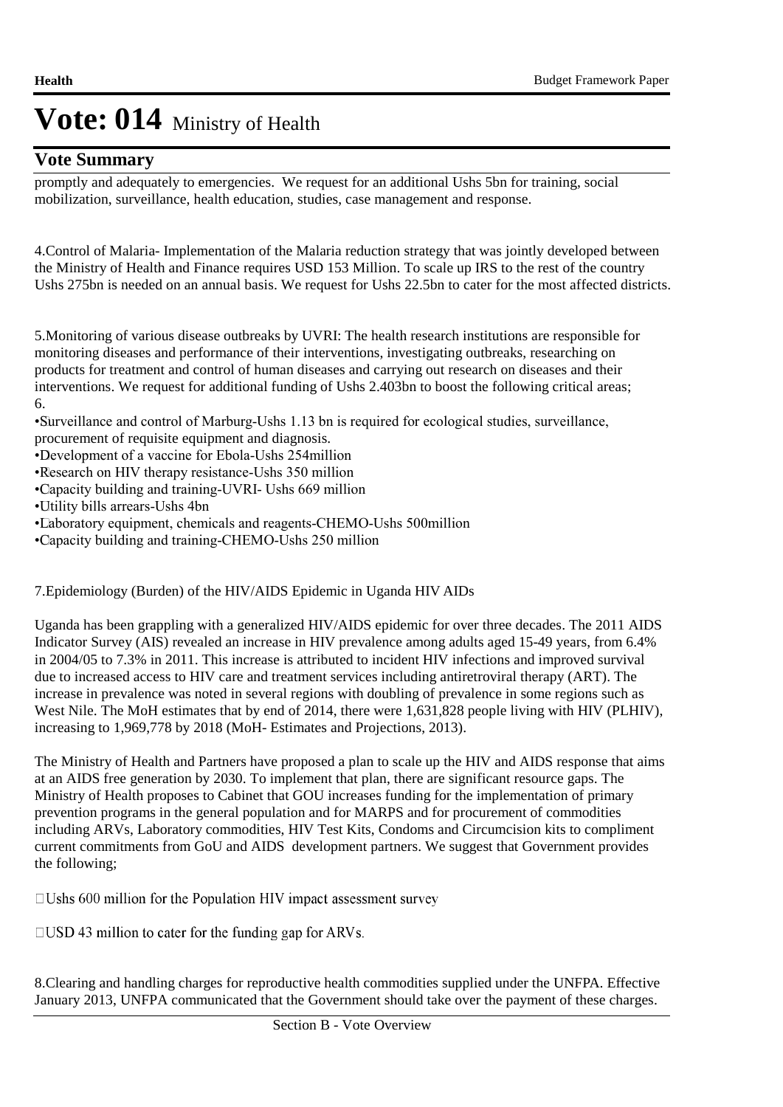### **Vote Summary**

promptly and adequately to emergencies. We request for an additional Ushs 5bn for training, social mobilization, surveillance, health education, studies, case management and response.

4. Control of Malaria- Implementation of the Malaria reduction strategy that was jointly developed between the Ministry of Health and Finance requires USD 153 Million. To scale up IRS to the rest of the country Ushs 275bn is needed on an annual basis. We request for Ushs 22.5bn to cater for the most affected districts.

5. Monitoring of various disease outbreaks by UVRI: The health research institutions are responsible for monitoring diseases and performance of their interventions, investigating outbreaks, researching on products for treatment and control of human diseases and carrying out research on diseases and their interventions. We request for additional funding of Ushs 2.403bn to boost the following critical areas; 6. 

• Surveillance and control of Marburg-Ushs 1.13 bn is required for ecological studies, surveillance, procurement of requisite equipment and diagnosis.

- • Development of a vaccine for Ebola-Ushs 254million
- Research on HIV therapy resistance-Ushs 350 million
- • Capacity building and training-UVRI- Ushs 669 million
- • Utility bills arrears-Ushs 4bn
- • Laboratory equipment, chemicals and reagents-CHEMO-Ushs 500million
- • Capacity building and training-CHEMO-Ushs 250 million

### 7. Epidemiology (Burden) of the HIV/AIDS Epidemic in Uganda HIV AIDs

Uganda has been grappling with a generalized HIV/AIDS epidemic for over three decades. The 2011 AIDS Indicator Survey (AIS) revealed an increase in HIV prevalence among adults aged 15-49 years, from 6.4% in 2004/05 to 7.3% in 2011. This increase is attributed to incident HIV infections and improved survival due to increased access to HIV care and treatment services including antiretroviral therapy (ART). The increase in prevalence was noted in several regions with doubling of prevalence in some regions such as West Nile. The MoH estimates that by end of 2014, there were 1,631,828 people living with HIV (PLHIV), increasing to 1,969,778 by 2018 (MoH- Estimates and Projections, 2013).

The Ministry of Health and Partners have proposed a plan to scale up the HIV and AIDS response that aims at an AIDS free generation by 2030. To implement that plan, there are significant resource gaps. The Ministry of Health proposes to Cabinet that GOU increases funding for the implementation of primary prevention programs in the general population and for MARPS and for procurement of commodities including ARVs, Laboratory commodities, HIV Test Kits, Condoms and Circumcision kits to compliment current commitments from GoU and AIDS development partners. We suggest that Government provides the following;

 $\Box$ Ushs 600 million for the Population HIV impact assessment survey

 $\Box$ USD 43 million to cater for the funding gap for ARVs.

8. Clearing and handling charges for reproductive health commodities supplied under the UNFPA. Effective January 2013, UNFPA communicated that the Government should take over the payment of these charges.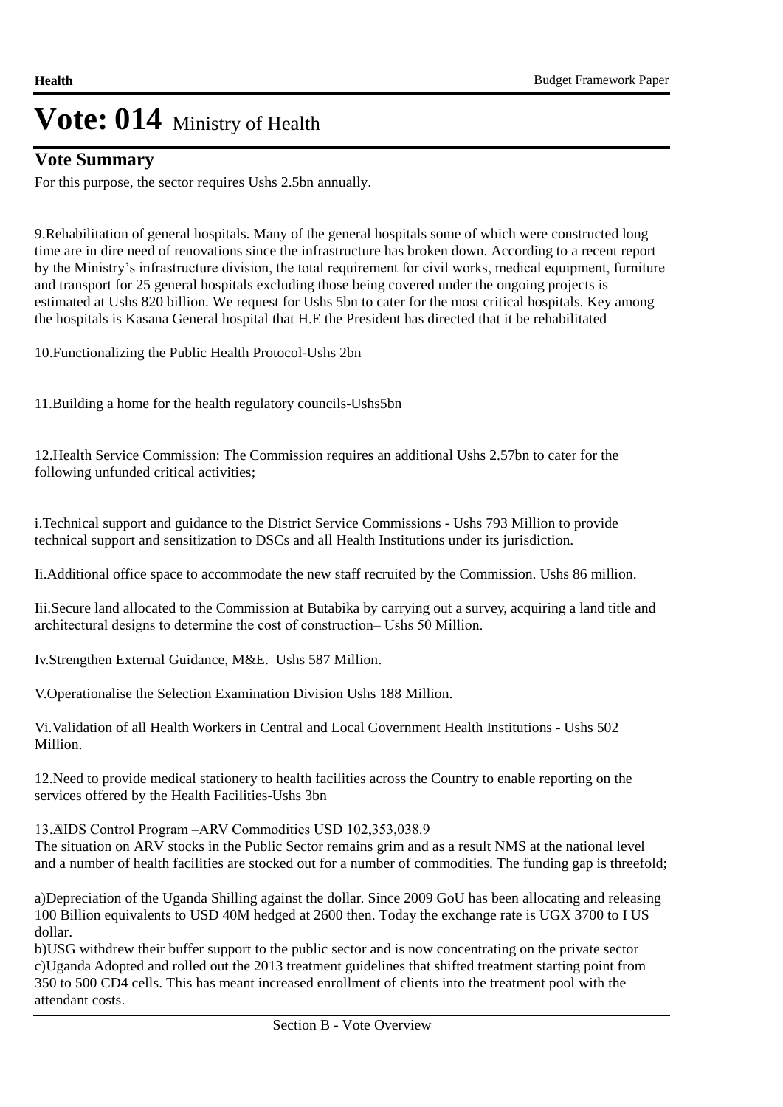### **Vote Summary**

For this purpose, the sector requires Ushs 2.5bn annually.

9. Rehabilitation of general hospitals. Many of the general hospitals some of which were constructed long time are in dire need of renovations since the infrastructure has broken down. According to a recent report by the Ministry's infrastructure division, the total requirement for civil works, medical equipment, furniture and transport for 25 general hospitals excluding those being covered under the ongoing projects is estimated at Ushs 820 billion. We request for Ushs 5bn to cater for the most critical hospitals. Key among the hospitals is Kasana General hospital that H.E the President has directed that it be rehabilitated

10. Functionalizing the Public Health Protocol-Ushs 2bn

11. Building a home for the health regulatory councils-Ushs5bn

12. Health Service Commission: The Commission requires an additional Ushs 2.57bn to cater for the following unfunded critical activities;

i. Technical support and guidance to the District Service Commissions - Ushs 793 Million to provide technical support and sensitization to DSCs and all Health Institutions under its jurisdiction.

Ii. Additional office space to accommodate the new staff recruited by the Commission. Ushs 86 million.

Iii. Secure land allocated to the Commission at Butabika by carrying out a survey, acquiring a land title and architectural designs to determine the cost of construction– Ushs 50 Million.

Iv.Strengthen External Guidance, M&E. Ushs 587 Million.

V. Operationalise the Selection Examination Division Ushs 188 Million.

Vi. Validation of all Health Workers in Central and Local Government Health Institutions - Ushs 502 Million.

12. Need to provide medical stationery to health facilities across the Country to enable reporting on the services offered by the Health Facilities-Ushs 3bn

13. AIDS Control Program –ARV Commodities USD 102,353,038.9

The situation on ARV stocks in the Public Sector remains grim and as a result NMS at the national level and a number of health facilities are stocked out for a number of commodities. The funding gap is threefold;

a)Depreciation of the Uganda Shilling against the dollar. Since 2009 GoU has been allocating and releasing 100 Billion equivalents to USD 40M hedged at 2600 then. Today the exchange rate is UGX 3700 to I US dollar.

b) USG withdrew their buffer support to the public sector and is now concentrating on the private sector c)Uganda Adopted and rolled out the 2013 treatment guidelines that shifted treatment starting point from 350 to 500 CD4 cells. This has meant increased enrollment of clients into the treatment pool with the attendant costs.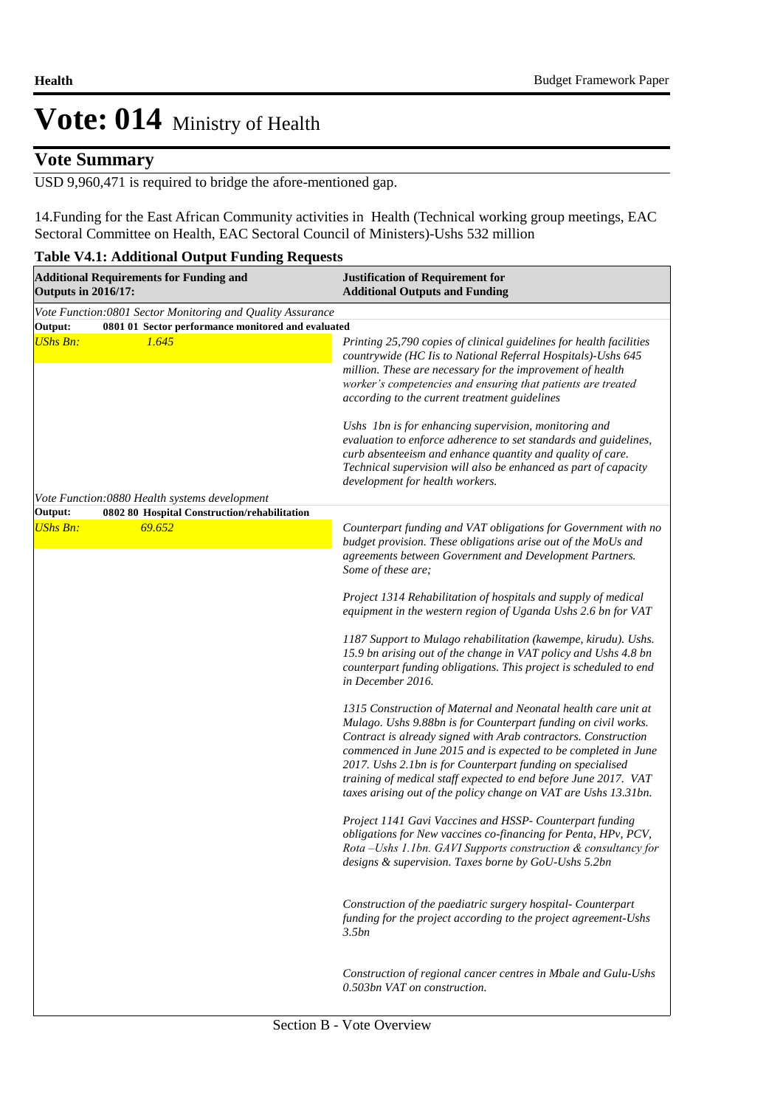### **Vote Summary**

USD 9,960,471 is required to bridge the afore-mentioned gap.

14. Funding for the East African Community activities in Health (Technical working group meetings, EAC Sectoral Committee on Health, EAC Sectoral Council of Ministers)-Ushs 532 million

#### **Table V4.1: Additional Output Funding Requests**

| <b>Justification of Requirement for</b><br><b>Additional Outputs and Funding</b>                                                                                                                                                                                                                                                                                                                                                                                                                                                                                                                                                                                                                                                                                                                                                                                                                                                                                                                                                                                                                                                                                                                                                                                                                                                                                                                                                                                                                                                                                     |
|----------------------------------------------------------------------------------------------------------------------------------------------------------------------------------------------------------------------------------------------------------------------------------------------------------------------------------------------------------------------------------------------------------------------------------------------------------------------------------------------------------------------------------------------------------------------------------------------------------------------------------------------------------------------------------------------------------------------------------------------------------------------------------------------------------------------------------------------------------------------------------------------------------------------------------------------------------------------------------------------------------------------------------------------------------------------------------------------------------------------------------------------------------------------------------------------------------------------------------------------------------------------------------------------------------------------------------------------------------------------------------------------------------------------------------------------------------------------------------------------------------------------------------------------------------------------|
| Vote Function: 0801 Sector Monitoring and Quality Assurance                                                                                                                                                                                                                                                                                                                                                                                                                                                                                                                                                                                                                                                                                                                                                                                                                                                                                                                                                                                                                                                                                                                                                                                                                                                                                                                                                                                                                                                                                                          |
| 0801 01 Sector performance monitored and evaluated<br>Printing 25,790 copies of clinical guidelines for health facilities<br>countrywide (HC Iis to National Referral Hospitals)-Ushs 645<br>million. These are necessary for the improvement of health<br>worker's competencies and ensuring that patients are treated<br>according to the current treatment guidelines<br>Ushs 1bn is for enhancing supervision, monitoring and<br>evaluation to enforce adherence to set standards and guidelines,<br>curb absenteeism and enhance quantity and quality of care.<br>Technical supervision will also be enhanced as part of capacity<br>development for health workers.                                                                                                                                                                                                                                                                                                                                                                                                                                                                                                                                                                                                                                                                                                                                                                                                                                                                                            |
|                                                                                                                                                                                                                                                                                                                                                                                                                                                                                                                                                                                                                                                                                                                                                                                                                                                                                                                                                                                                                                                                                                                                                                                                                                                                                                                                                                                                                                                                                                                                                                      |
| Counterpart funding and VAT obligations for Government with no<br>budget provision. These obligations arise out of the MoUs and<br>agreements between Government and Development Partners.<br>Some of these are;<br>Project 1314 Rehabilitation of hospitals and supply of medical<br>equipment in the western region of Uganda Ushs 2.6 bn for VAT<br>1187 Support to Mulago rehabilitation (kawempe, kirudu). Ushs.<br>15.9 bn arising out of the change in VAT policy and Ushs 4.8 bn<br>counterpart funding obligations. This project is scheduled to end<br>in December 2016.<br>1315 Construction of Maternal and Neonatal health care unit at<br>Mulago. Ushs 9.88bn is for Counterpart funding on civil works.<br>Contract is already signed with Arab contractors. Construction<br>commenced in June 2015 and is expected to be completed in June<br>2017. Ushs 2.1bn is for Counterpart funding on specialised<br>training of medical staff expected to end before June 2017. VAT<br>taxes arising out of the policy change on VAT are Ushs 13.31bn.<br>Project 1141 Gavi Vaccines and HSSP- Counterpart funding<br>obligations for New vaccines co-financing for Penta, HPv, PCV,<br>Rota -Ushs 1.1bn. GAVI Supports construction & consultancy for<br>designs & supervision. Taxes borne by GoU-Ushs 5.2bn<br>Construction of the paediatric surgery hospital- Counterpart<br>funding for the project according to the project agreement-Ushs<br>3.5bn<br>Construction of regional cancer centres in Mbale and Gulu-Ushs<br>0.503bn VAT on construction. |
|                                                                                                                                                                                                                                                                                                                                                                                                                                                                                                                                                                                                                                                                                                                                                                                                                                                                                                                                                                                                                                                                                                                                                                                                                                                                                                                                                                                                                                                                                                                                                                      |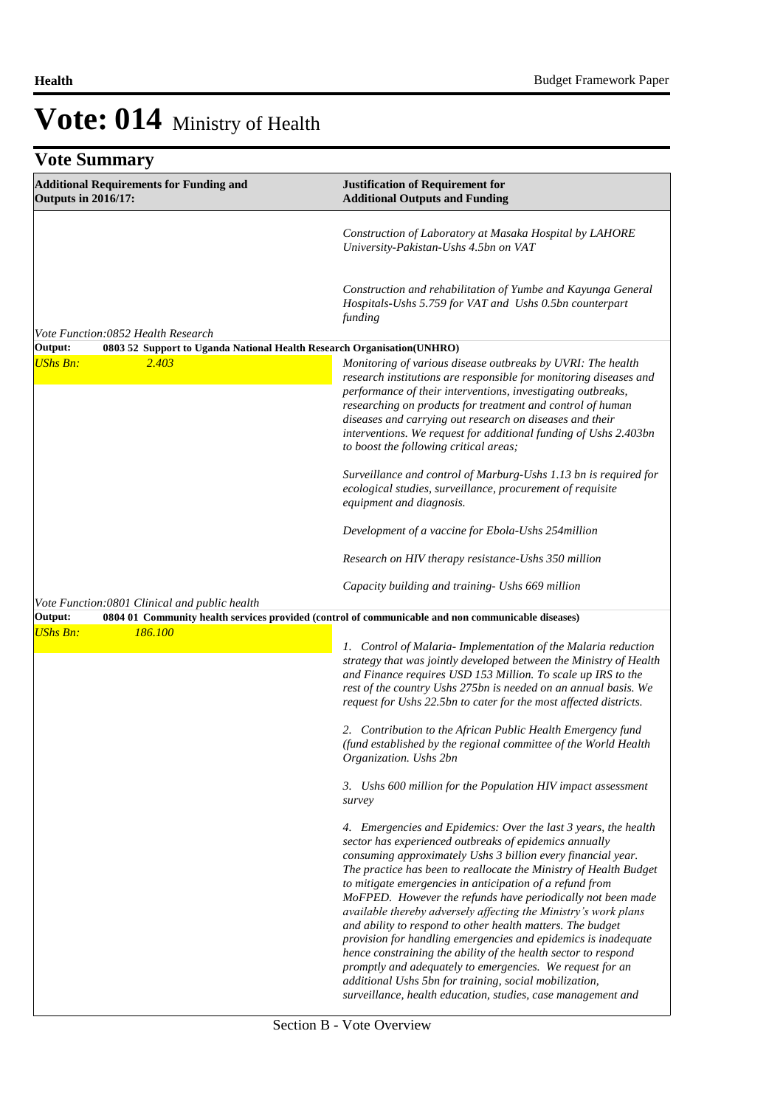| <b>Vote Summary</b>                                                          |                                                                                                                                                                                                                                                                                                                                                                                                                                                                                                                                                                                                                                                                                                                                                                                                                                                       |  |
|------------------------------------------------------------------------------|-------------------------------------------------------------------------------------------------------------------------------------------------------------------------------------------------------------------------------------------------------------------------------------------------------------------------------------------------------------------------------------------------------------------------------------------------------------------------------------------------------------------------------------------------------------------------------------------------------------------------------------------------------------------------------------------------------------------------------------------------------------------------------------------------------------------------------------------------------|--|
| <b>Additional Requirements for Funding and</b><br><b>Outputs in 2016/17:</b> | <b>Justification of Requirement for</b><br><b>Additional Outputs and Funding</b>                                                                                                                                                                                                                                                                                                                                                                                                                                                                                                                                                                                                                                                                                                                                                                      |  |
|                                                                              | Construction of Laboratory at Masaka Hospital by LAHORE<br>University-Pakistan-Ushs 4.5bn on VAT                                                                                                                                                                                                                                                                                                                                                                                                                                                                                                                                                                                                                                                                                                                                                      |  |
|                                                                              | Construction and rehabilitation of Yumbe and Kayunga General<br>Hospitals-Ushs 5.759 for VAT and Ushs 0.5bn counterpart<br>funding                                                                                                                                                                                                                                                                                                                                                                                                                                                                                                                                                                                                                                                                                                                    |  |
| Vote Function:0852 Health Research                                           |                                                                                                                                                                                                                                                                                                                                                                                                                                                                                                                                                                                                                                                                                                                                                                                                                                                       |  |
| Output:<br><b>UShs Bn:</b><br>2.403                                          | 0803 52 Support to Uganda National Health Research Organisation(UNHRO)<br>Monitoring of various disease outbreaks by UVRI: The health<br>research institutions are responsible for monitoring diseases and<br>performance of their interventions, investigating outbreaks,<br>researching on products for treatment and control of human<br>diseases and carrying out research on diseases and their<br>interventions. We request for additional funding of Ushs 2.403bn<br>to boost the following critical areas;                                                                                                                                                                                                                                                                                                                                    |  |
|                                                                              | Surveillance and control of Marburg-Ushs 1.13 bn is required for<br>ecological studies, surveillance, procurement of requisite<br>equipment and diagnosis.                                                                                                                                                                                                                                                                                                                                                                                                                                                                                                                                                                                                                                                                                            |  |
|                                                                              | Development of a vaccine for Ebola-Ushs 254million                                                                                                                                                                                                                                                                                                                                                                                                                                                                                                                                                                                                                                                                                                                                                                                                    |  |
|                                                                              | Research on HIV therapy resistance-Ushs 350 million                                                                                                                                                                                                                                                                                                                                                                                                                                                                                                                                                                                                                                                                                                                                                                                                   |  |
|                                                                              | Capacity building and training - Ushs 669 million                                                                                                                                                                                                                                                                                                                                                                                                                                                                                                                                                                                                                                                                                                                                                                                                     |  |
| Vote Function:0801 Clinical and public health                                | 0804 01 Community health services provided (control of communicable and non communicable diseases)                                                                                                                                                                                                                                                                                                                                                                                                                                                                                                                                                                                                                                                                                                                                                    |  |
| Output:<br><b>UShs Bn:</b><br>186.100                                        | 1. Control of Malaria-Implementation of the Malaria reduction<br>strategy that was jointly developed between the Ministry of Health<br>and Finance requires USD 153 Million. To scale up IRS to the<br>rest of the country Ushs 275bn is needed on an annual basis. We<br>request for Ushs 22.5bn to cater for the most affected districts.<br>2. Contribution to the African Public Health Emergency fund<br>(fund established by the regional committee of the World Health<br>Organization. Ushs 2bn                                                                                                                                                                                                                                                                                                                                               |  |
|                                                                              | 3. Ushs 600 million for the Population HIV impact assessment<br>survey                                                                                                                                                                                                                                                                                                                                                                                                                                                                                                                                                                                                                                                                                                                                                                                |  |
|                                                                              | 4. Emergencies and Epidemics: Over the last 3 years, the health<br>sector has experienced outbreaks of epidemics annually<br>consuming approximately Ushs 3 billion every financial year.<br>The practice has been to reallocate the Ministry of Health Budget<br>to mitigate emergencies in anticipation of a refund from<br>MoFPED. However the refunds have periodically not been made<br>available thereby adversely affecting the Ministry's work plans<br>and ability to respond to other health matters. The budget<br>provision for handling emergencies and epidemics is inadequate<br>hence constraining the ability of the health sector to respond<br>promptly and adequately to emergencies. We request for an<br>additional Ushs 5bn for training, social mobilization,<br>surveillance, health education, studies, case management and |  |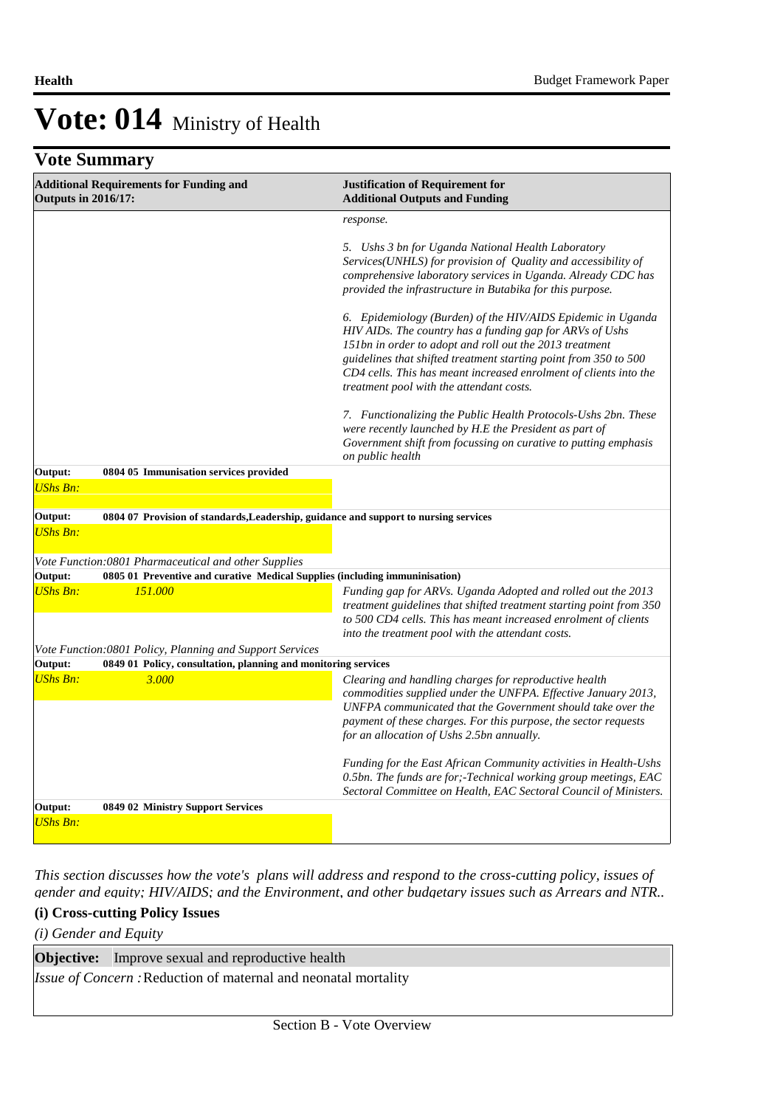## **Vote Summary**

| <b>Additional Requirements for Funding and</b><br><b>Outputs in 2016/17:</b>                    | <b>Justification of Requirement for</b><br><b>Additional Outputs and Funding</b>                                                                                                                                                                                                                                                                                                                                                                                                                                                                                                                                                                                                                                                                                                                                                        |  |  |
|-------------------------------------------------------------------------------------------------|-----------------------------------------------------------------------------------------------------------------------------------------------------------------------------------------------------------------------------------------------------------------------------------------------------------------------------------------------------------------------------------------------------------------------------------------------------------------------------------------------------------------------------------------------------------------------------------------------------------------------------------------------------------------------------------------------------------------------------------------------------------------------------------------------------------------------------------------|--|--|
|                                                                                                 | response.<br>5. Ushs 3 bn for Uganda National Health Laboratory<br>Services(UNHLS) for provision of Quality and accessibility of<br>comprehensive laboratory services in Uganda. Already CDC has<br>provided the infrastructure in Butabika for this purpose.<br>6. Epidemiology (Burden) of the HIV/AIDS Epidemic in Uganda<br>HIV AIDs. The country has a funding gap for ARVs of Ushs<br>151bn in order to adopt and roll out the 2013 treatment<br>guidelines that shifted treatment starting point from 350 to 500<br>CD4 cells. This has meant increased enrolment of clients into the<br>treatment pool with the attendant costs.<br>7. Functionalizing the Public Health Protocols-Ushs 2bn. These<br>were recently launched by H.E the President as part of<br>Government shift from focussing on curative to putting emphasis |  |  |
|                                                                                                 | on public health                                                                                                                                                                                                                                                                                                                                                                                                                                                                                                                                                                                                                                                                                                                                                                                                                        |  |  |
| Output:<br>0804 05 Immunisation services provided<br><b>UShs Bn:</b>                            |                                                                                                                                                                                                                                                                                                                                                                                                                                                                                                                                                                                                                                                                                                                                                                                                                                         |  |  |
| Output:<br>0804 07 Provision of standards, Leadership, guidance and support to nursing services |                                                                                                                                                                                                                                                                                                                                                                                                                                                                                                                                                                                                                                                                                                                                                                                                                                         |  |  |
| <b>UShs Bn:</b>                                                                                 |                                                                                                                                                                                                                                                                                                                                                                                                                                                                                                                                                                                                                                                                                                                                                                                                                                         |  |  |
| Vote Function:0801 Pharmaceutical and other Supplies                                            |                                                                                                                                                                                                                                                                                                                                                                                                                                                                                                                                                                                                                                                                                                                                                                                                                                         |  |  |
| Output:<br>0805 01 Preventive and curative Medical Supplies (including immuninisation)          |                                                                                                                                                                                                                                                                                                                                                                                                                                                                                                                                                                                                                                                                                                                                                                                                                                         |  |  |
| <b>UShs Bn:</b><br>151.000                                                                      | Funding gap for ARVs. Uganda Adopted and rolled out the 2013<br>treatment guidelines that shifted treatment starting point from 350<br>to 500 CD4 cells. This has meant increased enrolment of clients<br>into the treatment pool with the attendant costs.                                                                                                                                                                                                                                                                                                                                                                                                                                                                                                                                                                             |  |  |
| Vote Function:0801 Policy, Planning and Support Services                                        |                                                                                                                                                                                                                                                                                                                                                                                                                                                                                                                                                                                                                                                                                                                                                                                                                                         |  |  |
| Output:<br>0849 01 Policy, consultation, planning and monitoring services                       |                                                                                                                                                                                                                                                                                                                                                                                                                                                                                                                                                                                                                                                                                                                                                                                                                                         |  |  |
| <b>UShs Bn:</b><br>3.000                                                                        | Clearing and handling charges for reproductive health<br>commodities supplied under the UNFPA. Effective January 2013,<br>UNFPA communicated that the Government should take over the<br>payment of these charges. For this purpose, the sector requests<br>for an allocation of Ushs 2.5bn annually.                                                                                                                                                                                                                                                                                                                                                                                                                                                                                                                                   |  |  |
|                                                                                                 | Funding for the East African Community activities in Health-Ushs<br>0.5bn. The funds are for;-Technical working group meetings, EAC<br>Sectoral Committee on Health, EAC Sectoral Council of Ministers.                                                                                                                                                                                                                                                                                                                                                                                                                                                                                                                                                                                                                                 |  |  |
| Output:<br>0849 02 Ministry Support Services                                                    |                                                                                                                                                                                                                                                                                                                                                                                                                                                                                                                                                                                                                                                                                                                                                                                                                                         |  |  |
| <b>UShs Bn:</b>                                                                                 |                                                                                                                                                                                                                                                                                                                                                                                                                                                                                                                                                                                                                                                                                                                                                                                                                                         |  |  |

*This section discusses how the vote's plans will address and respond to the cross-cutting policy, issues of gender and equity; HIV/AIDS; and the Environment, and other budgetary issues such as Arrears and NTR..* 

### **(i) Cross-cutting Policy Issues**

*(i) Gender and Equity*

| <b>Objective:</b> Improve sexual and reproductive health               |
|------------------------------------------------------------------------|
| <i>Issue of Concern</i> : Reduction of maternal and neonatal mortality |